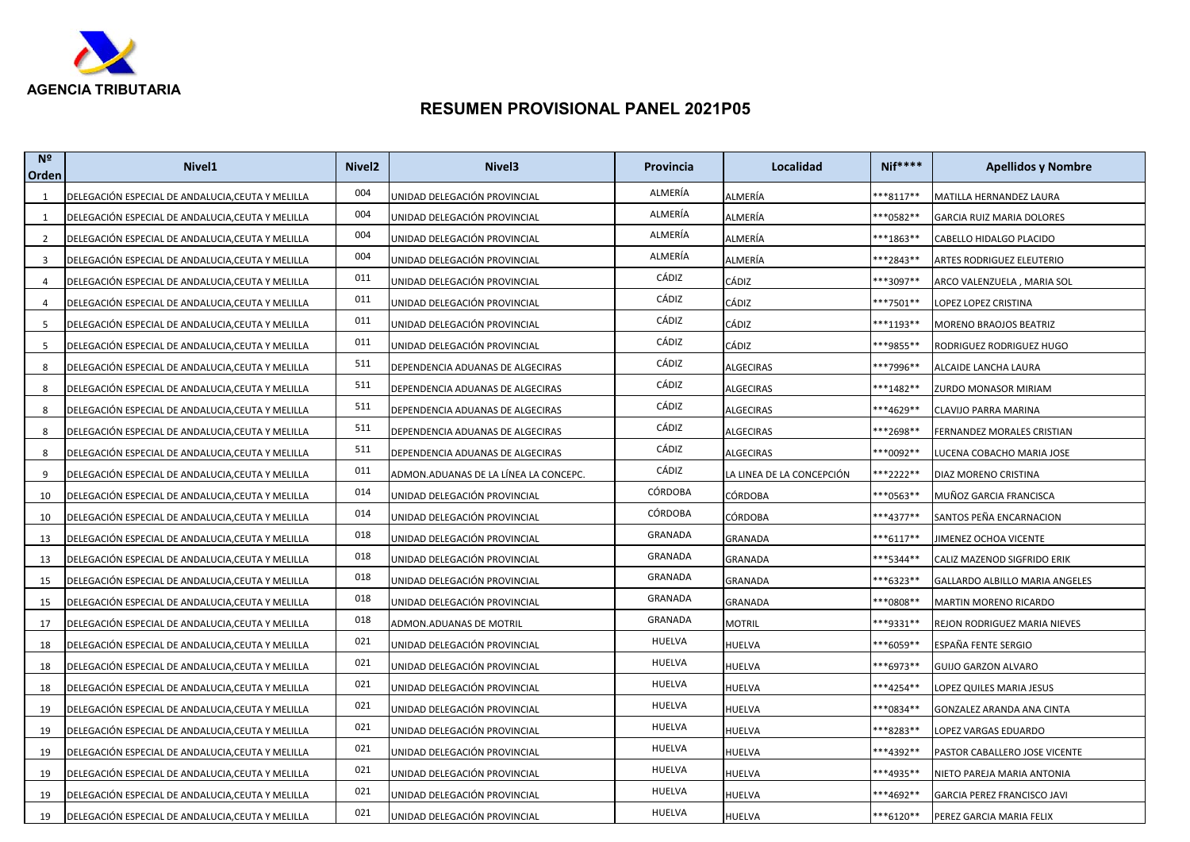

| N <sup>2</sup><br>Orden | Nivel <sub>1</sub>                                | Nivel <sub>2</sub> | Nivel <sub>3</sub>                    | <b>Provincia</b> | Localidad                 | $Nif***$    | <b>Apellidos y Nombre</b>      |
|-------------------------|---------------------------------------------------|--------------------|---------------------------------------|------------------|---------------------------|-------------|--------------------------------|
| 1                       | DELEGACIÓN ESPECIAL DE ANDALUCIA, CEUTA Y MELILLA | 004                | UNIDAD DELEGACIÓN PROVINCIAL          | ALMERÍA          | ALMERÍA                   | ***8117**   | MATILLA HERNANDEZ LAURA        |
| 1                       | DELEGACIÓN ESPECIAL DE ANDALUCIA, CEUTA Y MELILLA | 004                | UNIDAD DELEGACIÓN PROVINCIAL          | ALMERÍA          | ALMERÍA                   | ***0582**   | GARCIA RUIZ MARIA DOLORES      |
| 2                       | DELEGACIÓN ESPECIAL DE ANDALUCIA, CEUTA Y MELILLA | 004                | UNIDAD DELEGACIÓN PROVINCIAL          | ALMERÍA          | ALMERÍA                   | ***1863**   | CABELLO HIDALGO PLACIDO        |
| 3                       | DELEGACIÓN ESPECIAL DE ANDALUCIA, CEUTA Y MELILLA | 004                | UNIDAD DELEGACIÓN PROVINCIAL          | ALMERÍA          | ALMERÍA                   | ***2843**   | ARTES RODRIGUEZ ELEUTERIO      |
| 4                       | DELEGACIÓN ESPECIAL DE ANDALUCIA,CEUTA Y MELILLA  | 011                | UNIDAD DELEGACIÓN PROVINCIAL          | CÁDIZ            | CÁDIZ                     | ***3097**   | ARCO VALENZUELA , MARIA SOL    |
| 4                       | DELEGACIÓN ESPECIAL DE ANDALUCIA, CEUTA Y MELILLA | 011                | UNIDAD DELEGACIÓN PROVINCIAL          | CÁDIZ            | CÁDIZ                     | ***7501**   | LOPEZ LOPEZ CRISTINA           |
| 5                       | DELEGACIÓN ESPECIAL DE ANDALUCIA, CEUTA Y MELILLA | 011                | UNIDAD DELEGACIÓN PROVINCIAL          | CÁDIZ            | CÁDIZ                     | ***1193**   | MORENO BRAOJOS BEATRIZ         |
| 5                       | DELEGACIÓN ESPECIAL DE ANDALUCIA,CEUTA Y MELILLA  | 011                | UNIDAD DELEGACIÓN PROVINCIAL          | CÁDIZ            | CÁDIZ                     | ***9855**   | RODRIGUEZ RODRIGUEZ HUGO       |
| 8                       | DELEGACIÓN ESPECIAL DE ANDALUCIA,CEUTA Y MELILLA  | 511                | DEPENDENCIA ADUANAS DE ALGECIRAS      | CÁDIZ            | <b>ALGECIRAS</b>          | ***7996**   | ALCAIDE LANCHA LAURA           |
| 8                       | DELEGACIÓN ESPECIAL DE ANDALUCIA, CEUTA Y MELILLA | 511                | DEPENDENCIA ADUANAS DE ALGECIRAS      | CÁDIZ            | <b>ALGECIRAS</b>          | ***1482**   | ZURDO MONASOR MIRIAM           |
| 8                       | DELEGACIÓN ESPECIAL DE ANDALUCIA, CEUTA Y MELILLA | 511                | DEPENDENCIA ADUANAS DE ALGECIRAS      | CÁDIZ            | ALGECIRAS                 | ***4629**   | CLAVIJO PARRA MARINA           |
| 8                       | DELEGACIÓN ESPECIAL DE ANDALUCIA,CEUTA Y MELILLA  | 511                | DEPENDENCIA ADUANAS DE ALGECIRAS      | CÁDIZ            | <b>ALGECIRAS</b>          | ***2698**   | FERNANDEZ MORALES CRISTIAN     |
| 8                       | DELEGACIÓN ESPECIAL DE ANDALUCIA, CEUTA Y MELILLA | 511                | DEPENDENCIA ADUANAS DE ALGECIRAS      | CÁDIZ            | ALGECIRAS                 | ***0092**   | LUCENA COBACHO MARIA JOSE      |
| 9                       | DELEGACIÓN ESPECIAL DE ANDALUCIA, CEUTA Y MELILLA | 011                | ADMON.ADUANAS DE LA LÍNEA LA CONCEPC. | CÁDIZ            | LA LINEA DE LA CONCEPCIÓN | ***2222**   | DIAZ MORENO CRISTINA           |
| 10                      | DELEGACIÓN ESPECIAL DE ANDALUCIA,CEUTA Y MELILLA  | 014                | UNIDAD DELEGACIÓN PROVINCIAL          | <b>CÓRDOBA</b>   | <b>CÓRDOBA</b>            | ***0563**   | MUÑOZ GARCIA FRANCISCA         |
| 10                      | DELEGACIÓN ESPECIAL DE ANDALUCIA, CEUTA Y MELILLA | 014                | UNIDAD DELEGACIÓN PROVINCIAL          | CÓRDOBA          | <b>CÓRDOBA</b>            | ***4377**   | SANTOS PEÑA ENCARNACION        |
| 13                      | DELEGACIÓN ESPECIAL DE ANDALUCIA, CEUTA Y MELILLA | 018                | UNIDAD DELEGACIÓN PROVINCIAL          | GRANADA          | GRANADA                   | ***6117**   | JIMENEZ OCHOA VICENTE          |
| 13                      | DELEGACIÓN ESPECIAL DE ANDALUCIA,CEUTA Y MELILLA  | 018                | UNIDAD DELEGACIÓN PROVINCIAL          | GRANADA          | GRANADA                   | ***5344**   | CALIZ MAZENOD SIGFRIDO ERIK    |
| 15                      | DELEGACIÓN ESPECIAL DE ANDALUCIA, CEUTA Y MELILLA | 018                | UNIDAD DELEGACIÓN PROVINCIAL          | GRANADA          | <b>GRANADA</b>            | ***6323**   | GALLARDO ALBILLO MARIA ANGELES |
| 15                      | DELEGACIÓN ESPECIAL DE ANDALUCIA,CEUTA Y MELILLA  | 018                | UNIDAD DELEGACIÓN PROVINCIAL          | GRANADA          | GRANADA                   | ***0808**   | MARTIN MORENO RICARDO          |
| 17                      | DELEGACIÓN ESPECIAL DE ANDALUCIA,CEUTA Y MELILLA  | 018                | ADMON.ADUANAS DE MOTRIL               | GRANADA          | <b>MOTRIL</b>             | ***9331**   | REJON RODRIGUEZ MARIA NIEVES   |
| 18                      | DELEGACIÓN ESPECIAL DE ANDALUCIA,CEUTA Y MELILLA  | 021                | UNIDAD DELEGACIÓN PROVINCIAL          | HUELVA           | <b>HUELVA</b>             | ***6059**   | ESPAÑA FENTE SERGIO            |
| 18                      | DELEGACIÓN ESPECIAL DE ANDALUCIA,CEUTA Y MELILLA  | 021                | UNIDAD DELEGACIÓN PROVINCIAL          | HUELVA           | HUELVA                    | ***6973**   | <b>GUIJO GARZON ALVARO</b>     |
| 18                      | DELEGACIÓN ESPECIAL DE ANDALUCIA, CEUTA Y MELILLA | 021                | UNIDAD DELEGACIÓN PROVINCIAL          | HUELVA           | HUELVA                    | ***4254**   | LOPEZ QUILES MARIA JESUS       |
| 19                      | DELEGACIÓN ESPECIAL DE ANDALUCIA, CEUTA Y MELILLA | 021                | UNIDAD DELEGACIÓN PROVINCIAL          | HUELVA           | HUELVA                    | ***0834**   | GONZALEZ ARANDA ANA CINTA      |
| 19                      | DELEGACIÓN ESPECIAL DE ANDALUCIA,CEUTA Y MELILLA  | 021                | UNIDAD DELEGACIÓN PROVINCIAL          | HUELVA           | HUELVA                    | ***8283**   | LOPEZ VARGAS EDUARDO           |
| 19                      | DELEGACIÓN ESPECIAL DE ANDALUCIA, CEUTA Y MELILLA | 021                | UNIDAD DELEGACIÓN PROVINCIAL          | HUELVA           | <b>HUELVA</b>             | ***4392**   | PASTOR CABALLERO JOSE VICENTE  |
| 19                      | DELEGACIÓN ESPECIAL DE ANDALUCIA, CEUTA Y MELILLA | 021                | UNIDAD DELEGACIÓN PROVINCIAL          | HUELVA           | HUELVA                    | ***4935**   | NIETO PAREJA MARIA ANTONIA     |
| 19                      | DELEGACIÓN ESPECIAL DE ANDALUCIA, CEUTA Y MELILLA | 021                | UNIDAD DELEGACIÓN PROVINCIAL          | HUELVA           | HUELVA                    | ***4692**   | GARCIA PEREZ FRANCISCO JAVI    |
| 19                      | DELEGACIÓN ESPECIAL DE ANDALUCIA, CEUTA Y MELILLA | 021                | UNIDAD DELEGACIÓN PROVINCIAL          | <b>HUELVA</b>    | <b>HUELVA</b>             | $***6120**$ | PEREZ GARCIA MARIA FELIX       |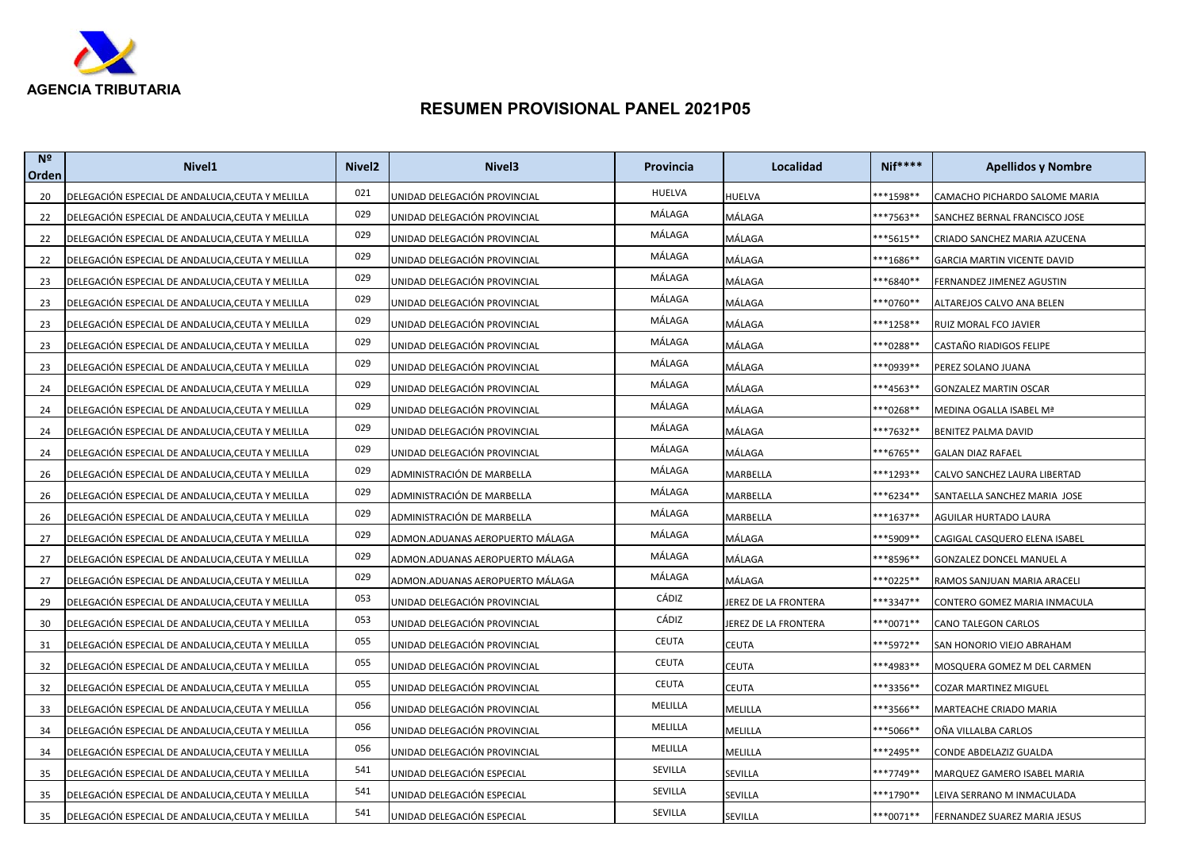

| N <sup>2</sup><br>Orden | Nivel <sub>1</sub>                                | Nivel <sub>2</sub> | Nivel <sub>3</sub>              | Provincia     | Localidad                   | $Nif***$  | <b>Apellidos y Nombre</b>          |
|-------------------------|---------------------------------------------------|--------------------|---------------------------------|---------------|-----------------------------|-----------|------------------------------------|
| 20                      | DELEGACIÓN ESPECIAL DE ANDALUCIA, CEUTA Y MELILLA | 021                | UNIDAD DELEGACIÓN PROVINCIAL    | <b>HUELVA</b> | HUELVA                      | **1598**  | CAMACHO PICHARDO SALOME MARIA      |
| 22                      | DELEGACIÓN ESPECIAL DE ANDALUCIA, CEUTA Y MELILLA | 029                | UNIDAD DELEGACIÓN PROVINCIAL    | MÁLAGA        | MÁLAGA                      | **7563**  | SANCHEZ BERNAL FRANCISCO JOSE      |
| 22                      | DELEGACIÓN ESPECIAL DE ANDALUCIA, CEUTA Y MELILLA | 029                | UNIDAD DELEGACIÓN PROVINCIAL    | MÁLAGA        | MÁLAGA                      | **5615**  | CRIADO SANCHEZ MARIA AZUCENA       |
| 22                      | DELEGACIÓN ESPECIAL DE ANDALUCIA, CEUTA Y MELILLA | 029                | UNIDAD DELEGACIÓN PROVINCIAL    | MÁLAGA        | MÁLAGA                      | **1686**  | <b>GARCIA MARTIN VICENTE DAVID</b> |
| 23                      | DELEGACIÓN ESPECIAL DE ANDALUCIA,CEUTA Y MELILLA  | 029                | UNIDAD DELEGACIÓN PROVINCIAL    | MÁLAGA        | MÁLAGA                      | **6840**  | FERNANDEZ JIMENEZ AGUSTIN          |
| 23                      | DELEGACIÓN ESPECIAL DE ANDALUCIA, CEUTA Y MELILLA | 029                | UNIDAD DELEGACIÓN PROVINCIAL    | MÁLAGA        | MÁLAGA                      | **0760**  | ALTAREJOS CALVO ANA BELEN          |
| 23                      | DELEGACIÓN ESPECIAL DE ANDALUCIA,CEUTA Y MELILLA  | 029                | UNIDAD DELEGACIÓN PROVINCIAL    | MÁLAGA        | MÁLAGA                      | **1258**  | RUIZ MORAL FCO JAVIER              |
| 23                      | DELEGACIÓN ESPECIAL DE ANDALUCIA, CEUTA Y MELILLA | 029                | UNIDAD DELEGACIÓN PROVINCIAL    | MÁLAGA        | MÁLAGA                      | **0288**  | CASTAÑO RIADIGOS FELIPE            |
| 23                      | DELEGACIÓN ESPECIAL DE ANDALUCIA,CEUTA Y MELILLA  | 029                | UNIDAD DELEGACIÓN PROVINCIAL    | MÁLAGA        | MÁLAGA                      | **0939**  | PEREZ SOLANO JUANA                 |
| 24                      | DELEGACIÓN ESPECIAL DE ANDALUCIA, CEUTA Y MELILLA | 029                | UNIDAD DELEGACIÓN PROVINCIAL    | MÁLAGA        | MÁLAGA                      | **4563**  | <b>GONZALEZ MARTIN OSCAR</b>       |
| 24                      | DELEGACIÓN ESPECIAL DE ANDALUCIA, CEUTA Y MELILLA | 029                | UNIDAD DELEGACIÓN PROVINCIAL    | MÁLAGA        | MÁLAGA                      | **0268**  | MEDINA OGALLA ISABEL Mª            |
| 24                      | DELEGACIÓN ESPECIAL DE ANDALUCIA, CEUTA Y MELILLA | 029                | UNIDAD DELEGACIÓN PROVINCIAL    | MÁLAGA        | MÁLAGA                      | ***7632** | <b>BENITEZ PALMA DAVID</b>         |
| 24                      | DELEGACIÓN ESPECIAL DE ANDALUCIA, CEUTA Y MELILLA | 029                | UNIDAD DELEGACIÓN PROVINCIAL    | MÁLAGA        | MÁLAGA                      | **6765**  | <b>GALAN DIAZ RAFAEL</b>           |
| 26                      | DELEGACIÓN ESPECIAL DE ANDALUCIA, CEUTA Y MELILLA | 029                | ADMINISTRACIÓN DE MARBELLA      | MÁLAGA        | MARBELLA                    | ***1293** | CALVO SANCHEZ LAURA LIBERTAD       |
| 26                      | DELEGACIÓN ESPECIAL DE ANDALUCIA, CEUTA Y MELILLA | 029                | ADMINISTRACIÓN DE MARBELLA      | MÁLAGA        | MARBELLA                    | **6234**  | SANTAELLA SANCHEZ MARIA JOSE       |
| 26                      | DELEGACIÓN ESPECIAL DE ANDALUCIA, CEUTA Y MELILLA | 029                | ADMINISTRACIÓN DE MARBELLA      | MÁLAGA        | MARBELLA                    | **1637**  | <b>AGUILAR HURTADO LAURA</b>       |
| 27                      | DELEGACIÓN ESPECIAL DE ANDALUCIA, CEUTA Y MELILLA | 029                | ADMON.ADUANAS AEROPUERTO MÁLAGA | MÁLAGA        | MÁLAGA                      | ***5909** | CAGIGAL CASQUERO ELENA ISABEL      |
| 27                      | DELEGACIÓN ESPECIAL DE ANDALUCIA,CEUTA Y MELILLA  | 029                | ADMON.ADUANAS AEROPUERTO MÁLAGA | MÁLAGA        | MÁLAGA                      | **8596**  | GONZALEZ DONCEL MANUEL A           |
| 27                      | DELEGACIÓN ESPECIAL DE ANDALUCIA, CEUTA Y MELILLA | 029                | ADMON.ADUANAS AEROPUERTO MÁLAGA | MÁLAGA        | MÁLAGA                      | **0225**  | RAMOS SANJUAN MARIA ARACELI        |
| 29                      | DELEGACIÓN ESPECIAL DE ANDALUCIA,CEUTA Y MELILLA  | 053                | UNIDAD DELEGACIÓN PROVINCIAL    | CÁDIZ         | JEREZ DE LA FRONTERA        | ***3347** | CONTERO GOMEZ MARIA INMACULA       |
| 30                      | DELEGACIÓN ESPECIAL DE ANDALUCIA, CEUTA Y MELILLA | 053                | UNIDAD DELEGACIÓN PROVINCIAL    | CÁDIZ         | <b>IEREZ DE LA FRONTERA</b> | **0071**  | CANO TALEGON CARLOS                |
| 31                      | DELEGACIÓN ESPECIAL DE ANDALUCIA, CEUTA Y MELILLA | 055                | UNIDAD DELEGACIÓN PROVINCIAL    | <b>CEUTA</b>  | CEUTA                       | ***5972** | SAN HONORIO VIEJO ABRAHAM          |
| 32                      | DELEGACIÓN ESPECIAL DE ANDALUCIA,CEUTA Y MELILLA  | 055                | JNIDAD DELEGACIÓN PROVINCIAL    | <b>CEUTA</b>  | CEUTA                       | **4983**  | MOSQUERA GOMEZ M DEL CARMEN        |
| 32                      | DELEGACIÓN ESPECIAL DE ANDALUCIA, CEUTA Y MELILLA | 055                | UNIDAD DELEGACIÓN PROVINCIAL    | <b>CEUTA</b>  | CEUTA                       | **3356**  | <b>COZAR MARTINEZ MIGUEL</b>       |
| 33                      | DELEGACIÓN ESPECIAL DE ANDALUCIA, CEUTA Y MELILLA | 056                | UNIDAD DELEGACIÓN PROVINCIAL    | MELILLA       | MELILLA                     | **3566**  | MARTEACHE CRIADO MARIA             |
| 34                      | DELEGACIÓN ESPECIAL DE ANDALUCIA, CEUTA Y MELILLA | 056                | UNIDAD DELEGACIÓN PROVINCIAL    | MELILLA       | MELILLA                     | ***5066** | OÑA VILLALBA CARLOS                |
| 34                      | DELEGACIÓN ESPECIAL DE ANDALUCIA, CEUTA Y MELILLA | 056                | UNIDAD DELEGACIÓN PROVINCIAL    | MELILLA       | MELILLA                     | **2495**  | CONDE ABDELAZIZ GUALDA             |
| 35                      | DELEGACIÓN ESPECIAL DE ANDALUCIA, CEUTA Y MELILLA | 541                | JNIDAD DELEGACIÓN ESPECIAL      | SEVILLA       | SEVILLA                     | **7749**  | MARQUEZ GAMERO ISABEL MARIA        |
| 35                      | DELEGACIÓN ESPECIAL DE ANDALUCIA, CEUTA Y MELILLA | 541                | UNIDAD DELEGACIÓN ESPECIAL      | SEVILLA       | SEVILLA                     | **1790**  | LEIVA SERRANO M INMACULADA         |
| 35                      | DELEGACIÓN ESPECIAL DE ANDALUCIA, CEUTA Y MELILLA | 541                | UNIDAD DELEGACIÓN ESPECIAL      | SEVILLA       | SEVILLA                     | ***0071** | FERNANDEZ SUAREZ MARIA JESUS       |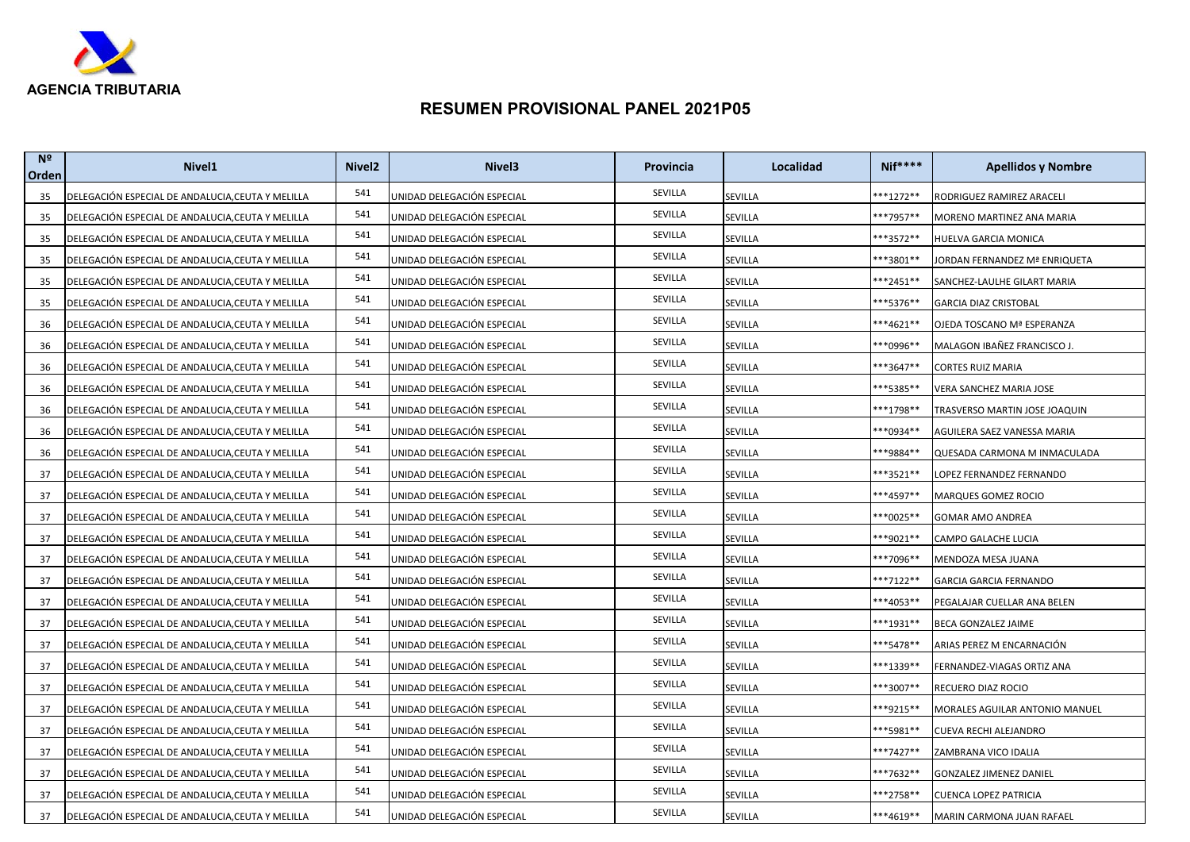

| N <sup>2</sup><br>Orden | Nivel <sub>1</sub>                                | Nivel <sub>2</sub> | Nivel3                     | Provincia | Localidad | $Nif***$             | <b>Apellidos y Nombre</b>      |
|-------------------------|---------------------------------------------------|--------------------|----------------------------|-----------|-----------|----------------------|--------------------------------|
| 35                      | DELEGACIÓN ESPECIAL DE ANDALUCIA, CEUTA Y MELILLA | 541                | UNIDAD DELEGACIÓN ESPECIAL | SEVILLA   | SEVILLA   | $**1272**$           | RODRIGUEZ RAMIREZ ARACELI      |
| 35                      | DELEGACIÓN ESPECIAL DE ANDALUCIA, CEUTA Y MELILLA | 541                | UNIDAD DELEGACIÓN ESPECIAL | SEVILLA   | SEVILLA   | <sup>**</sup> 7957** | MORENO MARTINEZ ANA MARIA      |
| 35                      | DELEGACIÓN ESPECIAL DE ANDALUCIA, CEUTA Y MELILLA | 541                | UNIDAD DELEGACIÓN ESPECIAL | SEVILLA   | SEVILLA   | **3572**             | HUELVA GARCIA MONICA           |
| 35                      | DELEGACIÓN ESPECIAL DE ANDALUCIA, CEUTA Y MELILLA | 541                | UNIDAD DELEGACIÓN ESPECIAL | SEVILLA   | SEVILLA   | **3801**             | JORDAN FERNANDEZ Mª ENRIQUETA  |
| 35                      | DELEGACIÓN ESPECIAL DE ANDALUCIA,CEUTA Y MELILLA  | 541                | UNIDAD DELEGACIÓN ESPECIAL | SEVILLA   | SEVILLA   | <sup>**</sup> 2451** | SANCHEZ-LAULHE GILART MARIA    |
| 35                      | DELEGACIÓN ESPECIAL DE ANDALUCIA, CEUTA Y MELILLA | 541                | UNIDAD DELEGACIÓN ESPECIAL | SEVILLA   | SEVILLA   | **5376**             | <b>GARCIA DIAZ CRISTOBAL</b>   |
| 36                      | DELEGACIÓN ESPECIAL DE ANDALUCIA,CEUTA Y MELILLA  | 541                | UNIDAD DELEGACIÓN ESPECIAL | SEVILLA   | SEVILLA   | $***4621**$          | OJEDA TOSCANO Mª ESPERANZA     |
| 36                      | DELEGACIÓN ESPECIAL DE ANDALUCIA, CEUTA Y MELILLA | 541                | UNIDAD DELEGACIÓN ESPECIAL | SEVILLA   | SEVILLA   | **0996**             | MALAGON IBAÑEZ FRANCISCO J.    |
| 36                      | DELEGACIÓN ESPECIAL DE ANDALUCIA, CEUTA Y MELILLA | 541                | UNIDAD DELEGACIÓN ESPECIAL | SEVILLA   | SEVILLA   | **3647**             | CORTES RUIZ MARIA              |
| 36                      | DELEGACIÓN ESPECIAL DE ANDALUCIA, CEUTA Y MELILLA | 541                | UNIDAD DELEGACIÓN ESPECIAL | SEVILLA   | SEVILLA   | **5385**             | VERA SANCHEZ MARIA JOSE        |
| 36                      | DELEGACIÓN ESPECIAL DE ANDALUCIA, CEUTA Y MELILLA | 541                | UNIDAD DELEGACIÓN ESPECIAL | SEVILLA   | SEVILLA   | **1798**             | TRASVERSO MARTIN JOSE JOAQUIN  |
| 36                      | DELEGACIÓN ESPECIAL DE ANDALUCIA, CEUTA Y MELILLA | 541                | UNIDAD DELEGACIÓN ESPECIAL | SEVILLA   | SEVILLA   | <sup>**0934**</sup>  | AGUILERA SAEZ VANESSA MARIA    |
| 36                      | DELEGACIÓN ESPECIAL DE ANDALUCIA,CEUTA Y MELILLA  | 541                | UNIDAD DELEGACIÓN ESPECIAL | SEVILLA   | SEVILLA   | **9884**             | QUESADA CARMONA M INMACULADA   |
| 37                      | DELEGACIÓN ESPECIAL DE ANDALUCIA, CEUTA Y MELILLA | 541                | UNIDAD DELEGACIÓN ESPECIAL | SEVILLA   | SEVILLA   | **3521**             | LOPEZ FERNANDEZ FERNANDO       |
| 37                      | DELEGACIÓN ESPECIAL DE ANDALUCIA,CEUTA Y MELILLA  | 541                | UNIDAD DELEGACIÓN ESPECIAL | SEVILLA   | SEVILLA   | **4597**             | MARQUES GOMEZ ROCIO            |
| 37                      | DELEGACIÓN ESPECIAL DE ANDALUCIA, CEUTA Y MELILLA | 541                | UNIDAD DELEGACIÓN ESPECIAL | SEVILLA   | SEVILLA   | **0025**             | GOMAR AMO ANDREA               |
| 37                      | DELEGACIÓN ESPECIAL DE ANDALUCIA, CEUTA Y MELILLA | 541                | UNIDAD DELEGACIÓN ESPECIAL | SEVILLA   | SEVILLA   | ***9021**            | CAMPO GALACHE LUCIA            |
| 37                      | DELEGACIÓN ESPECIAL DE ANDALUCIA,CEUTA Y MELILLA  | 541                | UNIDAD DELEGACIÓN ESPECIAL | SEVILLA   | SEVILLA   | ***7096**            | MENDOZA MESA JUANA             |
| 37                      | DELEGACIÓN ESPECIAL DE ANDALUCIA, CEUTA Y MELILLA | 541                | UNIDAD DELEGACIÓN ESPECIAL | SEVILLA   | SEVILLA   | **7122**             | GARCIA GARCIA FERNANDO         |
| 37                      | DELEGACIÓN ESPECIAL DE ANDALUCIA,CEUTA Y MELILLA  | 541                | UNIDAD DELEGACIÓN ESPECIAL | SEVILLA   | SEVILLA   | ***4053**            | PEGALAJAR CUELLAR ANA BELEN    |
| 37                      | DELEGACIÓN ESPECIAL DE ANDALUCIA, CEUTA Y MELILLA | 541                | UNIDAD DELEGACIÓN ESPECIAL | SEVILLA   | SEVILLA   | **1931**             | BECA GONZALEZ JAIME            |
| 37                      | DELEGACIÓN ESPECIAL DE ANDALUCIA, CEUTA Y MELILLA | 541                | UNIDAD DELEGACIÓN ESPECIAL | SEVILLA   | SEVILLA   | **5478**             | ARIAS PEREZ M ENCARNACIÓN      |
| 37                      | DELEGACIÓN ESPECIAL DE ANDALUCIA, CEUTA Y MELILLA | 541                | UNIDAD DELEGACIÓN ESPECIAL | SEVILLA   | SEVILLA   | **1339**             | FERNANDEZ-VIAGAS ORTIZ ANA     |
| 37                      | DELEGACIÓN ESPECIAL DE ANDALUCIA,CEUTA Y MELILLA  | 541                | UNIDAD DELEGACIÓN ESPECIAL | SEVILLA   | SEVILLA   | **3007**             | RECUERO DIAZ ROCIO             |
| 37                      | DELEGACIÓN ESPECIAL DE ANDALUCIA,CEUTA Y MELILLA  | 541                | UNIDAD DELEGACIÓN ESPECIAL | SEVILLA   | SEVILLA   | **9215**             | MORALES AGUILAR ANTONIO MANUEL |
| 37                      | DELEGACIÓN ESPECIAL DE ANDALUCIA,CEUTA Y MELILLA  | 541                | UNIDAD DELEGACIÓN ESPECIAL | SEVILLA   | SEVILLA   | **5981**             | CUEVA RECHI ALEJANDRO          |
| 37                      | DELEGACIÓN ESPECIAL DE ANDALUCIA, CEUTA Y MELILLA | 541                | UNIDAD DELEGACIÓN ESPECIAL | SEVILLA   | SEVILLA   | **7427**             | ZAMBRANA VICO IDALIA           |
| 37                      | DELEGACIÓN ESPECIAL DE ANDALUCIA,CEUTA Y MELILLA  | 541                | UNIDAD DELEGACIÓN ESPECIAL | SEVILLA   | SEVILLA   | **7632**             | GONZALEZ JIMENEZ DANIEL        |
| 37                      | DELEGACIÓN ESPECIAL DE ANDALUCIA, CEUTA Y MELILLA | 541                | UNIDAD DELEGACIÓN ESPECIAL | SEVILLA   | SEVILLA   | ***2758**            | CUENCA LOPEZ PATRICIA          |
| 37                      | DELEGACIÓN ESPECIAL DE ANDALUCIA, CEUTA Y MELILLA | 541                | UNIDAD DELEGACIÓN ESPECIAL | SEVILLA   | SEVILLA   | ***4619**            | MARIN CARMONA JUAN RAFAEL      |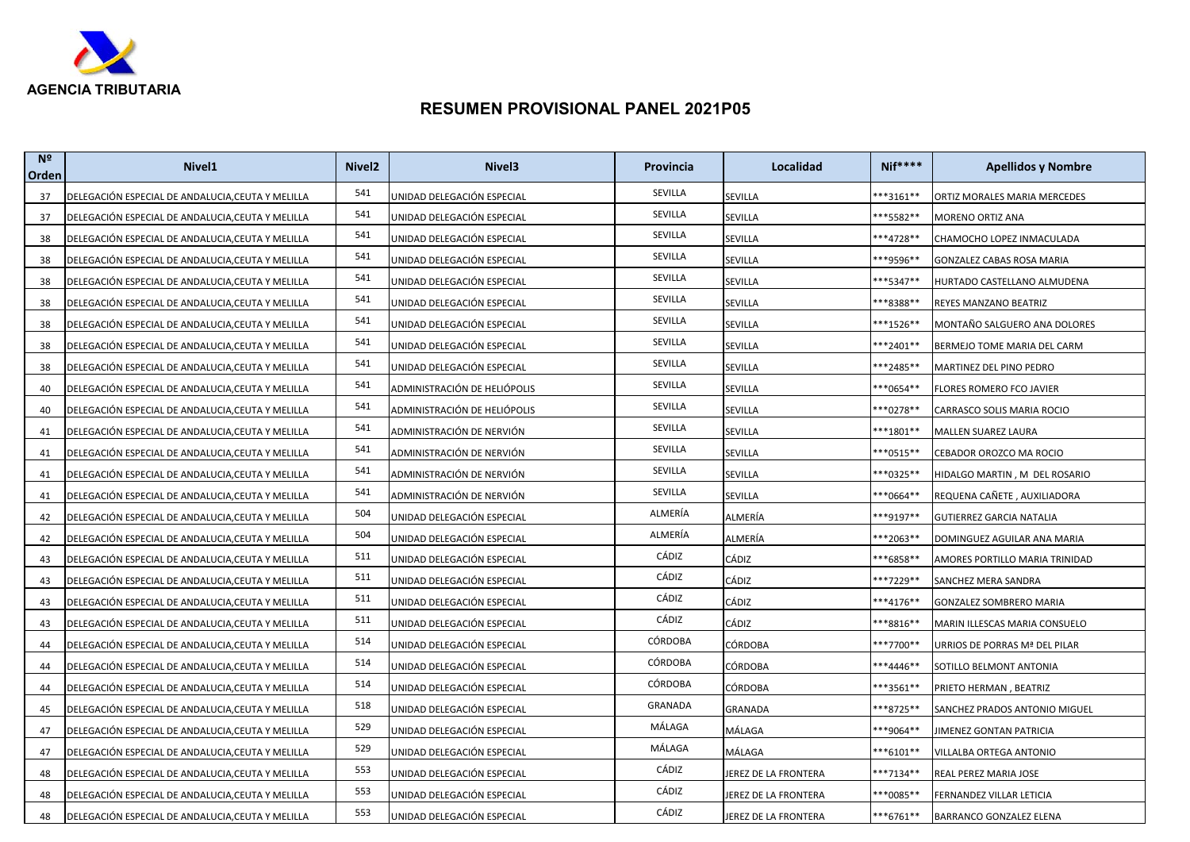

| N <sup>2</sup><br>Orden | Nivel <sub>1</sub>                                | Nivel <sub>2</sub> | Nivel <sub>3</sub>           | Provincia      | Localidad            | <b>Nif****</b>       | <b>Apellidos y Nombre</b>       |
|-------------------------|---------------------------------------------------|--------------------|------------------------------|----------------|----------------------|----------------------|---------------------------------|
| 37                      | DELEGACIÓN ESPECIAL DE ANDALUCIA, CEUTA Y MELILLA | 541                | UNIDAD DELEGACIÓN ESPECIAL   | SEVILLA        | SEVILLA              | **3161**             | ORTIZ MORALES MARIA MERCEDES    |
| 37                      | DELEGACIÓN ESPECIAL DE ANDALUCIA,CEUTA Y MELILLA  | 541                | UNIDAD DELEGACIÓN ESPECIAL   | SEVILLA        | SEVILLA              | **5582**             | MORENO ORTIZ ANA                |
| 38                      | DELEGACIÓN ESPECIAL DE ANDALUCIA, CEUTA Y MELILLA | 541                | UNIDAD DELEGACIÓN ESPECIAL   | SEVILLA        | SEVILLA              | **4728**             | CHAMOCHO LOPEZ INMACULADA       |
| 38                      | DELEGACIÓN ESPECIAL DE ANDALUCIA, CEUTA Y MELILLA | 541                | UNIDAD DELEGACIÓN ESPECIAL   | SEVILLA        | SEVILLA              | **9596**             | GONZALEZ CABAS ROSA MARIA       |
| 38                      | DELEGACIÓN ESPECIAL DE ANDALUCIA, CEUTA Y MELILLA | 541                | UNIDAD DELEGACIÓN ESPECIAL   | SEVILLA        | SEVILLA              | <sup>**</sup> 5347** | HURTADO CASTELLANO ALMUDENA     |
| 38                      | DELEGACIÓN ESPECIAL DE ANDALUCIA, CEUTA Y MELILLA | 541                | UNIDAD DELEGACIÓN ESPECIAL   | SEVILLA        | SEVILLA              | **8388**             | REYES MANZANO BEATRIZ           |
| 38                      | DELEGACIÓN ESPECIAL DE ANDALUCIA, CEUTA Y MELILLA | 541                | UNIDAD DELEGACIÓN ESPECIAL   | SEVILLA        | SEVILLA              | ***1526**            | MONTAÑO SALGUERO ANA DOLORES    |
| 38                      | DELEGACIÓN ESPECIAL DE ANDALUCIA, CEUTA Y MELILLA | 541                | UNIDAD DELEGACIÓN ESPECIAL   | SEVILLA        | SEVILLA              | **2401**             | BERMEJO TOME MARIA DEL CARM     |
| 38                      | DELEGACIÓN ESPECIAL DE ANDALUCIA, CEUTA Y MELILLA | 541                | UNIDAD DELEGACIÓN ESPECIAL   | SEVILLA        | SEVILLA              | ***2485**            | MARTINEZ DEL PINO PEDRO         |
| 40                      | DELEGACIÓN ESPECIAL DE ANDALUCIA, CEUTA Y MELILLA | 541                | ADMINISTRACIÓN DE HELIÓPOLIS | SEVILLA        | SEVILLA              | **0654**             | FLORES ROMERO FCO JAVIER        |
| 40                      | DELEGACIÓN ESPECIAL DE ANDALUCIA, CEUTA Y MELILLA | 541                | ADMINISTRACIÓN DE HELIÓPOLIS | SEVILLA        | SEVILLA              | ***0278**            | CARRASCO SOLIS MARIA ROCIO      |
| 41                      | DELEGACIÓN ESPECIAL DE ANDALUCIA, CEUTA Y MELILLA | 541                | ADMINISTRACIÓN DE NERVIÓN    | SEVILLA        | SEVILLA              | **1801**             | MALLEN SUAREZ LAURA             |
| 41                      | DELEGACIÓN ESPECIAL DE ANDALUCIA, CEUTA Y MELILLA | 541                | ADMINISTRACIÓN DE NERVIÓN    | SEVILLA        | SEVILLA              | **0515**             | CEBADOR OROZCO MA ROCIO         |
| 41                      | DELEGACIÓN ESPECIAL DE ANDALUCIA, CEUTA Y MELILLA | 541                | ADMINISTRACIÓN DE NERVIÓN    | SEVILLA        | SEVILLA              | **0325**             | HIDALGO MARTIN , M DEL ROSARIO  |
| 41                      | DELEGACIÓN ESPECIAL DE ANDALUCIA, CEUTA Y MELILLA | 541                | ADMINISTRACIÓN DE NERVIÓN    | SEVILLA        | SEVILLA              | **0664**             | REQUENA CAÑETE , AUXILIADORA    |
| 42                      | DELEGACIÓN ESPECIAL DE ANDALUCIA, CEUTA Y MELILLA | 504                | UNIDAD DELEGACIÓN ESPECIAL   | ALMERÍA        | ALMERÍA              | <sup>**9</sup> 197** | <b>GUTIERREZ GARCIA NATALIA</b> |
| 42                      | DELEGACIÓN ESPECIAL DE ANDALUCIA, CEUTA Y MELILLA | 504                | UNIDAD DELEGACIÓN ESPECIAL   | ALMERÍA        | ALMERÍA              | **2063**             | DOMINGUEZ AGUILAR ANA MARIA     |
| 43                      | DELEGACIÓN ESPECIAL DE ANDALUCIA, CEUTA Y MELILLA | 511                | UNIDAD DELEGACIÓN ESPECIAL   | CÁDIZ          | CÁDIZ                | **6858**             | AMORES PORTILLO MARIA TRINIDAD  |
| 43                      | DELEGACIÓN ESPECIAL DE ANDALUCIA,CEUTA Y MELILLA  | 511                | UNIDAD DELEGACIÓN ESPECIAL   | CÁDIZ          | CÁDIZ                | **7229**             | SANCHEZ MERA SANDRA             |
| 43                      | DELEGACIÓN ESPECIAL DE ANDALUCIA, CEUTA Y MELILLA | 511                | UNIDAD DELEGACIÓN ESPECIAL   | CÁDIZ          | CÁDIZ                | ***4176**            | GONZALEZ SOMBRERO MARIA         |
| 43                      | DELEGACIÓN ESPECIAL DE ANDALUCIA, CEUTA Y MELILLA | 511                | UNIDAD DELEGACIÓN ESPECIAL   | CÁDIZ          | CÁDIZ                | **8816**             | MARIN ILLESCAS MARIA CONSUELO   |
| 44                      | DELEGACIÓN ESPECIAL DE ANDALUCIA, CEUTA Y MELILLA | 514                | UNIDAD DELEGACIÓN ESPECIAL   | <b>CÓRDOBA</b> | CÓRDOBA              | ***7700**            | URRIOS DE PORRAS Mª DEL PILAR   |
| 44                      | DELEGACIÓN ESPECIAL DE ANDALUCIA, CEUTA Y MELILLA | 514                | UNIDAD DELEGACIÓN ESPECIAL   | <b>CÓRDOBA</b> | CÓRDOBA              | ***4446**            | SOTILLO BELMONT ANTONIA         |
| 44                      | DELEGACIÓN ESPECIAL DE ANDALUCIA,CEUTA Y MELILLA  | 514                | UNIDAD DELEGACIÓN ESPECIAL   | <b>CÓRDOBA</b> | CÓRDOBA              | **3561**             | PRIETO HERMAN , BEATRIZ         |
| 45                      | DELEGACIÓN ESPECIAL DE ANDALUCIA, CEUTA Y MELILLA | 518                | UNIDAD DELEGACIÓN ESPECIAL   | GRANADA        | GRANADA              | **8725**             | SANCHEZ PRADOS ANTONIO MIGUEL   |
| 47                      | DELEGACIÓN ESPECIAL DE ANDALUCIA,CEUTA Y MELILLA  | 529                | UNIDAD DELEGACIÓN ESPECIAL   | MÁLAGA         | MÁLAGA               | ***9064**            | JIMENEZ GONTAN PATRICIA         |
| 47                      | DELEGACIÓN ESPECIAL DE ANDALUCIA, CEUTA Y MELILLA | 529                | UNIDAD DELEGACIÓN ESPECIAL   | MÁLAGA         | MÁLAGA               | **6101**             | VILLALBA ORTEGA ANTONIO         |
| 48                      | DELEGACIÓN ESPECIAL DE ANDALUCIA, CEUTA Y MELILLA | 553                | UNIDAD DELEGACIÓN ESPECIAL   | CÁDIZ          | JEREZ DE LA FRONTERA | ***7134**            | REAL PEREZ MARIA JOSE           |
| 48                      | DELEGACIÓN ESPECIAL DE ANDALUCIA, CEUTA Y MELILLA | 553                | UNIDAD DELEGACIÓN ESPECIAL   | CÁDIZ          | JEREZ DE LA FRONTERA | ***0085**            | FERNANDEZ VILLAR LETICIA        |
| 48                      | DELEGACIÓN ESPECIAL DE ANDALUCIA, CEUTA Y MELILLA | 553                | UNIDAD DELEGACIÓN ESPECIAL   | CÁDIZ          | JEREZ DE LA FRONTERA | ***6761**            | BARRANCO GONZALEZ ELENA         |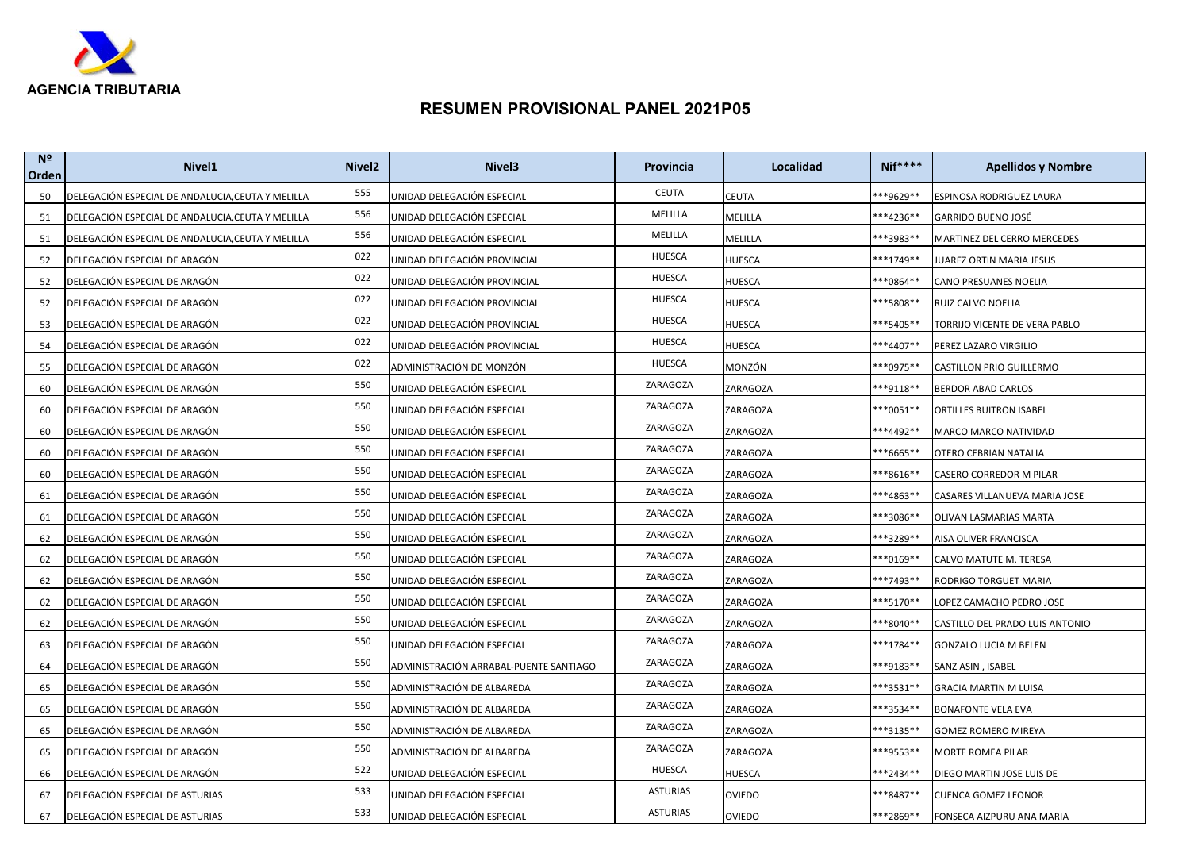

| N <sup>2</sup><br>Orden | Nivel <sub>1</sub>                                | Nivel <sub>2</sub> | Nivel <sub>3</sub>                     | Provincia       | Localidad     | <b>Nif****</b>       | <b>Apellidos y Nombre</b>       |
|-------------------------|---------------------------------------------------|--------------------|----------------------------------------|-----------------|---------------|----------------------|---------------------------------|
| 50                      | DELEGACIÓN ESPECIAL DE ANDALUCIA, CEUTA Y MELILLA | 555                | UNIDAD DELEGACIÓN ESPECIAL             | <b>CEUTA</b>    | CEUTA         | **9629**             | ESPINOSA RODRIGUEZ LAURA        |
| 51                      | DELEGACIÓN ESPECIAL DE ANDALUCIA,CEUTA Y MELILLA  | 556                | UNIDAD DELEGACIÓN ESPECIAL             | MELILLA         | MELILLA       | <sup>**4236**</sup>  | GARRIDO BUENO JOSÉ              |
| 51                      | DELEGACIÓN ESPECIAL DE ANDALUCIA, CEUTA Y MELILLA | 556                | UNIDAD DELEGACIÓN ESPECIAL             | MELILLA         | MELILLA       | **3983**             | MARTINEZ DEL CERRO MERCEDES     |
| 52                      | DELEGACIÓN ESPECIAL DE ARAGÓN                     | 022                | UNIDAD DELEGACIÓN PROVINCIAL           | <b>HUESCA</b>   | HUESCA        | **1749**             | JUAREZ ORTIN MARIA JESUS        |
| 52                      | DELEGACIÓN ESPECIAL DE ARAGÓN                     | 022                | UNIDAD DELEGACIÓN PROVINCIAL           | <b>HUESCA</b>   | HUESCA        | **0864**             | CANO PRESUANES NOELIA           |
| 52                      | DELEGACIÓN ESPECIAL DE ARAGÓN                     | 022                | UNIDAD DELEGACIÓN PROVINCIAL           | <b>HUESCA</b>   | HUESCA        | **5808**             | RUIZ CALVO NOELIA               |
| 53                      | DELEGACIÓN ESPECIAL DE ARAGÓN                     | 022                | UNIDAD DELEGACIÓN PROVINCIAL           | <b>HUESCA</b>   | HUESCA        | **5405**             | TORRIJO VICENTE DE VERA PABLO   |
| 54                      | DELEGACIÓN ESPECIAL DE ARAGÓN                     | 022                | UNIDAD DELEGACIÓN PROVINCIAL           | <b>HUESCA</b>   | HUESCA        | **4407**             | PEREZ LAZARO VIRGILIO           |
| 55                      | DELEGACIÓN ESPECIAL DE ARAGÓN                     | 022                | ADMINISTRACIÓN DE MONZÓN               | HUESCA          | MONZÓN        | ***0975**            | CASTILLON PRIO GUILLERMO        |
| 60                      | DELEGACIÓN ESPECIAL DE ARAGÓN                     | 550                | UNIDAD DELEGACIÓN ESPECIAL             | ZARAGOZA        | ZARAGOZA      | **9118**             | <b>BERDOR ABAD CARLOS</b>       |
| 60                      | DELEGACIÓN ESPECIAL DE ARAGÓN                     | 550                | UNIDAD DELEGACIÓN ESPECIAL             | ZARAGOZA        | ZARAGOZA      | ***0051**            | ORTILLES BUITRON ISABEL         |
| 60                      | DELEGACIÓN ESPECIAL DE ARAGÓN                     | 550                | UNIDAD DELEGACIÓN ESPECIAL             | ZARAGOZA        | ZARAGOZA      | <sup>**</sup> 4492** | MARCO MARCO NATIVIDAD           |
| 60                      | DELEGACIÓN ESPECIAL DE ARAGÓN                     | 550                | UNIDAD DELEGACIÓN ESPECIAL             | ZARAGOZA        | ZARAGOZA      | **6665**             | OTERO CEBRIAN NATALIA           |
| 60                      | DELEGACIÓN ESPECIAL DE ARAGÓN                     | 550                | UNIDAD DELEGACIÓN ESPECIAL             | ZARAGOZA        | ZARAGOZA      | **8616**             | CASERO CORREDOR M PILAR         |
| 61                      | DELEGACIÓN ESPECIAL DE ARAGÓN                     | 550                | UNIDAD DELEGACIÓN ESPECIAL             | ZARAGOZA        | ZARAGOZA      | **4863**             | CASARES VILLANUEVA MARIA JOSE   |
| 61                      | DELEGACIÓN ESPECIAL DE ARAGÓN                     | 550                | UNIDAD DELEGACIÓN ESPECIAL             | ZARAGOZA        | ZARAGOZA      | **3086**             | OLIVAN LASMARIAS MARTA          |
| 62                      | DELEGACIÓN ESPECIAL DE ARAGÓN                     | 550                | UNIDAD DELEGACIÓN ESPECIAL             | ZARAGOZA        | ZARAGOZA      | **3289**             | AISA OLIVER FRANCISCA           |
| 62                      | DELEGACIÓN ESPECIAL DE ARAGÓN                     | 550                | UNIDAD DELEGACIÓN ESPECIAL             | ZARAGOZA        | ZARAGOZA      | ***0169**            | CALVO MATUTE M. TERESA          |
| 62                      | DELEGACIÓN ESPECIAL DE ARAGÓN                     | 550                | UNIDAD DELEGACIÓN ESPECIAL             | ZARAGOZA        | ZARAGOZA      | **7493**             | RODRIGO TORGUET MARIA           |
| 62                      | DELEGACIÓN ESPECIAL DE ARAGÓN                     | 550                | UNIDAD DELEGACIÓN ESPECIAL             | ZARAGOZA        | ZARAGOZA      | ***5170**            | LOPEZ CAMACHO PEDRO JOSE        |
| 62                      | DELEGACIÓN ESPECIAL DE ARAGÓN                     | 550                | UNIDAD DELEGACIÓN ESPECIAL             | ZARAGOZA        | ZARAGOZA      | **8040**             | CASTILLO DEL PRADO LUIS ANTONIO |
| 63                      | DELEGACIÓN ESPECIAL DE ARAGÓN                     | 550                | UNIDAD DELEGACIÓN ESPECIAL             | ZARAGOZA        | ZARAGOZA      | ***1784**            | <b>GONZALO LUCIA M BELEN</b>    |
| 64                      | DELEGACIÓN ESPECIAL DE ARAGÓN                     | 550                | ADMINISTRACIÓN ARRABAL-PUENTE SANTIAGO | ZARAGOZA        | ZARAGOZA      | ***9183**            | SANZ ASIN, ISABEL               |
| 65                      | DELEGACIÓN ESPECIAL DE ARAGÓN                     | 550                | ADMINISTRACIÓN DE ALBAREDA             | ZARAGOZA        | ZARAGOZA      | **3531**             | <b>GRACIA MARTIN M LUISA</b>    |
| 65                      | DELEGACIÓN ESPECIAL DE ARAGÓN                     | 550                | ADMINISTRACIÓN DE ALBAREDA             | ZARAGOZA        | ZARAGOZA      | **3534**             | <b>BONAFONTE VELA EVA</b>       |
| 65                      | DELEGACIÓN ESPECIAL DE ARAGÓN                     | 550                | ADMINISTRACIÓN DE ALBAREDA             | ZARAGOZA        | ZARAGOZA      | ***3135**            | GOMEZ ROMERO MIREYA             |
| 65                      | DELEGACIÓN ESPECIAL DE ARAGÓN                     | 550                | ADMINISTRACIÓN DE ALBAREDA             | ZARAGOZA        | ZARAGOZA      | <sup>**9553**</sup>  | MORTE ROMEA PILAR               |
| 66                      | DELEGACIÓN ESPECIAL DE ARAGÓN                     | 522                | UNIDAD DELEGACIÓN ESPECIAL             | HUESCA          | HUESCA        | **2434**             | DIEGO MARTIN JOSE LUIS DE       |
| 67                      | DELEGACIÓN ESPECIAL DE ASTURIAS                   | 533                | UNIDAD DELEGACIÓN ESPECIAL             | <b>ASTURIAS</b> | OVIEDO        | **8487**             | <b>CUENCA GOMEZ LEONOR</b>      |
| 67                      | DELEGACIÓN ESPECIAL DE ASTURIAS                   | 533                | UNIDAD DELEGACIÓN ESPECIAL             | <b>ASTURIAS</b> | <b>OVIEDO</b> | **2869**             | FONSECA AIZPURU ANA MARIA       |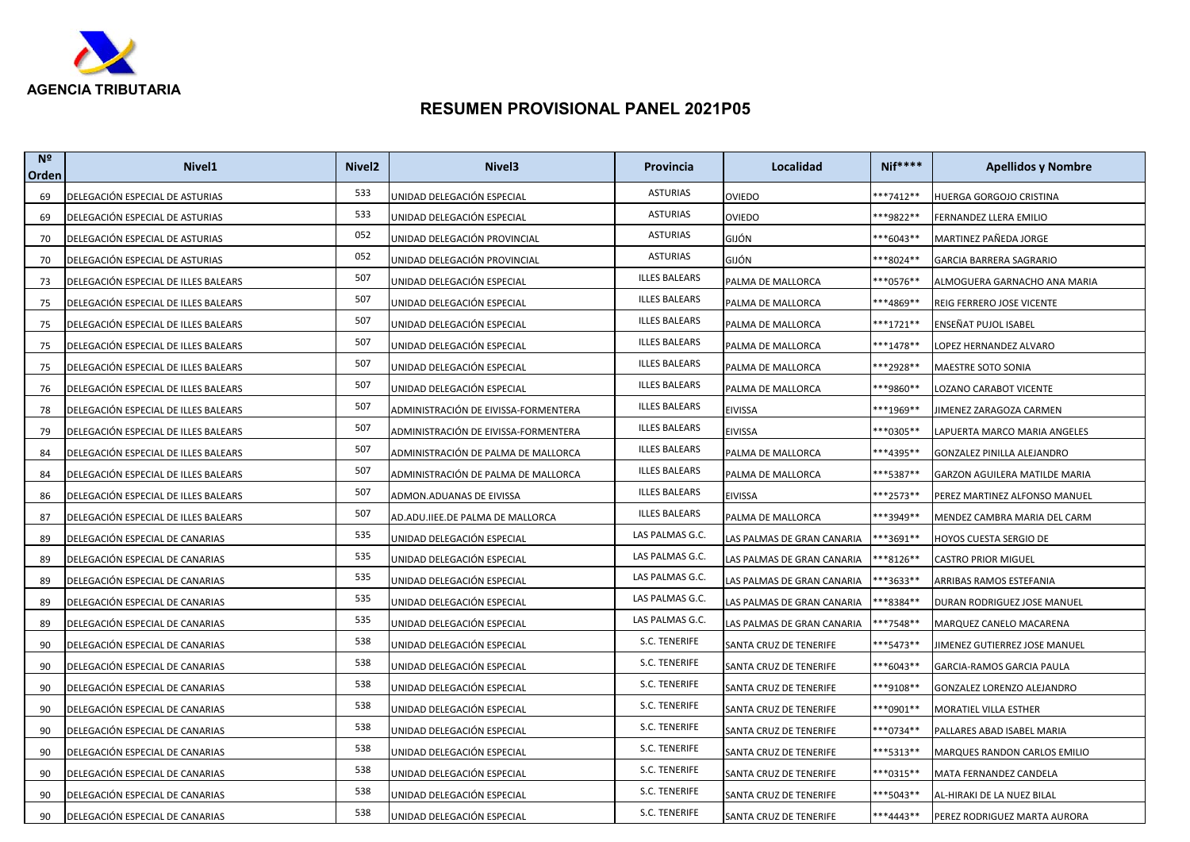

| N <sup>2</sup><br>Orden | Nivel <sub>1</sub>                   | Nivel <sub>2</sub> | Nivel <sub>3</sub>                   | Provincia            | Localidad                  | <b>Nif****</b>       | <b>Apellidos y Nombre</b>      |
|-------------------------|--------------------------------------|--------------------|--------------------------------------|----------------------|----------------------------|----------------------|--------------------------------|
| 69                      | DELEGACIÓN ESPECIAL DE ASTURIAS      | 533                | UNIDAD DELEGACIÓN ESPECIAL           | <b>ASTURIAS</b>      | <b>OVIEDO</b>              | $***7412**$          | HUERGA GORGOJO CRISTINA        |
| 69                      | DELEGACIÓN ESPECIAL DE ASTURIAS      | 533                | UNIDAD DELEGACIÓN ESPECIAL           | <b>ASTURIAS</b>      | OVIEDO                     | **9822**             | FERNANDEZ LLERA EMILIO         |
| 70                      | DELEGACIÓN ESPECIAL DE ASTURIAS      | 052                | UNIDAD DELEGACIÓN PROVINCIAL         | <b>ASTURIAS</b>      | GIJÓN                      | **6043**             | MARTINEZ PAÑEDA JORGE          |
| 70                      | DELEGACIÓN ESPECIAL DE ASTURIAS      | 052                | UNIDAD DELEGACIÓN PROVINCIAL         | <b>ASTURIAS</b>      | GIJÓN                      | **8024**             | GARCIA BARRERA SAGRARIO        |
| 73                      | DELEGACIÓN ESPECIAL DE ILLES BALEARS | 507                | UNIDAD DELEGACIÓN ESPECIAL           | <b>ILLES BALEARS</b> | PALMA DE MALLORCA          | **0576**             | ALMOGUERA GARNACHO ANA MARIA   |
| 75                      | DELEGACIÓN ESPECIAL DE ILLES BALEARS | 507                | UNIDAD DELEGACIÓN ESPECIAL           | <b>ILLES BALEARS</b> | PALMA DE MALLORCA          | ***4869**            | REIG FERRERO JOSE VICENTE      |
| 75                      | DELEGACIÓN ESPECIAL DE ILLES BALEARS | 507                | UNIDAD DELEGACIÓN ESPECIAL           | <b>ILLES BALEARS</b> | PALMA DE MALLORCA          | ***1721**            | ENSEÑAT PUJOL ISABEL           |
| 75                      | DELEGACIÓN ESPECIAL DE ILLES BALEARS | 507                | UNIDAD DELEGACIÓN ESPECIAL           | <b>ILLES BALEARS</b> | PALMA DE MALLORCA          | ***1478**            | LOPEZ HERNANDEZ ALVARO         |
| 75                      | DELEGACIÓN ESPECIAL DE ILLES BALEARS | 507                | UNIDAD DELEGACIÓN ESPECIAL           | <b>ILLES BALEARS</b> | PALMA DE MALLORCA          | ***2928**            | MAESTRE SOTO SONIA             |
| 76                      | DELEGACIÓN ESPECIAL DE ILLES BALEARS | 507                | UNIDAD DELEGACIÓN ESPECIAL           | <b>ILLES BALEARS</b> | PALMA DE MALLORCA          | **9860**             | LOZANO CARABOT VICENTE         |
| 78                      | DELEGACIÓN ESPECIAL DE ILLES BALEARS | 507                | ADMINISTRACIÓN DE EIVISSA-FORMENTERA | <b>ILLES BALEARS</b> | EIVISSA                    | ***1969**            | <b>IIMENEZ ZARAGOZA CARMEN</b> |
| 79                      | DELEGACIÓN ESPECIAL DE ILLES BALEARS | 507                | ADMINISTRACIÓN DE EIVISSA-FORMENTERA | <b>ILLES BALEARS</b> | <b>EIVISSA</b>             | **0305**             | LAPUERTA MARCO MARIA ANGELES   |
| 84                      | DELEGACIÓN ESPECIAL DE ILLES BALEARS | 507                | ADMINISTRACIÓN DE PALMA DE MALLORCA  | <b>ILLES BALEARS</b> | PALMA DE MALLORCA          | ***4395**            | GONZALEZ PINILLA ALEJANDRO     |
| 84                      | DELEGACIÓN ESPECIAL DE ILLES BALEARS | 507                | ADMINISTRACIÓN DE PALMA DE MALLORCA  | <b>ILLES BALEARS</b> | PALMA DE MALLORCA          | ***5387**            | GARZON AGUILERA MATILDE MARIA  |
| 86                      | DELEGACIÓN ESPECIAL DE ILLES BALEARS | 507                | ADMON.ADUANAS DE EIVISSA             | <b>ILLES BALEARS</b> | EIVISSA                    | **2573**             | PEREZ MARTINEZ ALFONSO MANUEL  |
| 87                      | DELEGACIÓN ESPECIAL DE ILLES BALEARS | 507                | AD.ADU.IIEE.DE PALMA DE MALLORCA     | <b>ILLES BALEARS</b> | PALMA DE MALLORCA          | <sup>**</sup> 3949** | MENDEZ CAMBRA MARIA DEL CARM   |
| 89                      | DELEGACIÓN ESPECIAL DE CANARIAS      | 535                | UNIDAD DELEGACIÓN ESPECIAL           | LAS PALMAS G.C.      | LAS PALMAS DE GRAN CANARIA | ***3691**            | HOYOS CUESTA SERGIO DE         |
| 89                      | DELEGACIÓN ESPECIAL DE CANARIAS      | 535                | UNIDAD DELEGACIÓN ESPECIAL           | LAS PALMAS G.C.      | LAS PALMAS DE GRAN CANARIA | <sup>**8126**</sup>  | <b>CASTRO PRIOR MIGUEL</b>     |
| 89                      | DELEGACIÓN ESPECIAL DE CANARIAS      | 535                | UNIDAD DELEGACIÓN ESPECIAL           | LAS PALMAS G.C.      | LAS PALMAS DE GRAN CANARIA | **3633**             | ARRIBAS RAMOS ESTEFANIA        |
| 89                      | DELEGACIÓN ESPECIAL DE CANARIAS      | 535                | UNIDAD DELEGACIÓN ESPECIAL           | LAS PALMAS G.C.      | LAS PALMAS DE GRAN CANARIA | **8384**             | DURAN RODRIGUEZ JOSE MANUEL    |
| 89                      | DELEGACIÓN ESPECIAL DE CANARIAS      | 535                | UNIDAD DELEGACIÓN ESPECIAL           | LAS PALMAS G.C.      | LAS PALMAS DE GRAN CANARIA | **7548**             | MARQUEZ CANELO MACARENA        |
| 90                      | DELEGACIÓN ESPECIAL DE CANARIAS      | 538                | UNIDAD DELEGACIÓN ESPECIAL           | S.C. TENERIFE        | SANTA CRUZ DE TENERIFE     | **5473**             | JIMENEZ GUTIERREZ JOSE MANUEL  |
| 90                      | DELEGACIÓN ESPECIAL DE CANARIAS      | 538                | UNIDAD DELEGACIÓN ESPECIAL           | S.C. TENERIFE        | SANTA CRUZ DE TENERIFE     | ***6043**            | GARCIA-RAMOS GARCIA PAULA      |
| 90                      | DELEGACIÓN ESPECIAL DE CANARIAS      | 538                | UNIDAD DELEGACIÓN ESPECIAL           | S.C. TENERIFE        | SANTA CRUZ DE TENERIFE     | ***9108**            | GONZALEZ LORENZO ALEJANDRO     |
| 90                      | DELEGACIÓN ESPECIAL DE CANARIAS      | 538                | UNIDAD DELEGACIÓN ESPECIAL           | S.C. TENERIFE        | SANTA CRUZ DE TENERIFE     | **0901**             | MORATIEL VILLA ESTHER          |
| 90                      | DELEGACIÓN ESPECIAL DE CANARIAS      | 538                | UNIDAD DELEGACIÓN ESPECIAL           | S.C. TENERIFE        | SANTA CRUZ DE TENERIFE     | ***0734**            | PALLARES ABAD ISABEL MARIA     |
| 90                      | DELEGACIÓN ESPECIAL DE CANARIAS      | 538                | UNIDAD DELEGACIÓN ESPECIAL           | S.C. TENERIFE        | SANTA CRUZ DE TENERIFE     | **5313**             | MARQUES RANDON CARLOS EMILIO   |
| 90                      | DELEGACIÓN ESPECIAL DE CANARIAS      | 538                | UNIDAD DELEGACIÓN ESPECIAL           | S.C. TENERIFE        | SANTA CRUZ DE TENERIFE     | ***0315**            | MATA FERNANDEZ CANDELA         |
| 90                      | DELEGACIÓN ESPECIAL DE CANARIAS      | 538                | UNIDAD DELEGACIÓN ESPECIAL           | S.C. TENERIFE        | SANTA CRUZ DE TENERIFE     | ***5043**            | AL-HIRAKI DE LA NUEZ BILAL     |
| 90                      | DELEGACIÓN ESPECIAL DE CANARIAS      | 538                | UNIDAD DELEGACIÓN ESPECIAL           | S.C. TENERIFE        | SANTA CRUZ DE TENERIFE     | ***4443**            | PEREZ RODRIGUEZ MARTA AURORA   |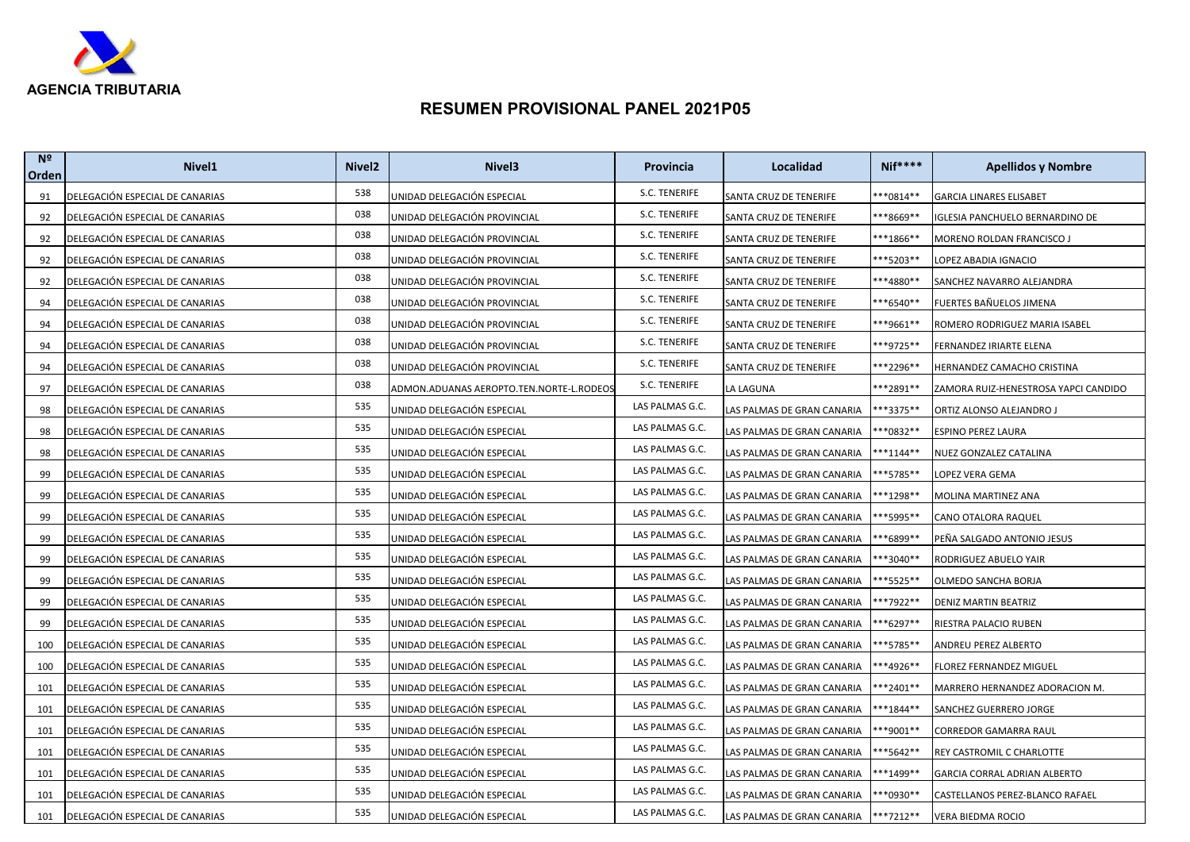

| N <sup>2</sup><br>Orden | Nivel <sub>1</sub>              | Nivel <sub>2</sub> | Nivel <sub>3</sub>                       | Provincia       | Localidad                  | $Nif***$    | <b>Apellidos y Nombre</b>              |
|-------------------------|---------------------------------|--------------------|------------------------------------------|-----------------|----------------------------|-------------|----------------------------------------|
| 91                      | DELEGACIÓN ESPECIAL DE CANARIAS | 538                | UNIDAD DELEGACIÓN ESPECIAL               | S.C. TENERIFE   | SANTA CRUZ DE TENERIFE     | $***0814**$ | <b>GARCIA LINARES ELISABET</b>         |
| 92                      | DELEGACIÓN ESPECIAL DE CANARIAS | 038                | JNIDAD DELEGACIÓN PROVINCIAL             | S.C. TENERIFE   | SANTA CRUZ DE TENERIFE     | ***8669**   | <b>IGLESIA PANCHUELO BERNARDINO DE</b> |
| 92                      | DELEGACIÓN ESPECIAL DE CANARIAS | 038                | UNIDAD DELEGACIÓN PROVINCIAL             | S.C. TENERIFE   | SANTA CRUZ DE TENERIFE     | ***1866**   | MORENO ROLDAN FRANCISCO J              |
| 92                      | DELEGACIÓN ESPECIAL DE CANARIAS | 038                | UNIDAD DELEGACIÓN PROVINCIAL             | S.C. TENERIFE   | SANTA CRUZ DE TENERIFE     | ***5203**   | LOPEZ ABADIA IGNACIO                   |
| 92                      | DELEGACIÓN ESPECIAL DE CANARIAS | 038                | UNIDAD DELEGACIÓN PROVINCIAL             | S.C. TENERIFE   | SANTA CRUZ DE TENERIFE     | ***4880**   | SANCHEZ NAVARRO ALEJANDRA              |
| 94                      | DELEGACIÓN ESPECIAL DE CANARIAS | 038                | UNIDAD DELEGACIÓN PROVINCIAL             | S.C. TENERIFE   | SANTA CRUZ DE TENERIFE     | ***6540**   | FUERTES BAÑUELOS JIMENA                |
| 94                      | DELEGACIÓN ESPECIAL DE CANARIAS | 038                | UNIDAD DELEGACIÓN PROVINCIAL             | S.C. TENERIFE   | SANTA CRUZ DE TENERIFE     | ***9661**   | ROMERO RODRIGUEZ MARIA ISABEL          |
| 94                      | DELEGACIÓN ESPECIAL DE CANARIAS | 038                | UNIDAD DELEGACIÓN PROVINCIAL             | S.C. TENERIFE   | SANTA CRUZ DE TENERIFE     | ***9725**   | FERNANDEZ IRIARTE ELENA                |
| 94                      | DELEGACIÓN ESPECIAL DE CANARIAS | 038                | UNIDAD DELEGACIÓN PROVINCIAL             | S.C. TENERIFE   | SANTA CRUZ DE TENERIFE     | **2296**    | HERNANDEZ CAMACHO CRISTINA             |
| 97                      | DELEGACIÓN ESPECIAL DE CANARIAS | 038                | ADMON.ADUANAS AEROPTO.TEN.NORTE-L.RODEOS | S.C. TENERIFE   | LA LAGUNA                  | ***2891**   | ZAMORA RUIZ-HENESTROSA YAPCI CANDIDO   |
| 98                      | DELEGACIÓN ESPECIAL DE CANARIAS | 535                | UNIDAD DELEGACIÓN ESPECIAL               | LAS PALMAS G.C. | LAS PALMAS DE GRAN CANARIA | **3375**    | ORTIZ ALONSO ALEJANDRO J               |
| 98                      | DELEGACIÓN ESPECIAL DE CANARIAS | 535                | JNIDAD DELEGACIÓN ESPECIAL               | LAS PALMAS G.C. | LAS PALMAS DE GRAN CANARIA | **0832**    | ESPINO PEREZ LAURA                     |
| 98                      | DELEGACIÓN ESPECIAL DE CANARIAS | 535                | UNIDAD DELEGACIÓN ESPECIAL               | LAS PALMAS G.C. | LAS PALMAS DE GRAN CANARIA | **1144**    | NUEZ GONZALEZ CATALINA                 |
| 99                      | DELEGACIÓN ESPECIAL DE CANARIAS | 535                | UNIDAD DELEGACIÓN ESPECIAL               | LAS PALMAS G.C. | LAS PALMAS DE GRAN CANARIA | **5785**    | LOPEZ VERA GEMA                        |
| 99                      | DELEGACIÓN ESPECIAL DE CANARIAS | 535                | UNIDAD DELEGACIÓN ESPECIAL               | LAS PALMAS G.C. | LAS PALMAS DE GRAN CANARIA | **1298**    | MOLINA MARTINEZ ANA                    |
| 99                      | DELEGACIÓN ESPECIAL DE CANARIAS | 535                | UNIDAD DELEGACIÓN ESPECIAL               | LAS PALMAS G.C. | LAS PALMAS DE GRAN CANARIA | **5995**    | CANO OTALORA RAQUEL                    |
| 99                      | DELEGACIÓN ESPECIAL DE CANARIAS | 535                | UNIDAD DELEGACIÓN ESPECIAL               | LAS PALMAS G.C. | LAS PALMAS DE GRAN CANARIA | **6899**    | PEÑA SALGADO ANTONIO JESUS             |
| 99                      | DELEGACIÓN ESPECIAL DE CANARIAS | 535                | UNIDAD DELEGACIÓN ESPECIAL               | LAS PALMAS G.C. | LAS PALMAS DE GRAN CANARIA | **3040**    | RODRIGUEZ ABUELO YAIR                  |
| 99                      | DELEGACIÓN ESPECIAL DE CANARIAS | 535                | UNIDAD DELEGACIÓN ESPECIAL               | LAS PALMAS G.C. | LAS PALMAS DE GRAN CANARIA | **5525**    | OLMEDO SANCHA BORJA                    |
| 99                      | DELEGACIÓN ESPECIAL DE CANARIAS | 535                | JNIDAD DELEGACIÓN ESPECIAL               | LAS PALMAS G.C. | LAS PALMAS DE GRAN CANARIA | **7922**    | DENIZ MARTIN BEATRIZ                   |
| 99                      | DELEGACIÓN ESPECIAL DE CANARIAS | 535                | UNIDAD DELEGACIÓN ESPECIAL               | LAS PALMAS G.C. | LAS PALMAS DE GRAN CANARIA | **6297**    | RIESTRA PALACIO RUBEN                  |
| 100                     | DELEGACIÓN ESPECIAL DE CANARIAS | 535                | UNIDAD DELEGACIÓN ESPECIAL               | LAS PALMAS G.C. | LAS PALMAS DE GRAN CANARIA | **5785**    | ANDREU PEREZ ALBERTO                   |
| 100                     | DELEGACIÓN ESPECIAL DE CANARIAS | 535                | UNIDAD DELEGACIÓN ESPECIAL               | LAS PALMAS G.C. | LAS PALMAS DE GRAN CANARIA | **4926**    | FLOREZ FERNANDEZ MIGUEL                |
| 101                     | DELEGACIÓN ESPECIAL DE CANARIAS | 535                | UNIDAD DELEGACIÓN ESPECIAL               | LAS PALMAS G.C. | LAS PALMAS DE GRAN CANARIA | **2401**    | MARRERO HERNANDEZ ADORACION M.         |
| 101                     | DELEGACIÓN ESPECIAL DE CANARIAS | 535                | JNIDAD DELEGACIÓN ESPECIAL               | LAS PALMAS G.C. | LAS PALMAS DE GRAN CANARIA | **1844**    | SANCHEZ GUERRERO JORGE                 |
| 101                     | DELEGACIÓN ESPECIAL DE CANARIAS | 535                | UNIDAD DELEGACIÓN ESPECIAL               | LAS PALMAS G.C. | LAS PALMAS DE GRAN CANARIA | **9001**    | CORREDOR GAMARRA RAUL                  |
| 101                     | DELEGACIÓN ESPECIAL DE CANARIAS | 535                | UNIDAD DELEGACIÓN ESPECIAL               | LAS PALMAS G.C. | LAS PALMAS DE GRAN CANARIA | **5642**    | REY CASTROMIL C CHARLOTTE              |
| 101                     | DELEGACIÓN ESPECIAL DE CANARIAS | 535                | UNIDAD DELEGACIÓN ESPECIAL               | LAS PALMAS G.C. | LAS PALMAS DE GRAN CANARIA | **1499**    | GARCIA CORRAL ADRIAN ALBERTO           |
| 101                     | DELEGACIÓN ESPECIAL DE CANARIAS | 535                | JNIDAD DELEGACIÓN ESPECIAL               | LAS PALMAS G.C. | LAS PALMAS DE GRAN CANARIA | **0930**    | CASTELLANOS PEREZ-BLANCO RAFAEL        |
| 101                     | DELEGACIÓN ESPECIAL DE CANARIAS | 535                | UNIDAD DELEGACIÓN ESPECIAL               | LAS PALMAS G.C. | LAS PALMAS DE GRAN CANARIA | ***7212**   | <b>VERA BIEDMA ROCIO</b>               |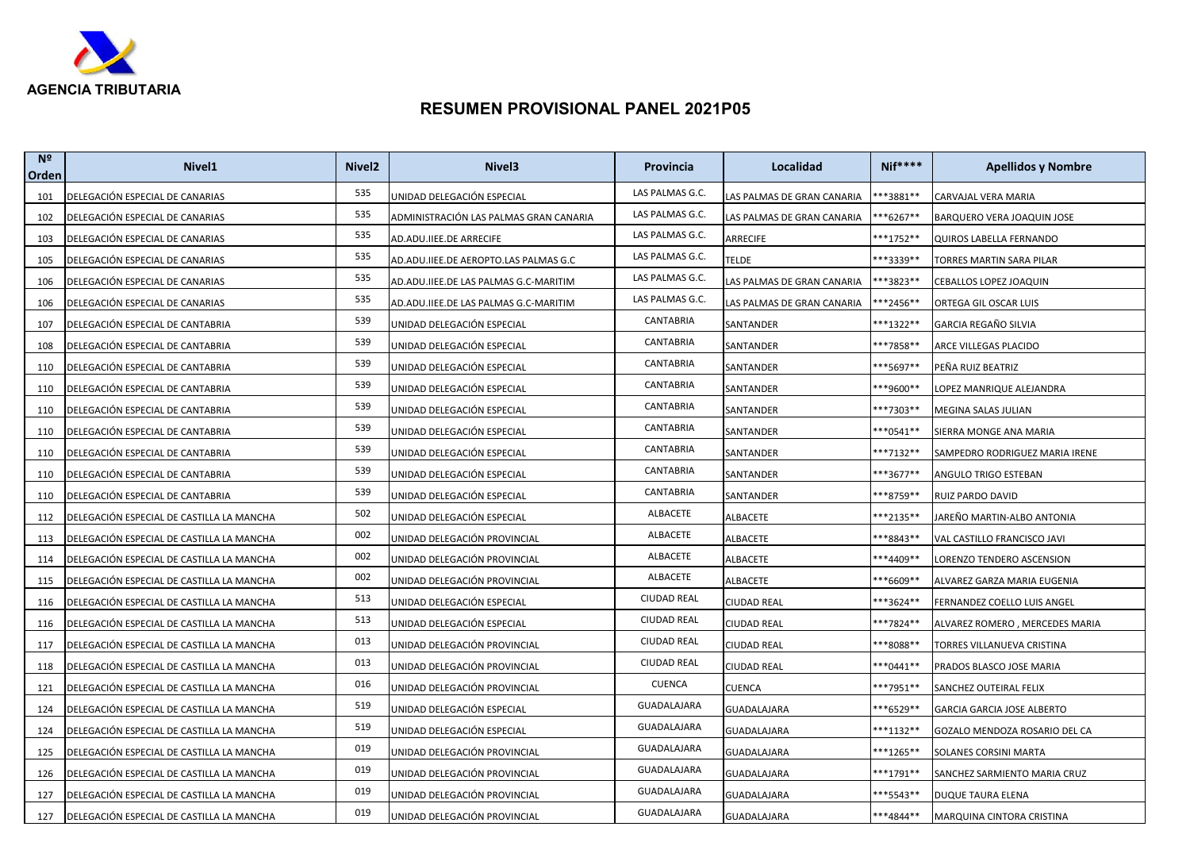

| N <sup>2</sup><br>Orden | Nivel <sub>1</sub>                        | Nivel <sub>2</sub> | Nivel <sub>3</sub>                     | Provincia          | Localidad                  | <b>Nif****</b> | <b>Apellidos y Nombre</b>         |
|-------------------------|-------------------------------------------|--------------------|----------------------------------------|--------------------|----------------------------|----------------|-----------------------------------|
| 101                     | DELEGACIÓN ESPECIAL DE CANARIAS           | 535                | UNIDAD DELEGACIÓN ESPECIAL             | LAS PALMAS G.C.    | LAS PALMAS DE GRAN CANARIA | **3881**       | CARVAJAL VERA MARIA               |
| 102                     | DELEGACIÓN ESPECIAL DE CANARIAS           | 535                | ADMINISTRACIÓN LAS PALMAS GRAN CANARIA | LAS PALMAS G.C.    | LAS PALMAS DE GRAN CANARIA | **6267**       | BARQUERO VERA JOAQUIN JOSE        |
| 103                     | DELEGACIÓN ESPECIAL DE CANARIAS           | 535                | AD.ADU.IIEE.DE ARRECIFE                | LAS PALMAS G.C.    | ARRECIFE                   | ***1752**      | QUIROS LABELLA FERNANDO           |
| 105                     | DELEGACIÓN ESPECIAL DE CANARIAS           | 535                | AD.ADU.IIEE.DE AEROPTO.LAS PALMAS G.C  | LAS PALMAS G.C.    | <b>TELDE</b>               | **3339**       | TORRES MARTIN SARA PILAR          |
| 106                     | DELEGACIÓN ESPECIAL DE CANARIAS           | 535                | AD.ADU.IIEE.DE LAS PALMAS G.C-MARITIM  | LAS PALMAS G.C.    | LAS PALMAS DE GRAN CANARIA | **3823**       | CEBALLOS LOPEZ JOAQUIN            |
| 106                     | DELEGACIÓN ESPECIAL DE CANARIAS           | 535                | AD.ADU.IIEE.DE LAS PALMAS G.C-MARITIM  | LAS PALMAS G.C.    | LAS PALMAS DE GRAN CANARIA | **2456**       | ORTEGA GIL OSCAR LUIS             |
| 107                     | DELEGACIÓN ESPECIAL DE CANTABRIA          | 539                | UNIDAD DELEGACIÓN ESPECIAL             | CANTABRIA          | SANTANDER                  | ***1322**      | GARCIA REGAÑO SILVIA              |
| 108                     | DELEGACIÓN ESPECIAL DE CANTABRIA          | 539                | UNIDAD DELEGACIÓN ESPECIAL             | CANTABRIA          | SANTANDER                  | ***7858**      | ARCE VILLEGAS PLACIDO             |
| 110                     | DELEGACIÓN ESPECIAL DE CANTABRIA          | 539                | UNIDAD DELEGACIÓN ESPECIAL             | CANTABRIA          | SANTANDER                  | ***5697**      | PEÑA RUIZ BEATRIZ                 |
| 110                     | DELEGACIÓN ESPECIAL DE CANTABRIA          | 539                | UNIDAD DELEGACIÓN ESPECIAL             | CANTABRIA          | SANTANDER                  | **9600**       | LOPEZ MANRIQUE ALEJANDRA          |
| 110                     | DELEGACIÓN ESPECIAL DE CANTABRIA          | 539                | UNIDAD DELEGACIÓN ESPECIAL             | CANTABRIA          | SANTANDER                  | ***7303**      | MEGINA SALAS JULIAN               |
| 110                     | DELEGACIÓN ESPECIAL DE CANTABRIA          | 539                | UNIDAD DELEGACIÓN ESPECIAL             | CANTABRIA          | SANTANDER                  | **0541**       | SIERRA MONGE ANA MARIA            |
| 110                     | DELEGACIÓN ESPECIAL DE CANTABRIA          | 539                | UNIDAD DELEGACIÓN ESPECIAL             | CANTABRIA          | SANTANDER                  | **7132**       | SAMPEDRO RODRIGUEZ MARIA IRENE    |
| 110                     | DELEGACIÓN ESPECIAL DE CANTABRIA          | 539                | UNIDAD DELEGACIÓN ESPECIAL             | CANTABRIA          | SANTANDER                  | ***3677**      | ANGULO TRIGO ESTEBAN              |
| 110                     | DELEGACIÓN ESPECIAL DE CANTABRIA          | 539                | UNIDAD DELEGACIÓN ESPECIAL             | CANTABRIA          | SANTANDER                  | **8759**       | RUIZ PARDO DAVID                  |
| 112                     | DELEGACIÓN ESPECIAL DE CASTILLA LA MANCHA | 502                | UNIDAD DELEGACIÓN ESPECIAL             | ALBACETE           | ALBACETE                   | ***2135**      | JAREÑO MARTIN-ALBO ANTONIA        |
| 113                     | DELEGACIÓN ESPECIAL DE CASTILLA LA MANCHA | 002                | UNIDAD DELEGACIÓN PROVINCIAL           | ALBACETE           | ALBACETE                   | **8843**       | VAL CASTILLO FRANCISCO JAVI       |
| 114                     | DELEGACIÓN ESPECIAL DE CASTILLA LA MANCHA | 002                | UNIDAD DELEGACIÓN PROVINCIAL           | <b>ALBACETE</b>    | ALBACETE                   | ***4409**      | LORENZO TENDERO ASCENSION         |
| 115                     | DELEGACIÓN ESPECIAL DE CASTILLA LA MANCHA | 002                | UNIDAD DELEGACIÓN PROVINCIAL           | ALBACETE           | ALBACETE                   | **6609**       | ALVAREZ GARZA MARIA EUGENIA       |
| 116                     | DELEGACIÓN ESPECIAL DE CASTILLA LA MANCHA | 513                | UNIDAD DELEGACIÓN ESPECIAL             | <b>CIUDAD REAL</b> | <b>CIUDAD REAL</b>         | ***3624**      | FERNANDEZ COELLO LUIS ANGEL       |
| 116                     | DELEGACIÓN ESPECIAL DE CASTILLA LA MANCHA | 513                | UNIDAD DELEGACIÓN ESPECIAL             | <b>CIUDAD REAL</b> | CIUDAD REAL                | **7824**       | ALVAREZ ROMERO, MERCEDES MARIA    |
| 117                     | DELEGACIÓN ESPECIAL DE CASTILLA LA MANCHA | 013                | UNIDAD DELEGACIÓN PROVINCIAL           | <b>CIUDAD REAL</b> | CIUDAD REAL                | **8088**       | TORRES VILLANUEVA CRISTINA        |
| 118                     | DELEGACIÓN ESPECIAL DE CASTILLA LA MANCHA | 013                | UNIDAD DELEGACIÓN PROVINCIAL           | <b>CIUDAD REAL</b> | CIUDAD REAL                | ***0441**      | PRADOS BLASCO JOSE MARIA          |
| 121                     | DELEGACIÓN ESPECIAL DE CASTILLA LA MANCHA | 016                | UNIDAD DELEGACIÓN PROVINCIAL           | <b>CUENCA</b>      | CUENCA                     | ***7951**      | SANCHEZ OUTEIRAL FELIX            |
| 124                     | DELEGACIÓN ESPECIAL DE CASTILLA LA MANCHA | 519                | UNIDAD DELEGACIÓN ESPECIAL             | GUADALAJARA        | GUADALAJARA                | **6529**       | <b>GARCIA GARCIA JOSE ALBERTO</b> |
| 124                     | DELEGACIÓN ESPECIAL DE CASTILLA LA MANCHA | 519                | UNIDAD DELEGACIÓN ESPECIAL             | GUADALAJARA        | GUADALAJARA                | ***1132**      | GOZALO MENDOZA ROSARIO DEL CA     |
| 125                     | DELEGACIÓN ESPECIAL DE CASTILLA LA MANCHA | 019                | UNIDAD DELEGACIÓN PROVINCIAL           | GUADALAJARA        | GUADALAJARA                | **1265**       | SOLANES CORSINI MARTA             |
| 126                     | DELEGACIÓN ESPECIAL DE CASTILLA LA MANCHA | 019                | UNIDAD DELEGACIÓN PROVINCIAL           | GUADALAJARA        | GUADALAJARA                | ***1791**      | SANCHEZ SARMIENTO MARIA CRUZ      |
| 127                     | DELEGACIÓN ESPECIAL DE CASTILLA LA MANCHA | 019                | UNIDAD DELEGACIÓN PROVINCIAL           | GUADALAJARA        | GUADALAJARA                | ***5543**      | DUQUE TAURA ELENA                 |
| 127                     | DELEGACIÓN ESPECIAL DE CASTILLA LA MANCHA | 019                | UNIDAD DELEGACIÓN PROVINCIAL           | GUADALAJARA        | GUADALAJARA                | ***4844**      | MARQUINA CINTORA CRISTINA         |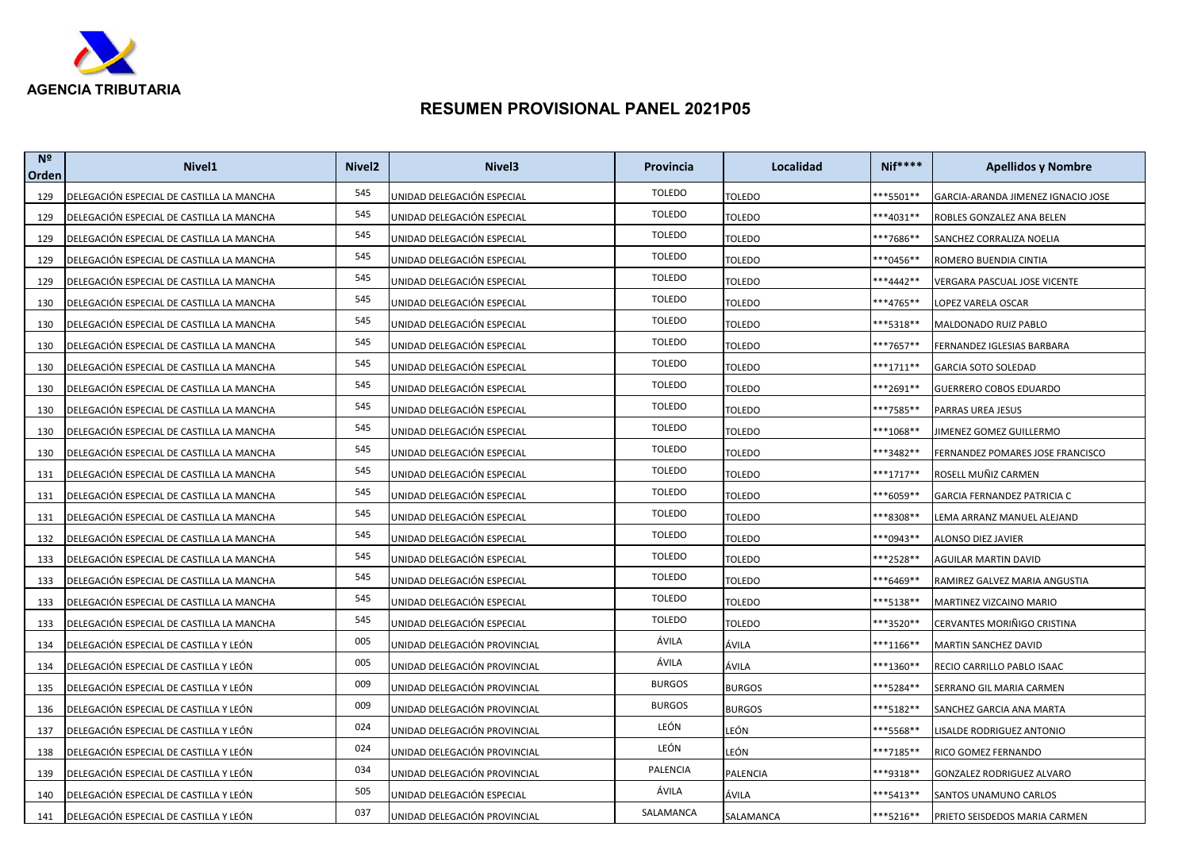

| N <sup>2</sup><br>Orden | Nivel <sub>1</sub>                        | Nivel <sub>2</sub> | Nivel <sub>3</sub>           | <b>Provincia</b> | Localidad       | $Nif***$             | <b>Apellidos y Nombre</b>          |
|-------------------------|-------------------------------------------|--------------------|------------------------------|------------------|-----------------|----------------------|------------------------------------|
| 129                     | DELEGACIÓN ESPECIAL DE CASTILLA LA MANCHA | 545                | UNIDAD DELEGACIÓN ESPECIAL   | <b>TOLEDO</b>    | <b>TOLEDO</b>   | **5501**             | GARCIA-ARANDA JIMENEZ IGNACIO JOSE |
| 129                     | DELEGACIÓN ESPECIAL DE CASTILLA LA MANCHA | 545                | JNIDAD DELEGACIÓN ESPECIAL   | <b>TOLEDO</b>    | <b>TOLEDO</b>   | ***4031**            | ROBLES GONZALEZ ANA BELEN          |
| 129                     | DELEGACIÓN ESPECIAL DE CASTILLA LA MANCHA | 545                | UNIDAD DELEGACIÓN ESPECIAL   | <b>TOLEDO</b>    | TOLEDO          | ***7686**            | SANCHEZ CORRALIZA NOELIA           |
| 129                     | DELEGACIÓN ESPECIAL DE CASTILLA LA MANCHA | 545                | UNIDAD DELEGACIÓN ESPECIAL   | <b>TOLEDO</b>    | <b>TOLEDO</b>   | ***0456**            | ROMERO BUENDIA CINTIA              |
| 129                     | DELEGACIÓN ESPECIAL DE CASTILLA LA MANCHA | 545                | JNIDAD DELEGACIÓN ESPECIAL   | <b>TOLEDO</b>    | <b>TOLEDO</b>   | ***4442**            | VERGARA PASCUAL JOSE VICENTE       |
| 130                     | DELEGACIÓN ESPECIAL DE CASTILLA LA MANCHA | 545                | UNIDAD DELEGACIÓN ESPECIAL   | <b>TOLEDO</b>    | <b>TOLEDO</b>   | ***4765**            | LOPEZ VARELA OSCAR                 |
| 130                     | DELEGACIÓN ESPECIAL DE CASTILLA LA MANCHA | 545                | JNIDAD DELEGACIÓN ESPECIAL   | <b>TOLEDO</b>    | <b>TOLEDO</b>   | **5318**             | MALDONADO RUIZ PABLO               |
| 130                     | DELEGACIÓN ESPECIAL DE CASTILLA LA MANCHA | 545                | UNIDAD DELEGACIÓN ESPECIAL   | <b>TOLEDO</b>    | TOLEDO          | ***7657**            | FERNANDEZ IGLESIAS BARBARA         |
| 130                     | DELEGACIÓN ESPECIAL DE CASTILLA LA MANCHA | 545                | UNIDAD DELEGACIÓN ESPECIAL   | <b>TOLEDO</b>    | <b>TOLEDO</b>   | ***1711**            | GARCIA SOTO SOLEDAD                |
| 130                     | DELEGACIÓN ESPECIAL DE CASTILLA LA MANCHA | 545                | JNIDAD DELEGACIÓN ESPECIAL   | <b>TOLEDO</b>    | <b>TOLEDO</b>   | ***2691**            | GUERRERO COBOS EDUARDO             |
| 130                     | DELEGACIÓN ESPECIAL DE CASTILLA LA MANCHA | 545                | UNIDAD DELEGACIÓN ESPECIAL   | <b>TOLEDO</b>    | <b>TOLEDO</b>   | ***7585**            | PARRAS UREA JESUS                  |
| 130                     | DELEGACIÓN ESPECIAL DE CASTILLA LA MANCHA | 545                | UNIDAD DELEGACIÓN ESPECIAL   | <b>TOLEDO</b>    | <b>TOLEDO</b>   | ***1068**            | IMENEZ GOMEZ GUILLERMO             |
| 130                     | DELEGACIÓN ESPECIAL DE CASTILLA LA MANCHA | 545                | UNIDAD DELEGACIÓN ESPECIAL   | <b>TOLEDO</b>    | TOLEDO          | ***3482**            | FERNANDEZ POMARES JOSE FRANCISCO   |
| 131                     | DELEGACIÓN ESPECIAL DE CASTILLA LA MANCHA | 545                | UNIDAD DELEGACIÓN ESPECIAL   | <b>TOLEDO</b>    | <b>TOLEDO</b>   | ***1717**            | ROSELL MUÑIZ CARMEN                |
| 131                     | DELEGACIÓN ESPECIAL DE CASTILLA LA MANCHA | 545                | JNIDAD DELEGACIÓN ESPECIAL   | <b>TOLEDO</b>    | <b>TOLEDO</b>   | ***6059**            | GARCIA FERNANDEZ PATRICIA C        |
| 131                     | DELEGACIÓN ESPECIAL DE CASTILLA LA MANCHA | 545                | UNIDAD DELEGACIÓN ESPECIAL   | <b>TOLEDO</b>    | <b>TOLEDO</b>   | **8308**             | LEMA ARRANZ MANUEL ALEJAND         |
| 132                     | DELEGACIÓN ESPECIAL DE CASTILLA LA MANCHA | 545                | UNIDAD DELEGACIÓN ESPECIAL   | <b>TOLEDO</b>    | <b>TOLEDO</b>   | ***0943**            | ALONSO DIEZ JAVIER                 |
| 133                     | DELEGACIÓN ESPECIAL DE CASTILLA LA MANCHA | 545                | JNIDAD DELEGACIÓN ESPECIAL   | <b>TOLEDO</b>    | <b>TOLEDO</b>   | **2528**             | AGUILAR MARTIN DAVID               |
| 133                     | DELEGACIÓN ESPECIAL DE CASTILLA LA MANCHA | 545                | JNIDAD DELEGACIÓN ESPECIAL   | <b>TOLEDO</b>    | <b>TOLEDO</b>   | ***6469**            | RAMIREZ GALVEZ MARIA ANGUSTIA      |
| 133                     | DELEGACIÓN ESPECIAL DE CASTILLA LA MANCHA | 545                | JNIDAD DELEGACIÓN ESPECIAL   | <b>TOLEDO</b>    | Toledo          | <sup>**</sup> 5138** | MARTINEZ VIZCAINO MARIO            |
| 133                     | DELEGACIÓN ESPECIAL DE CASTILLA LA MANCHA | 545                | UNIDAD DELEGACIÓN ESPECIAL   | <b>TOLEDO</b>    | TOLEDO          | ***3520**            | CERVANTES MORIÑIGO CRISTINA        |
| 134                     | DELEGACIÓN ESPECIAL DE CASTILLA Y LEÓN    | 005                | UNIDAD DELEGACIÓN PROVINCIAL | ÁVILA            | ÁVILA           | ***1166**            | MARTIN SANCHEZ DAVID               |
| 134                     | DELEGACIÓN ESPECIAL DE CASTILLA Y LEÓN    | 005                | JNIDAD DELEGACIÓN PROVINCIAL | ÁVILA            | ÁVILA           | ***1360**            | RECIO CARRILLO PABLO ISAAC         |
| 135                     | DELEGACIÓN ESPECIAL DE CASTILLA Y LEÓN    | 009                | UNIDAD DELEGACIÓN PROVINCIAL | <b>BURGOS</b>    | <b>BURGOS</b>   | ***5284**            | SERRANO GIL MARIA CARMEN           |
| 136                     | DELEGACIÓN ESPECIAL DE CASTILLA Y LEÓN    | 009                | UNIDAD DELEGACIÓN PROVINCIAL | <b>BURGOS</b>    | <b>BURGOS</b>   | **5182**             | SANCHEZ GARCIA ANA MARTA           |
| 137                     | DELEGACIÓN ESPECIAL DE CASTILLA Y LEÓN    | 024                | UNIDAD DELEGACIÓN PROVINCIAL | LEÓN             | LEÓN            | ***5568**            | LISALDE RODRIGUEZ ANTONIO          |
| 138                     | DELEGACIÓN ESPECIAL DE CASTILLA Y LEÓN    | 024                | UNIDAD DELEGACIÓN PROVINCIAL | LEÓN             | LEÓN            | ***7185**            | RICO GOMEZ FERNANDO                |
| 139                     | DELEGACIÓN ESPECIAL DE CASTILLA Y LEÓN    | 034                | JNIDAD DELEGACIÓN PROVINCIAL | PALENCIA         | <b>PALENCIA</b> | ***9318**            | GONZALEZ RODRIGUEZ ALVARO          |
| 140                     | DELEGACIÓN ESPECIAL DE CASTILLA Y LEÓN    | 505                | UNIDAD DELEGACIÓN ESPECIAL   | ÁVILA            | ÁVILA           | ***5413**            | SANTOS UNAMUNO CARLOS              |
| 141                     | DELEGACIÓN ESPECIAL DE CASTILLA Y LEÓN    | 037                | UNIDAD DELEGACIÓN PROVINCIAL | SALAMANCA        | SALAMANCA       | ***5216**            | PRIETO SEISDEDOS MARIA CARMEN      |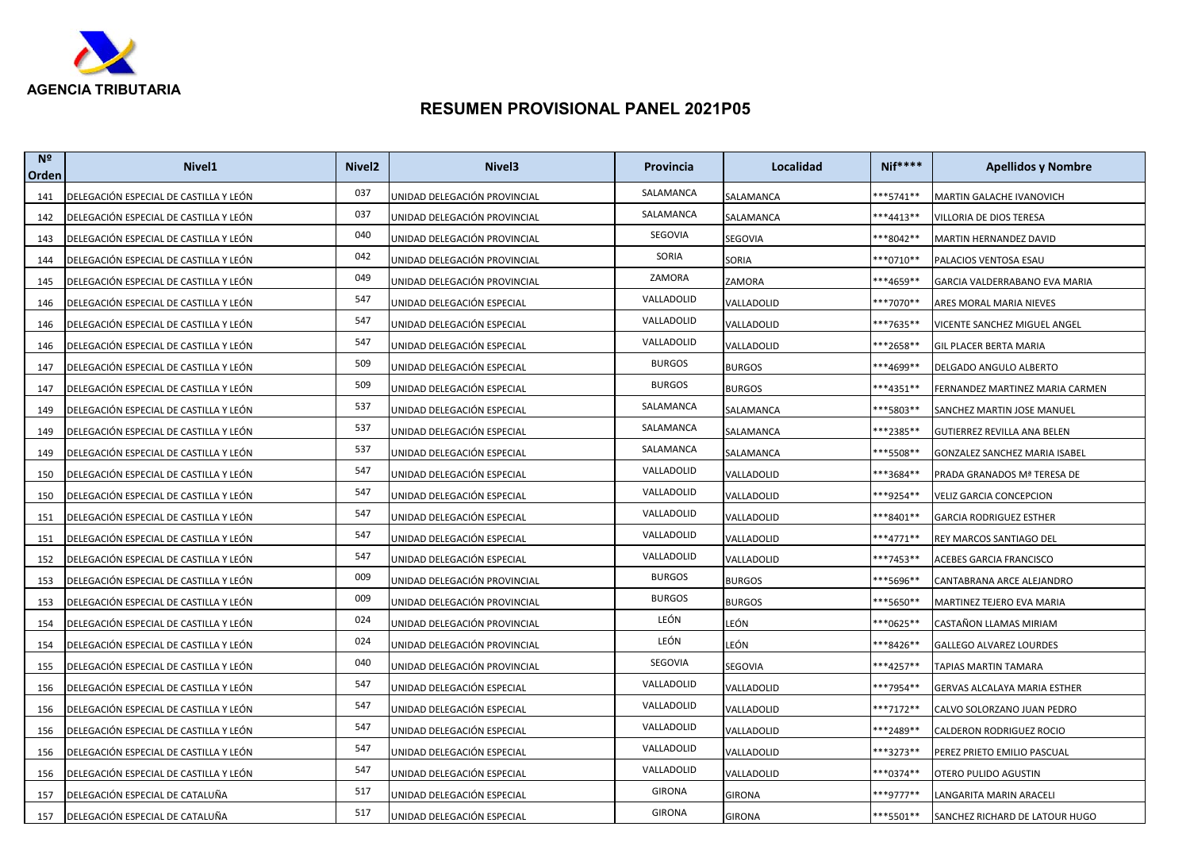

| N <sup>2</sup><br>Orden | Nivel <sub>1</sub>                     | Nivel <sub>2</sub> | Nivel <sub>3</sub>           | <b>Provincia</b> | Localidad     | <b>Nif****</b> | <b>Apellidos y Nombre</b>       |
|-------------------------|----------------------------------------|--------------------|------------------------------|------------------|---------------|----------------|---------------------------------|
| 141                     | DELEGACIÓN ESPECIAL DE CASTILLA Y LEÓN | 037                | UNIDAD DELEGACIÓN PROVINCIAL | SALAMANCA        | SALAMANCA     | ***5741**      | <b>MARTIN GALACHE IVANOVICH</b> |
| 142                     | DELEGACIÓN ESPECIAL DE CASTILLA Y LEÓN | 037                | JNIDAD DELEGACIÓN PROVINCIAL | SALAMANCA        | SALAMANCA     | ***4413**      | VILLORIA DE DIOS TERESA         |
| 143                     | DELEGACIÓN ESPECIAL DE CASTILLA Y LEÓN | 040                | UNIDAD DELEGACIÓN PROVINCIAL | SEGOVIA          | SEGOVIA       | ***8042**      | MARTIN HERNANDEZ DAVID          |
| 144                     | DELEGACIÓN ESPECIAL DE CASTILLA Y LEÓN | 042                | UNIDAD DELEGACIÓN PROVINCIAL | SORIA            | SORIA         | ***0710**      | PALACIOS VENTOSA ESAU           |
| 145                     | DELEGACIÓN ESPECIAL DE CASTILLA Y LEÓN | 049                | JNIDAD DELEGACIÓN PROVINCIAL | ZAMORA           | ZAMORA        | ***4659**      | GARCIA VALDERRABANO EVA MARIA   |
| 146                     | DELEGACIÓN ESPECIAL DE CASTILLA Y LEÓN | 547                | JNIDAD DELEGACIÓN ESPECIAL   | VALLADOLID       | VALLADOLID    | ***7070**      | ARES MORAL MARIA NIEVES         |
| 146                     | DELEGACIÓN ESPECIAL DE CASTILLA Y LEÓN | 547                | UNIDAD DELEGACIÓN ESPECIAL   | VALLADOLID       | VALLADOLID    | ***7635**      | VICENTE SANCHEZ MIGUEL ANGEL    |
| 146                     | DELEGACIÓN ESPECIAL DE CASTILLA Y LEÓN | 547                | UNIDAD DELEGACIÓN ESPECIAL   | VALLADOLID       | VALLADOLID    | **2658**       | GIL PLACER BERTA MARIA          |
| 147                     | DELEGACIÓN ESPECIAL DE CASTILLA Y LEÓN | 509                | UNIDAD DELEGACIÓN ESPECIAL   | <b>BURGOS</b>    | <b>BURGOS</b> | ***4699**      | DELGADO ANGULO ALBERTO          |
| 147                     | DELEGACIÓN ESPECIAL DE CASTILLA Y LEÓN | 509                | JNIDAD DELEGACIÓN ESPECIAL   | <b>BURGOS</b>    | <b>BURGOS</b> | ***4351**      | FERNANDEZ MARTINEZ MARIA CARMEN |
| 149                     | DELEGACIÓN ESPECIAL DE CASTILLA Y LEÓN | 537                | UNIDAD DELEGACIÓN ESPECIAL   | SALAMANCA        | SALAMANCA     | ***5803**      | SANCHEZ MARTIN JOSE MANUEL      |
| 149                     | DELEGACIÓN ESPECIAL DE CASTILLA Y LEÓN | 537                | UNIDAD DELEGACIÓN ESPECIAL   | SALAMANCA        | SALAMANCA     | ***2385**      | GUTIERREZ REVILLA ANA BELEN     |
| 149                     | DELEGACIÓN ESPECIAL DE CASTILLA Y LEÓN | 537                | UNIDAD DELEGACIÓN ESPECIAL   | SALAMANCA        | SALAMANCA     | **5508**       | GONZALEZ SANCHEZ MARIA ISABEL   |
| 150                     | DELEGACIÓN ESPECIAL DE CASTILLA Y LEÓN | 547                | UNIDAD DELEGACIÓN ESPECIAL   | VALLADOLID       | VALLADOLID    | ***3684**      | PRADA GRANADOS Mª TERESA DE     |
| 150                     | DELEGACIÓN ESPECIAL DE CASTILLA Y LEÓN | 547                | JNIDAD DELEGACIÓN ESPECIAL   | VALLADOLID       | VALLADOLID    | ***9254**      | VELIZ GARCIA CONCEPCION         |
| 151                     | DELEGACIÓN ESPECIAL DE CASTILLA Y LEÓN | 547                | UNIDAD DELEGACIÓN ESPECIAL   | VALLADOLID       | VALLADOLID    | ***8401**      | <b>GARCIA RODRIGUEZ ESTHER</b>  |
| 151                     | DELEGACIÓN ESPECIAL DE CASTILLA Y LEÓN | 547                | UNIDAD DELEGACIÓN ESPECIAL   | VALLADOLID       | VALLADOLID    | ***4771**      | REY MARCOS SANTIAGO DEL         |
| 152                     | DELEGACIÓN ESPECIAL DE CASTILLA Y LEÓN | 547                | JNIDAD DELEGACIÓN ESPECIAL   | VALLADOLID       | VALLADOLID    | ***7453**      | ACEBES GARCIA FRANCISCO         |
| 153                     | DELEGACIÓN ESPECIAL DE CASTILLA Y LEÓN | 009                | UNIDAD DELEGACIÓN PROVINCIAL | <b>BURGOS</b>    | <b>BURGOS</b> | ***5696**      | CANTABRANA ARCE ALEJANDRO       |
| 153                     | DELEGACIÓN ESPECIAL DE CASTILLA Y LEÓN | 009                | JNIDAD DELEGACIÓN PROVINCIAL | <b>BURGOS</b>    | <b>BURGOS</b> | ***5650**      | MARTINEZ TEJERO EVA MARIA       |
| 154                     | DELEGACIÓN ESPECIAL DE CASTILLA Y LEÓN | 024                | UNIDAD DELEGACIÓN PROVINCIAL | LEÓN             | LEÓN          | **0625**       | CASTAÑON LLAMAS MIRIAM          |
| 154                     | DELEGACIÓN ESPECIAL DE CASTILLA Y LEÓN | 024                | UNIDAD DELEGACIÓN PROVINCIAL | LEÓN             | LEÓN          | ***8426**      | GALLEGO ALVAREZ LOURDES         |
| 155                     | DELEGACIÓN ESPECIAL DE CASTILLA Y LEÓN | 040                | JNIDAD DELEGACIÓN PROVINCIAL | SEGOVIA          | SEGOVIA       | ***4257**      | TAPIAS MARTIN TAMARA            |
| 156                     | DELEGACIÓN ESPECIAL DE CASTILLA Y LEÓN | 547                | UNIDAD DELEGACIÓN ESPECIAL   | VALLADOLID       | VALLADOLID    | ***7954**      | GERVAS ALCALAYA MARIA ESTHER    |
| 156                     | DELEGACIÓN ESPECIAL DE CASTILLA Y LEÓN | 547                | UNIDAD DELEGACIÓN ESPECIAL   | VALLADOLID       | VALLADOLID    | ***7172**      | CALVO SOLORZANO JUAN PEDRO      |
| 156                     | DELEGACIÓN ESPECIAL DE CASTILLA Y LEÓN | 547                | UNIDAD DELEGACIÓN ESPECIAL   | VALLADOLID       | VALLADOLID    | ***2489**      | CALDERON RODRIGUEZ ROCIO        |
| 156                     | DELEGACIÓN ESPECIAL DE CASTILLA Y LEÓN | 547                | JNIDAD DELEGACIÓN ESPECIAL   | VALLADOLID       | VALLADOLID    | ***3273**      | PEREZ PRIETO EMILIO PASCUAL     |
| 156                     | DELEGACIÓN ESPECIAL DE CASTILLA Y LEÓN | 547                | JNIDAD DELEGACIÓN ESPECIAL   | VALLADOLID       | VALLADOLID    | ***0374**      | OTERO PULIDO AGUSTIN            |
| 157                     | DELEGACIÓN ESPECIAL DE CATALUÑA        | 517                | JNIDAD DELEGACIÓN ESPECIAL   | <b>GIRONA</b>    | <b>GIRONA</b> | ***9777**      | LANGARITA MARIN ARACELI         |
| 157                     | DELEGACIÓN ESPECIAL DE CATALUÑA        | 517                | UNIDAD DELEGACIÓN ESPECIAL   | <b>GIRONA</b>    | <b>GIRONA</b> | ***5501**      | SANCHEZ RICHARD DE LATOUR HUGO  |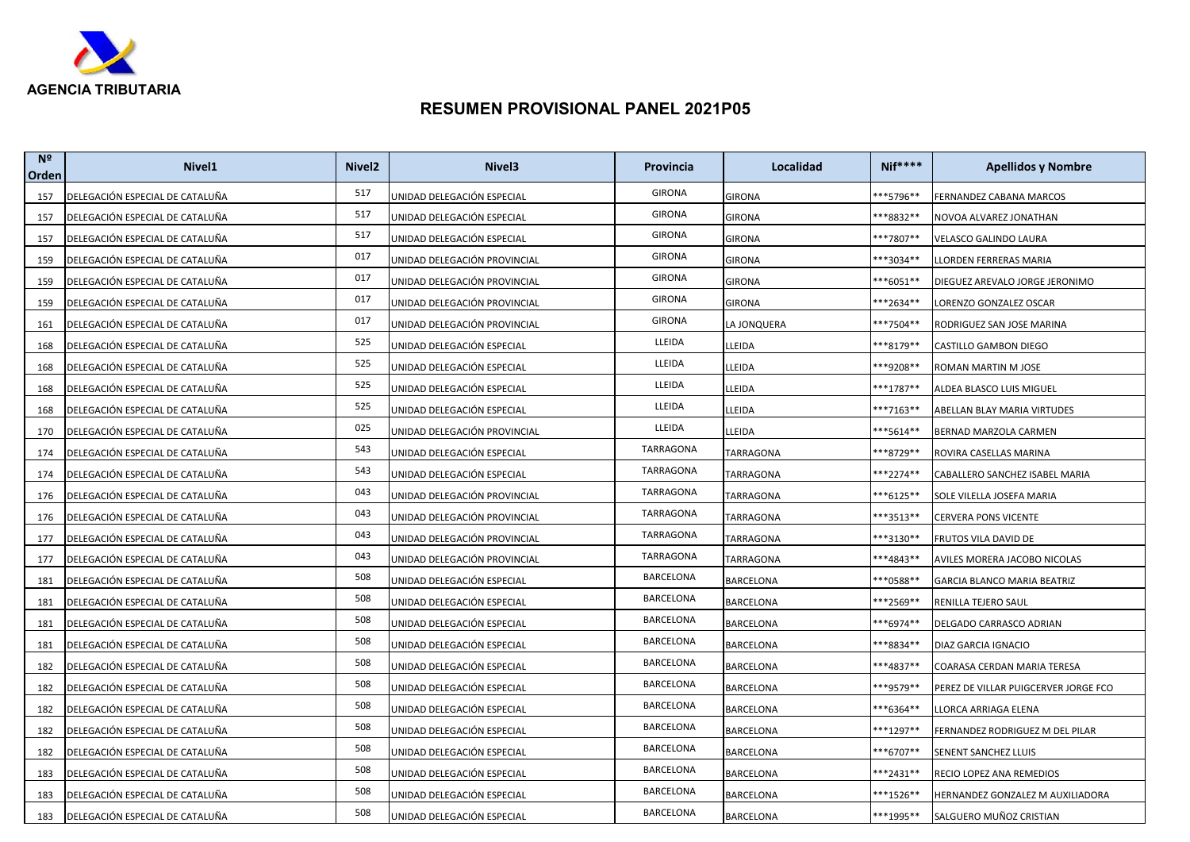

| N <sup>2</sup><br>Orden | Nivel <sub>1</sub>              | Nivel <sub>2</sub> | Nivel <sub>3</sub>           | Provincia        | Localidad     | <b>Nif****</b>      | <b>Apellidos y Nombre</b>            |
|-------------------------|---------------------------------|--------------------|------------------------------|------------------|---------------|---------------------|--------------------------------------|
| 157                     | DELEGACIÓN ESPECIAL DE CATALUÑA | 517                | UNIDAD DELEGACIÓN ESPECIAL   | <b>GIRONA</b>    | <b>GIRONA</b> | **5796**            | FERNANDEZ CABANA MARCOS              |
| 157                     | DELEGACIÓN ESPECIAL DE CATALUÑA | 517                | UNIDAD DELEGACIÓN ESPECIAL   | <b>GIRONA</b>    | GIRONA        | **8832**            | NOVOA ALVAREZ JONATHAN               |
| 157                     | DELEGACIÓN ESPECIAL DE CATALUÑA | 517                | UNIDAD DELEGACIÓN ESPECIAL   | <b>GIRONA</b>    | GIRONA        | **7807**            | VELASCO GALINDO LAURA                |
| 159                     | DELEGACIÓN ESPECIAL DE CATALUÑA | 017                | UNIDAD DELEGACIÓN PROVINCIAL | <b>GIRONA</b>    | GIRONA        | **3034**            | LLORDEN FERRERAS MARIA               |
| 159                     | DELEGACIÓN ESPECIAL DE CATALUÑA | 017                | UNIDAD DELEGACIÓN PROVINCIAL | <b>GIRONA</b>    | <b>GIRONA</b> | $**6051**$          | DIEGUEZ AREVALO JORGE JERONIMO       |
| 159                     | DELEGACIÓN ESPECIAL DE CATALUÑA | 017                | UNIDAD DELEGACIÓN PROVINCIAL | <b>GIRONA</b>    | GIRONA        | ***2634**           | LORENZO GONZALEZ OSCAR               |
| 161                     | DELEGACIÓN ESPECIAL DE CATALUÑA | 017                | UNIDAD DELEGACIÓN PROVINCIAL | <b>GIRONA</b>    | LA JONQUERA   | ***7504**           | RODRIGUEZ SAN JOSE MARINA            |
| 168                     | DELEGACIÓN ESPECIAL DE CATALUÑA | 525                | UNIDAD DELEGACIÓN ESPECIAL   | LLEIDA           | LLEIDA        | **8179**            | CASTILLO GAMBON DIEGO                |
| 168                     | DELEGACIÓN ESPECIAL DE CATALUÑA | 525                | UNIDAD DELEGACIÓN ESPECIAL   | LLEIDA           | LLEIDA        | ***9208**           | ROMAN MARTIN M JOSE                  |
| 168                     | DELEGACIÓN ESPECIAL DE CATALUÑA | 525                | UNIDAD DELEGACIÓN ESPECIAL   | LLEIDA           | LLEIDA        | **1787**            | ALDEA BLASCO LUIS MIGUEL             |
| 168                     | DELEGACIÓN ESPECIAL DE CATALUÑA | 525                | UNIDAD DELEGACIÓN ESPECIAL   | LLEIDA           | LLEIDA        | ***7163**           | ABELLAN BLAY MARIA VIRTUDES          |
| 170                     | DELEGACIÓN ESPECIAL DE CATALUÑA | 025                | UNIDAD DELEGACIÓN PROVINCIAL | LLEIDA           | LLEIDA        | ***5614**           | BERNAD MARZOLA CARMEN                |
| 174                     | DELEGACIÓN ESPECIAL DE CATALUÑA | 543                | UNIDAD DELEGACIÓN ESPECIAL   | TARRAGONA        | TARRAGONA     | **8729**            | ROVIRA CASELLAS MARINA               |
| 174                     | DELEGACIÓN ESPECIAL DE CATALUÑA | 543                | UNIDAD DELEGACIÓN ESPECIAL   | <b>TARRAGONA</b> | TARRAGONA     | ***2274**           | CABALLERO SANCHEZ ISABEL MARIA       |
| 176                     | DELEGACIÓN ESPECIAL DE CATALUÑA | 043                | UNIDAD DELEGACIÓN PROVINCIAL | TARRAGONA        | TARRAGONA     | **6125**            | SOLE VILELLA JOSEFA MARIA            |
| 176                     | DELEGACIÓN ESPECIAL DE CATALUÑA | 043                | UNIDAD DELEGACIÓN PROVINCIAL | <b>TARRAGONA</b> | TARRAGONA     | **3513**            | CERVERA PONS VICENTE                 |
| 177                     | DELEGACIÓN ESPECIAL DE CATALUÑA | 043                | UNIDAD DELEGACIÓN PROVINCIAL | TARRAGONA        | TARRAGONA     | **3130**            | FRUTOS VILA DAVID DE                 |
| 177                     | DELEGACIÓN ESPECIAL DE CATALUÑA | 043                | UNIDAD DELEGACIÓN PROVINCIAL | <b>TARRAGONA</b> | TARRAGONA     | ***4843**           | AVILES MORERA JACOBO NICOLAS         |
| 181                     | DELEGACIÓN ESPECIAL DE CATALUÑA | 508                | UNIDAD DELEGACIÓN ESPECIAL   | BARCELONA        | BARCELONA     | <sup>**0588**</sup> | <b>GARCIA BLANCO MARIA BEATRIZ</b>   |
| 181                     | DELEGACIÓN ESPECIAL DE CATALUÑA | 508                | UNIDAD DELEGACIÓN ESPECIAL   | <b>BARCELONA</b> | BARCELONA     | ***2569**           | RENILLA TEJERO SAUL                  |
| 181                     | DELEGACIÓN ESPECIAL DE CATALUÑA | 508                | UNIDAD DELEGACIÓN ESPECIAL   | BARCELONA        | BARCELONA     | **6974**            | DELGADO CARRASCO ADRIAN              |
| 181                     | DELEGACIÓN ESPECIAL DE CATALUÑA | 508                | UNIDAD DELEGACIÓN ESPECIAL   | BARCELONA        | BARCELONA     | **8834**            | DIAZ GARCIA IGNACIO                  |
| 182                     | DELEGACIÓN ESPECIAL DE CATALUÑA | 508                | UNIDAD DELEGACIÓN ESPECIAL   | BARCELONA        | BARCELONA     | ***4837**           | COARASA CERDAN MARIA TERESA          |
| 182                     | DELEGACIÓN ESPECIAL DE CATALUÑA | 508                | UNIDAD DELEGACIÓN ESPECIAL   | BARCELONA        | BARCELONA     | ***9579**           | PEREZ DE VILLAR PUIGCERVER JORGE FCO |
| 182                     | DELEGACIÓN ESPECIAL DE CATALUÑA | 508                | UNIDAD DELEGACIÓN ESPECIAL   | BARCELONA        | BARCELONA     | **6364**            | LLORCA ARRIAGA ELENA                 |
| 182                     | DELEGACIÓN ESPECIAL DE CATALUÑA | 508                | UNIDAD DELEGACIÓN ESPECIAL   | BARCELONA        | BARCELONA     | ***1297**           | FERNANDEZ RODRIGUEZ M DEL PILAR      |
| 182                     | DELEGACIÓN ESPECIAL DE CATALUÑA | 508                | UNIDAD DELEGACIÓN ESPECIAL   | BARCELONA        | BARCELONA     | **6707**            | SENENT SANCHEZ LLUIS                 |
| 183                     | DELEGACIÓN ESPECIAL DE CATALUÑA | 508                | UNIDAD DELEGACIÓN ESPECIAL   | BARCELONA        | BARCELONA     | ***2431**           | RECIO LOPEZ ANA REMEDIOS             |
| 183                     | DELEGACIÓN ESPECIAL DE CATALUÑA | 508                | UNIDAD DELEGACIÓN ESPECIAL   | BARCELONA        | BARCELONA     | ***1526**           | HERNANDEZ GONZALEZ M AUXILIADORA     |
| 183                     | DELEGACIÓN ESPECIAL DE CATALUÑA | 508                | UNIDAD DELEGACIÓN ESPECIAL   | BARCELONA        | BARCELONA     | ***1995**           | SALGUERO MUÑOZ CRISTIAN              |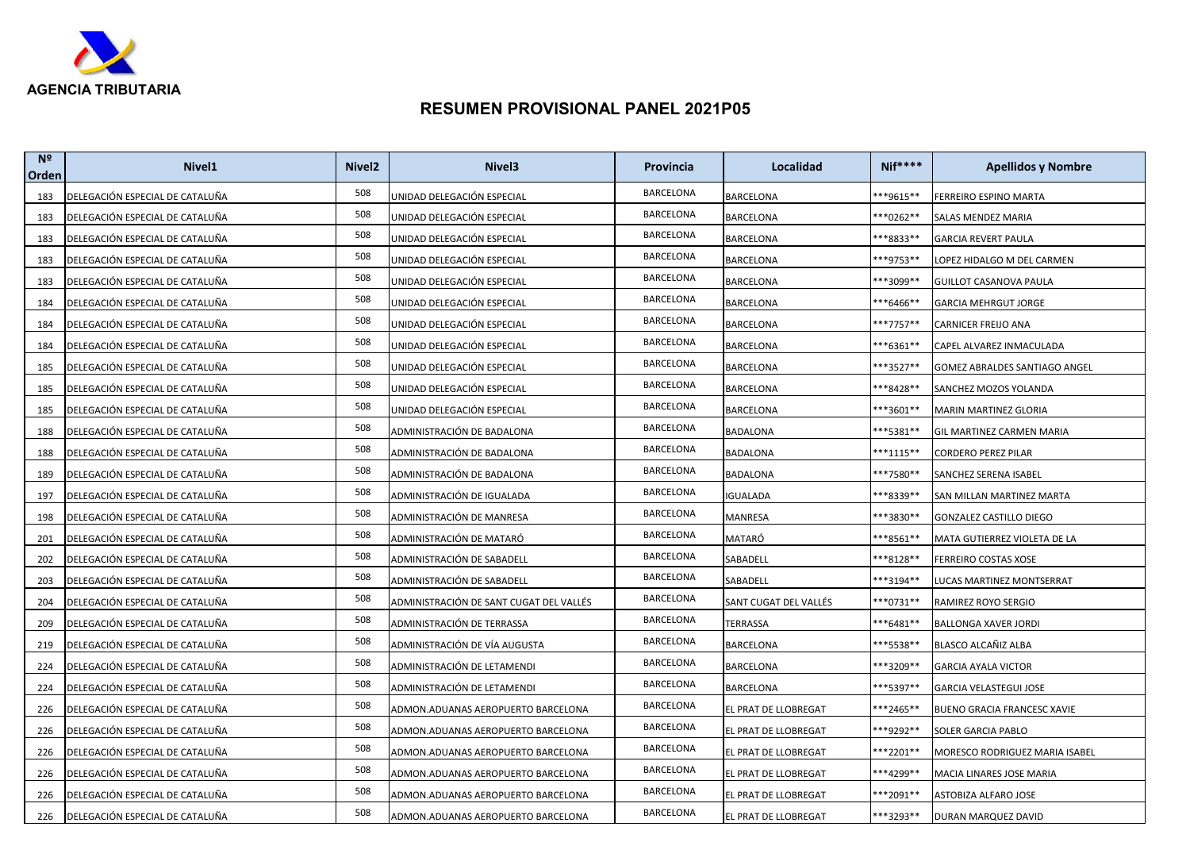

| N <sup>2</sup><br>Orden | Nivel1                          | Nivel <sub>2</sub> | Nivel <sub>3</sub>                      | Provincia        | Localidad             | <b>Nif****</b> | <b>Apellidos y Nombre</b>      |
|-------------------------|---------------------------------|--------------------|-----------------------------------------|------------------|-----------------------|----------------|--------------------------------|
| 183                     | DELEGACIÓN ESPECIAL DE CATALUÑA | 508                | UNIDAD DELEGACIÓN ESPECIAL              | BARCELONA        | <b>BARCELONA</b>      | ***9615**      | <b>FERREIRO ESPINO MARTA</b>   |
| 183                     | DELEGACIÓN ESPECIAL DE CATALUÑA | 508                | UNIDAD DELEGACIÓN ESPECIAL              | BARCELONA        | <b>BARCELONA</b>      | $***0262**$    | SALAS MENDEZ MARIA             |
| 183                     | DELEGACIÓN ESPECIAL DE CATALUÑA | 508                | UNIDAD DELEGACIÓN ESPECIAL              | BARCELONA        | <b>BARCELONA</b>      | ***8833**      | <b>GARCIA REVERT PAULA</b>     |
| 183                     | DELEGACIÓN ESPECIAL DE CATALUÑA | 508                | UNIDAD DELEGACIÓN ESPECIAL              | <b>BARCELONA</b> | BARCELONA             | **9753**       | LOPEZ HIDALGO M DEL CARMEN     |
| 183                     | DELEGACIÓN ESPECIAL DE CATALUÑA | 508                | UNIDAD DELEGACIÓN ESPECIAL              | BARCELONA        | BARCELONA             | ***3099**      | GUILLOT CASANOVA PAULA         |
| 184                     | DELEGACIÓN ESPECIAL DE CATALUÑA | 508                | UNIDAD DELEGACIÓN ESPECIAL              | <b>BARCELONA</b> | <b>BARCELONA</b>      | ***6466**      | <b>GARCIA MEHRGUT JORGE</b>    |
| 184                     | DELEGACIÓN ESPECIAL DE CATALUÑA | 508                | UNIDAD DELEGACIÓN ESPECIAL              | BARCELONA        | <b>BARCELONA</b>      | ***7757**      | CARNICER FREIJO ANA            |
| 184                     | DELEGACIÓN ESPECIAL DE CATALUÑA | 508                | UNIDAD DELEGACIÓN ESPECIAL              | BARCELONA        | BARCELONA             | ***6361**      | CAPEL ALVAREZ INMACULADA       |
| 185                     | DELEGACIÓN ESPECIAL DE CATALUÑA | 508                | UNIDAD DELEGACIÓN ESPECIAL              | <b>BARCELONA</b> | BARCELONA             | ***3527**      | GOMEZ ABRALDES SANTIAGO ANGEL  |
| 185                     | DELEGACIÓN ESPECIAL DE CATALUÑA | 508                | UNIDAD DELEGACIÓN ESPECIAL              | BARCELONA        | BARCELONA             | ***8428**      | SANCHEZ MOZOS YOLANDA          |
| 185                     | DELEGACIÓN ESPECIAL DE CATALUÑA | 508                | UNIDAD DELEGACIÓN ESPECIAL              | <b>BARCELONA</b> | BARCELONA             | ***3601**      | <b>MARIN MARTINEZ GLORIA</b>   |
| 188                     | DELEGACIÓN ESPECIAL DE CATALUÑA | 508                | ADMINISTRACIÓN DE BADALONA              | <b>BARCELONA</b> | BADALONA              | **5381**       | GIL MARTINEZ CARMEN MARIA      |
| 188                     | DELEGACIÓN ESPECIAL DE CATALUÑA | 508                | ADMINISTRACIÓN DE BADALONA              | BARCELONA        | <b>BADALONA</b>       | ***1115**      | <b>CORDERO PEREZ PILAR</b>     |
| 189                     | DELEGACIÓN ESPECIAL DE CATALUÑA | 508                | ADMINISTRACIÓN DE BADALONA              | <b>BARCELONA</b> | <b>BADALONA</b>       | ***7580**      | SANCHEZ SERENA ISABEL          |
| 197                     | DELEGACIÓN ESPECIAL DE CATALUÑA | 508                | ADMINISTRACIÓN DE IGUALADA              | <b>BARCELONA</b> | IGUALADA              | ***8339**      | SAN MILLAN MARTINEZ MARTA      |
| 198                     | DELEGACIÓN ESPECIAL DE CATALUÑA | 508                | ADMINISTRACIÓN DE MANRESA               | <b>BARCELONA</b> | MANRESA               | ***3830**      | GONZALEZ CASTILLO DIEGO        |
| 201                     | DELEGACIÓN ESPECIAL DE CATALUÑA | 508                | ADMINISTRACIÓN DE MATARÓ                | BARCELONA        | MATARÓ                | **8561**       | MATA GUTIERREZ VIOLETA DE LA   |
| 202                     | DELEGACIÓN ESPECIAL DE CATALUÑA | 508                | ADMINISTRACIÓN DE SABADELL              | <b>BARCELONA</b> | SABADELL              | ***8128**      | FERREIRO COSTAS XOSE           |
| 203                     | DELEGACIÓN ESPECIAL DE CATALUÑA | 508                | ADMINISTRACIÓN DE SABADELL              | BARCELONA        | SABADELL              | ***3194**      | LUCAS MARTINEZ MONTSERRAT      |
| 204                     | DELEGACIÓN ESPECIAL DE CATALUÑA | 508                | ADMINISTRACIÓN DE SANT CUGAT DEL VALLÉS | BARCELONA        | SANT CUGAT DEL VALLÉS | ***0731**      | RAMIREZ ROYO SERGIO            |
| 209                     | DELEGACIÓN ESPECIAL DE CATALUÑA | 508                | ADMINISTRACIÓN DE TERRASSA              | BARCELONA        | TERRASSA              | ***6481**      | <b>BALLONGA XAVER JORDI</b>    |
| 219                     | DELEGACIÓN ESPECIAL DE CATALUÑA | 508                | ADMINISTRACIÓN DE VÍA AUGUSTA           | BARCELONA        | BARCELONA             | ***5538**      | BLASCO ALCAÑIZ ALBA            |
| 224                     | DELEGACIÓN ESPECIAL DE CATALUÑA | 508                | ADMINISTRACIÓN DE LETAMENDI             | BARCELONA        | BARCELONA             | ***3209**      | <b>GARCIA AYALA VICTOR</b>     |
| 224                     | DELEGACIÓN ESPECIAL DE CATALUÑA | 508                | ADMINISTRACIÓN DE LETAMENDI             | BARCELONA        | BARCELONA             | ***5397**      | GARCIA VELASTEGUI JOSE         |
| 226                     | DELEGACIÓN ESPECIAL DE CATALUÑA | 508                | ADMON.ADUANAS AEROPUERTO BARCELONA      | BARCELONA        | EL PRAT DE LLOBREGAT  | ***2465**      | BUENO GRACIA FRANCESC XAVIE    |
| 226                     | DELEGACIÓN ESPECIAL DE CATALUÑA | 508                | ADMON.ADUANAS AEROPUERTO BARCELONA      | BARCELONA        | EL PRAT DE LLOBREGAT  | ***9292**      | SOLER GARCIA PABLO             |
| 226                     | DELEGACIÓN ESPECIAL DE CATALUÑA | 508                | ADMON.ADUANAS AEROPUERTO BARCELONA      | BARCELONA        | EL PRAT DE LLOBREGAT  | ***2201**      | MORESCO RODRIGUEZ MARIA ISABEL |
| 226                     | DELEGACIÓN ESPECIAL DE CATALUÑA | 508                | ADMON.ADUANAS AEROPUERTO BARCELONA      | BARCELONA        | EL PRAT DE LLOBREGAT  | ***4299**      | MACIA LINARES JOSE MARIA       |
| 226                     | DELEGACIÓN ESPECIAL DE CATALUÑA | 508                | ADMON.ADUANAS AEROPUERTO BARCELONA      | BARCELONA        | EL PRAT DE LLOBREGAT  | ***2091**      | ASTOBIZA ALFARO JOSE           |
| 226                     | DELEGACIÓN ESPECIAL DE CATALUÑA | 508                | ADMON.ADUANAS AEROPUERTO BARCELONA      | <b>BARCELONA</b> | EL PRAT DE LLOBREGAT  | ***3293**      | DURAN MARQUEZ DAVID            |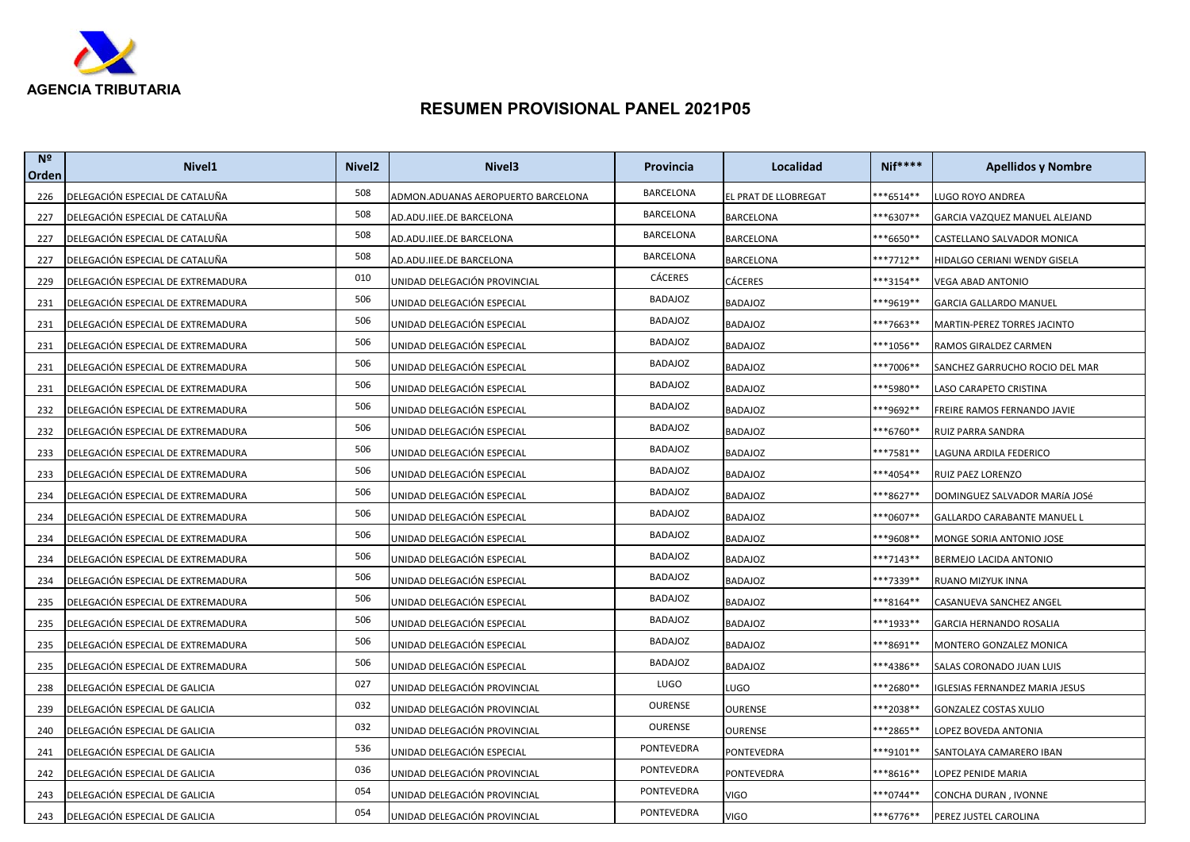

| N <sup>2</sup><br>Orden | Nivel <sub>1</sub>                 | Nivel <sub>2</sub> | Nivel <sub>3</sub>                 | Provincia        | Localidad            | <b>Nif****</b>       | <b>Apellidos y Nombre</b>      |
|-------------------------|------------------------------------|--------------------|------------------------------------|------------------|----------------------|----------------------|--------------------------------|
| 226                     | DELEGACIÓN ESPECIAL DE CATALUÑA    | 508                | ADMON.ADUANAS AEROPUERTO BARCELONA | BARCELONA        | EL PRAT DE LLOBREGAT | **6514**             | LUGO ROYO ANDREA               |
| 227                     | DELEGACIÓN ESPECIAL DE CATALUÑA    | 508                | AD.ADU.IIEE.DE BARCELONA           | <b>BARCELONA</b> | BARCELONA            | **6307**             | GARCIA VAZQUEZ MANUEL ALEJAND  |
| 227                     | DELEGACIÓN ESPECIAL DE CATALUÑA    | 508                | AD.ADU.IIEE.DE BARCELONA           | <b>BARCELONA</b> | BARCELONA            | <sup>**6650**</sup>  | CASTELLANO SALVADOR MONICA     |
| 227                     | DELEGACIÓN ESPECIAL DE CATALUÑA    | 508                | AD.ADU.IIEE.DE BARCELONA           | BARCELONA        | BARCELONA            | **7712**             | HIDALGO CERIANI WENDY GISELA   |
| 229                     | DELEGACIÓN ESPECIAL DE EXTREMADURA | 010                | UNIDAD DELEGACIÓN PROVINCIAL       | <b>CÁCERES</b>   | CÁCERES              | **3154**             | VEGA ABAD ANTONIO              |
| 231                     | DELEGACIÓN ESPECIAL DE EXTREMADURA | 506                | UNIDAD DELEGACIÓN ESPECIAL         | BADAJOZ          | BADAJOZ              | ***9619**            | <b>GARCIA GALLARDO MANUEL</b>  |
| 231                     | DELEGACIÓN ESPECIAL DE EXTREMADURA | 506                | UNIDAD DELEGACIÓN ESPECIAL         | <b>BADAJOZ</b>   | <b>BADAJOZ</b>       | ***7663**            | MARTIN-PEREZ TORRES JACINTO    |
| 231                     | DELEGACIÓN ESPECIAL DE EXTREMADURA | 506                | UNIDAD DELEGACIÓN ESPECIAL         | <b>BADAJOZ</b>   | BADAJOZ              | <sup>**</sup> 1056** | RAMOS GIRALDEZ CARMEN          |
| 231                     | DELEGACIÓN ESPECIAL DE EXTREMADURA | 506                | UNIDAD DELEGACIÓN ESPECIAL         | <b>BADAJOZ</b>   | BADAJOZ              | ***7006**            | SANCHEZ GARRUCHO ROCIO DEL MAR |
| 231                     | DELEGACIÓN ESPECIAL DE EXTREMADURA | 506                | UNIDAD DELEGACIÓN ESPECIAL         | <b>BADAJOZ</b>   | BADAJOZ              | **5980**             | LASO CARAPETO CRISTINA         |
| 232                     | DELEGACIÓN ESPECIAL DE EXTREMADURA | 506                | UNIDAD DELEGACIÓN ESPECIAL         | BADAJOZ          | BADAJOZ              | ***9692**            | FREIRE RAMOS FERNANDO JAVIE    |
| 232                     | DELEGACIÓN ESPECIAL DE EXTREMADURA | 506                | UNIDAD DELEGACIÓN ESPECIAL         | <b>BADAJOZ</b>   | <b>BADAJOZ</b>       | <sup>**</sup> 6760** | RUIZ PARRA SANDRA              |
| 233                     | DELEGACIÓN ESPECIAL DE EXTREMADURA | 506                | UNIDAD DELEGACIÓN ESPECIAL         | BADAJOZ          | BADAJOZ              | **7581**             | LAGUNA ARDILA FEDERICO         |
| 233                     | DELEGACIÓN ESPECIAL DE EXTREMADURA | 506                | UNIDAD DELEGACIÓN ESPECIAL         | BADAJOZ          | BADAJOZ              | ***4054**            | RUIZ PAEZ LORENZO              |
| 234                     | DELEGACIÓN ESPECIAL DE EXTREMADURA | 506                | UNIDAD DELEGACIÓN ESPECIAL         | <b>BADAJOZ</b>   | BADAJOZ              | **8627**             | DOMINGUEZ SALVADOR MARÍA JOSé  |
| 234                     | DELEGACIÓN ESPECIAL DE EXTREMADURA | 506                | UNIDAD DELEGACIÓN ESPECIAL         | <b>BADAJOZ</b>   | <b>BADAJOZ</b>       | **0607**             | GALLARDO CARABANTE MANUEL L    |
| 234                     | DELEGACIÓN ESPECIAL DE EXTREMADURA | 506                | UNIDAD DELEGACIÓN ESPECIAL         | BADAJOZ          | BADAJOZ              | **9608**             | MONGE SORIA ANTONIO JOSE       |
| 234                     | DELEGACIÓN ESPECIAL DE EXTREMADURA | 506                | UNIDAD DELEGACIÓN ESPECIAL         | <b>BADAJOZ</b>   | BADAJOZ              | ***7143**            | BERMEJO LACIDA ANTONIO         |
| 234                     | DELEGACIÓN ESPECIAL DE EXTREMADURA | 506                | UNIDAD DELEGACIÓN ESPECIAL         | <b>BADAJOZ</b>   | BADAJOZ              | <sup>**7339**</sup>  | RUANO MIZYUK INNA              |
| 235                     | DELEGACIÓN ESPECIAL DE EXTREMADURA | 506                | UNIDAD DELEGACIÓN ESPECIAL         | <b>BADAJOZ</b>   | <b>BADAJOZ</b>       | ***8164**            | CASANUEVA SANCHEZ ANGEL        |
| 235                     | DELEGACIÓN ESPECIAL DE EXTREMADURA | 506                | UNIDAD DELEGACIÓN ESPECIAL         | <b>BADAJOZ</b>   | BADAJOZ              | **1933**             | GARCIA HERNANDO ROSALIA        |
| 235                     | DELEGACIÓN ESPECIAL DE EXTREMADURA | 506                | UNIDAD DELEGACIÓN ESPECIAL         | <b>BADAJOZ</b>   | <b>BADAJOZ</b>       | **8691**             | MONTERO GONZALEZ MONICA        |
| 235                     | DELEGACIÓN ESPECIAL DE EXTREMADURA | 506                | UNIDAD DELEGACIÓN ESPECIAL         | <b>BADAJOZ</b>   | <b>BADAJOZ</b>       | ***4386**            | SALAS CORONADO JUAN LUIS       |
| 238                     | DELEGACIÓN ESPECIAL DE GALICIA     | 027                | UNIDAD DELEGACIÓN PROVINCIAL       | LUGO             | LUGO                 | **2680**             | GLESIAS FERNANDEZ MARIA JESUS  |
| 239                     | DELEGACIÓN ESPECIAL DE GALICIA     | 032                | UNIDAD DELEGACIÓN PROVINCIAL       | <b>OURENSE</b>   | OURENSE              | **2038**             | <b>GONZALEZ COSTAS XULIO</b>   |
| 240                     | DELEGACIÓN ESPECIAL DE GALICIA     | 032                | UNIDAD DELEGACIÓN PROVINCIAL       | OURENSE          | OURENSE              | ***2865**            | LOPEZ BOVEDA ANTONIA           |
| 241                     | DELEGACIÓN ESPECIAL DE GALICIA     | 536                | UNIDAD DELEGACIÓN ESPECIAL         | PONTEVEDRA       | PONTEVEDRA           | **9101**             | SANTOLAYA CAMARERO IBAN        |
| 242                     | DELEGACIÓN ESPECIAL DE GALICIA     | 036                | UNIDAD DELEGACIÓN PROVINCIAL       | PONTEVEDRA       | PONTEVEDRA           | ***8616**            | LOPEZ PENIDE MARIA             |
| 243                     | DELEGACIÓN ESPECIAL DE GALICIA     | 054                | UNIDAD DELEGACIÓN PROVINCIAL       | PONTEVEDRA       | VIGO                 | ***0744**            | CONCHA DURAN, IVONNE           |
| 243                     | DELEGACIÓN ESPECIAL DE GALICIA     | 054                | UNIDAD DELEGACIÓN PROVINCIAL       | PONTEVEDRA       | VIGO                 | ***6776**            | PEREZ JUSTEL CAROLINA          |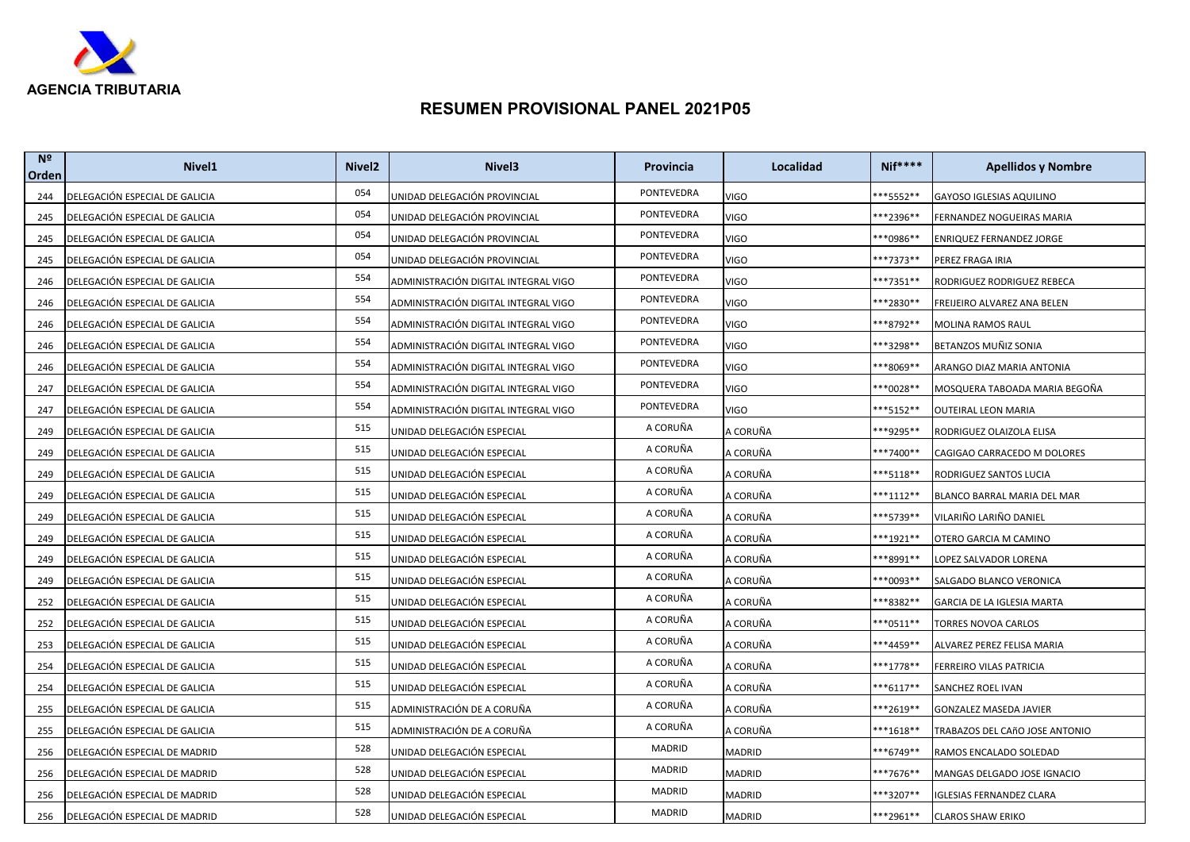

| N <sup>2</sup><br>Orden | Nivel <sub>1</sub>             | Nivel <sub>2</sub> | Nivel <sub>3</sub>                   | Provincia  | Localidad   | <b>Nif****</b>       | <b>Apellidos y Nombre</b>       |
|-------------------------|--------------------------------|--------------------|--------------------------------------|------------|-------------|----------------------|---------------------------------|
| 244                     | DELEGACIÓN ESPECIAL DE GALICIA | 054                | UNIDAD DELEGACIÓN PROVINCIAL         | PONTEVEDRA | <b>VIGO</b> | **5552**             | <b>GAYOSO IGLESIAS AQUILINO</b> |
| 245                     | DELEGACIÓN ESPECIAL DE GALICIA | 054                | UNIDAD DELEGACIÓN PROVINCIAL         | PONTEVEDRA | <b>VIGO</b> | <sup>**</sup> 2396** | FERNANDEZ NOGUEIRAS MARIA       |
| 245                     | DELEGACIÓN ESPECIAL DE GALICIA | 054                | UNIDAD DELEGACIÓN PROVINCIAL         | PONTEVEDRA | <b>VIGO</b> | <sup>**0986**</sup>  | ENRIQUEZ FERNANDEZ JORGE        |
| 245                     | DELEGACIÓN ESPECIAL DE GALICIA | 054                | UNIDAD DELEGACIÓN PROVINCIAL         | PONTEVEDRA | <b>VIGO</b> | **7373**             | PEREZ FRAGA IRIA                |
| 246                     | DELEGACIÓN ESPECIAL DE GALICIA | 554                | ADMINISTRACIÓN DIGITAL INTEGRAL VIGO | PONTEVEDRA | <b>VIGO</b> | ***7351**            | RODRIGUEZ RODRIGUEZ REBECA      |
| 246                     | DELEGACIÓN ESPECIAL DE GALICIA | 554                | ADMINISTRACIÓN DIGITAL INTEGRAL VIGO | PONTEVEDRA | VIGO        | **2830**             | FREIJEIRO ALVAREZ ANA BELEN     |
| 246                     | DELEGACIÓN ESPECIAL DE GALICIA | 554                | ADMINISTRACIÓN DIGITAL INTEGRAL VIGO | PONTEVEDRA | <b>VIGO</b> | **8792**             | MOLINA RAMOS RAUL               |
| 246                     | DELEGACIÓN ESPECIAL DE GALICIA | 554                | ADMINISTRACIÓN DIGITAL INTEGRAL VIGO | PONTEVEDRA | VIGO        | **3298**             | BETANZOS MUÑIZ SONIA            |
| 246                     | DELEGACIÓN ESPECIAL DE GALICIA | 554                | ADMINISTRACIÓN DIGITAL INTEGRAL VIGO | PONTEVEDRA | <b>VIGO</b> | **8069**             | ARANGO DIAZ MARIA ANTONIA       |
| 247                     | DELEGACIÓN ESPECIAL DE GALICIA | 554                | ADMINISTRACIÓN DIGITAL INTEGRAL VIGO | PONTEVEDRA | VIGO        | **0028**             | MOSQUERA TABOADA MARIA BEGOÑA   |
| 247                     | DELEGACIÓN ESPECIAL DE GALICIA | 554                | ADMINISTRACIÓN DIGITAL INTEGRAL VIGO | PONTEVEDRA | <b>VIGO</b> | ***5152**            | OUTEIRAL LEON MARIA             |
| 249                     | DELEGACIÓN ESPECIAL DE GALICIA | 515                | UNIDAD DELEGACIÓN ESPECIAL           | A CORUÑA   | A CORUÑA    | ***9295**            | RODRIGUEZ OLAIZOLA ELISA        |
| 249                     | DELEGACIÓN ESPECIAL DE GALICIA | 515                | UNIDAD DELEGACIÓN ESPECIAL           | A CORUÑA   | A CORUÑA    | **7400**             | CAGIGAO CARRACEDO M DOLORES     |
| 249                     | DELEGACIÓN ESPECIAL DE GALICIA | 515                | UNIDAD DELEGACIÓN ESPECIAL           | A CORUÑA   | A CORUÑA    | ***5118**            | RODRIGUEZ SANTOS LUCIA          |
| 249                     | DELEGACIÓN ESPECIAL DE GALICIA | 515                | UNIDAD DELEGACIÓN ESPECIAL           | A CORUÑA   | A CORUÑA    | $***1112**$          | BLANCO BARRAL MARIA DEL MAR     |
| 249                     | DELEGACIÓN ESPECIAL DE GALICIA | 515                | UNIDAD DELEGACIÓN ESPECIAL           | A CORUÑA   | A CORUÑA    | <sup>**</sup> 5739** | VILARIÑO LARIÑO DANIEL          |
| 249                     | DELEGACIÓN ESPECIAL DE GALICIA | 515                | UNIDAD DELEGACIÓN ESPECIAL           | A CORUÑA   | A CORUÑA    | ***1921**            | OTERO GARCIA M CAMINO           |
| 249                     | DELEGACIÓN ESPECIAL DE GALICIA | 515                | UNIDAD DELEGACIÓN ESPECIAL           | A CORUÑA   | A CORUÑA    | **8991**             | LOPEZ SALVADOR LORENA           |
| 249                     | DELEGACIÓN ESPECIAL DE GALICIA | 515                | UNIDAD DELEGACIÓN ESPECIAL           | A CORUÑA   | A CORUÑA    | **0093**             | SALGADO BLANCO VERONICA         |
| 252                     | DELEGACIÓN ESPECIAL DE GALICIA | 515                | UNIDAD DELEGACIÓN ESPECIAL           | A CORUÑA   | A CORUÑA    | **8382**             | GARCIA DE LA IGLESIA MARTA      |
| 252                     | DELEGACIÓN ESPECIAL DE GALICIA | 515                | UNIDAD DELEGACIÓN ESPECIAL           | A CORUÑA   | A CORUÑA    | **0511**             | TORRES NOVOA CARLOS             |
| 253                     | DELEGACIÓN ESPECIAL DE GALICIA | 515                | UNIDAD DELEGACIÓN ESPECIAL           | A CORUÑA   | A CORUÑA    | <sup>**</sup> 4459** | ALVAREZ PEREZ FELISA MARIA      |
| 254                     | DELEGACIÓN ESPECIAL DE GALICIA | 515                | UNIDAD DELEGACIÓN ESPECIAL           | A CORUÑA   | A CORUÑA    | ***1778**            | FERREIRO VILAS PATRICIA         |
| 254                     | DELEGACIÓN ESPECIAL DE GALICIA | 515                | UNIDAD DELEGACIÓN ESPECIAL           | A CORUÑA   | A CORUÑA    | $***6117**$          | SANCHEZ ROEL IVAN               |
| 255                     | DELEGACIÓN ESPECIAL DE GALICIA | 515                | ADMINISTRACIÓN DE A CORUÑA           | A CORUÑA   | A CORUÑA    | **2619**             | <b>GONZALEZ MASEDA JAVIER</b>   |
| 255                     | DELEGACIÓN ESPECIAL DE GALICIA | 515                | ADMINISTRACIÓN DE A CORUÑA           | A CORUÑA   | A CORUÑA    | <sup>**</sup> 1618** | TRABAZOS DEL CAñO JOSE ANTONIO  |
| 256                     | DELEGACIÓN ESPECIAL DE MADRID  | 528                | UNIDAD DELEGACIÓN ESPECIAL           | MADRID     | MADRID      | <sup>**</sup> 6749** | RAMOS ENCALADO SOLEDAD          |
| 256                     | DELEGACIÓN ESPECIAL DE MADRID  | 528                | UNIDAD DELEGACIÓN ESPECIAL           | MADRID     | MADRID      | ***7676**            | MANGAS DELGADO JOSE IGNACIO     |
| 256                     | DELEGACIÓN ESPECIAL DE MADRID  | 528                | UNIDAD DELEGACIÓN ESPECIAL           | MADRID     | MADRID      | ***3207**            | IGLESIAS FERNANDEZ CLARA        |
| 256                     | DELEGACIÓN ESPECIAL DE MADRID  | 528                | UNIDAD DELEGACIÓN ESPECIAL           | MADRID     | MADRID      | ***2961**            | <b>CLAROS SHAW ERIKO</b>        |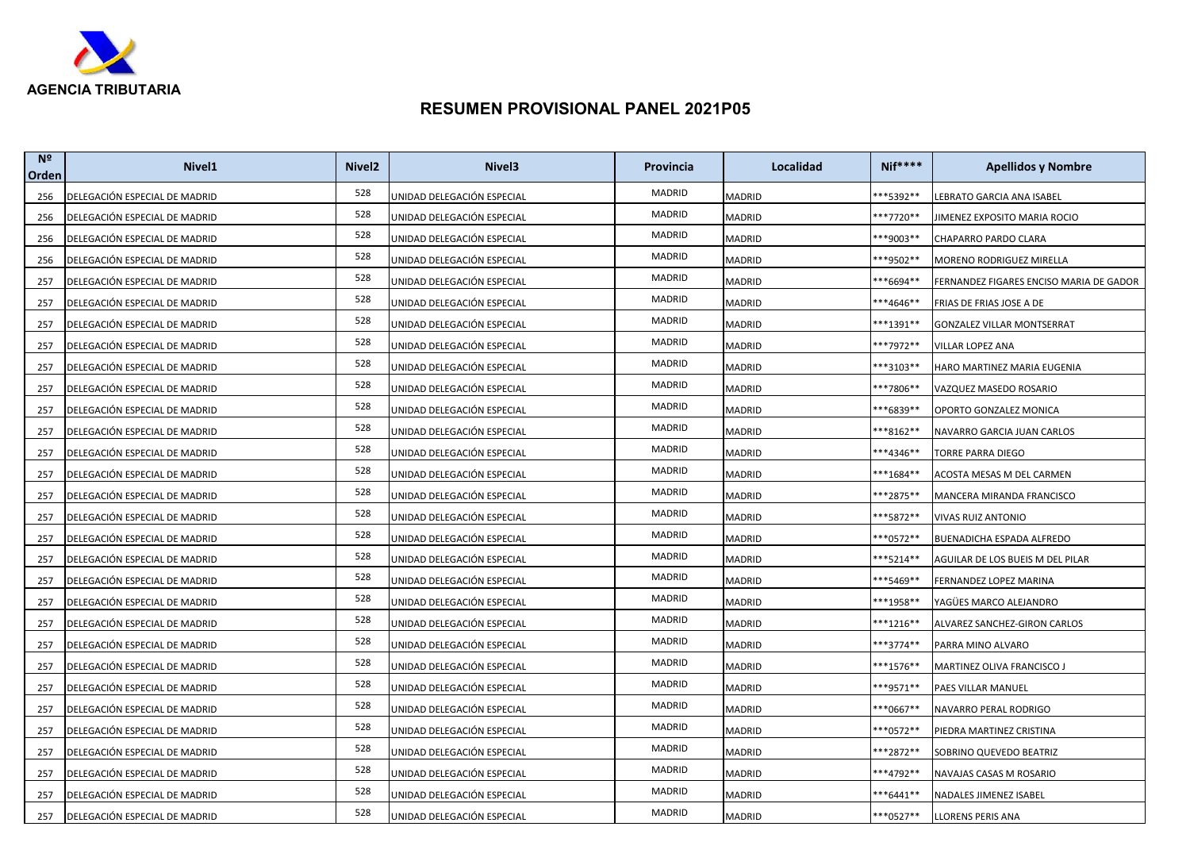

| N <sup>2</sup><br>Orden | Nivel <sub>1</sub>            | Nivel <sub>2</sub> | Nivel <sub>3</sub>         | Provincia | Localidad     | <b>Nif****</b>       | <b>Apellidos y Nombre</b>               |
|-------------------------|-------------------------------|--------------------|----------------------------|-----------|---------------|----------------------|-----------------------------------------|
| 256                     | DELEGACIÓN ESPECIAL DE MADRID | 528                | UNIDAD DELEGACIÓN ESPECIAL | MADRID    | <b>MADRID</b> | **5392**             | LEBRATO GARCIA ANA ISABEL               |
| 256                     | DELEGACIÓN ESPECIAL DE MADRID | 528                | UNIDAD DELEGACIÓN ESPECIAL | MADRID    | MADRID        | <sup>**7720**</sup>  | IIMENEZ EXPOSITO MARIA ROCIO            |
| 256                     | DELEGACIÓN ESPECIAL DE MADRID | 528                | UNIDAD DELEGACIÓN ESPECIAL | MADRID    | MADRID        | ***9003**            | CHAPARRO PARDO CLARA                    |
| 256                     | DELEGACIÓN ESPECIAL DE MADRID | 528                | UNIDAD DELEGACIÓN ESPECIAL | MADRID    | MADRID        | **9502**             | MORENO RODRIGUEZ MIRELLA                |
| 257                     | DELEGACIÓN ESPECIAL DE MADRID | 528                | UNIDAD DELEGACIÓN ESPECIAL | MADRID    | MADRID        | **6694**             | FERNANDEZ FIGARES ENCISO MARIA DE GADOR |
| 257                     | DELEGACIÓN ESPECIAL DE MADRID | 528                | UNIDAD DELEGACIÓN ESPECIAL | MADRID    | MADRID        | ***4646**            | FRIAS DE FRIAS JOSE A DE                |
| 257                     | DELEGACIÓN ESPECIAL DE MADRID | 528                | UNIDAD DELEGACIÓN ESPECIAL | MADRID    | MADRID        | ***1391**            | GONZALEZ VILLAR MONTSERRAT              |
| 257                     | DELEGACIÓN ESPECIAL DE MADRID | 528                | UNIDAD DELEGACIÓN ESPECIAL | MADRID    | MADRID        | **7972**             | VILLAR LOPEZ ANA                        |
| 257                     | DELEGACIÓN ESPECIAL DE MADRID | 528                | UNIDAD DELEGACIÓN ESPECIAL | MADRID    | MADRID        | ***3103**            | HARO MARTINEZ MARIA EUGENIA             |
| 257                     | DELEGACIÓN ESPECIAL DE MADRID | 528                | UNIDAD DELEGACIÓN ESPECIAL | MADRID    | MADRID        | **7806**             | VAZQUEZ MASEDO ROSARIO                  |
| 257                     | DELEGACIÓN ESPECIAL DE MADRID | 528                | UNIDAD DELEGACIÓN ESPECIAL | MADRID    | MADRID        | ***6839**            | OPORTO GONZALEZ MONICA                  |
| 257                     | DELEGACIÓN ESPECIAL DE MADRID | 528                | UNIDAD DELEGACIÓN ESPECIAL | MADRID    | MADRID        | **8162**             | NAVARRO GARCIA JUAN CARLOS              |
| 257                     | DELEGACIÓN ESPECIAL DE MADRID | 528                | UNIDAD DELEGACIÓN ESPECIAL | MADRID    | MADRID        | <sup>**4346**</sup>  | TORRE PARRA DIEGO                       |
| 257                     | DELEGACIÓN ESPECIAL DE MADRID | 528                | UNIDAD DELEGACIÓN ESPECIAL | MADRID    | MADRID        | ***1684**            | ACOSTA MESAS M DEL CARMEN               |
| 257                     | DELEGACIÓN ESPECIAL DE MADRID | 528                | UNIDAD DELEGACIÓN ESPECIAL | MADRID    | MADRID        | **2875**             | MANCERA MIRANDA FRANCISCO               |
| 257                     | DELEGACIÓN ESPECIAL DE MADRID | 528                | UNIDAD DELEGACIÓN ESPECIAL | MADRID    | MADRID        | <sup>**</sup> 5872** | VIVAS RUIZ ANTONIO                      |
| 257                     | DELEGACIÓN ESPECIAL DE MADRID | 528                | UNIDAD DELEGACIÓN ESPECIAL | MADRID    | MADRID        | **0572**             | BUENADICHA ESPADA ALFREDO               |
| 257                     | DELEGACIÓN ESPECIAL DE MADRID | 528                | UNIDAD DELEGACIÓN ESPECIAL | MADRID    | MADRID        | ***5214**            | AGUILAR DE LOS BUEIS M DEL PILAR        |
| 257                     | DELEGACIÓN ESPECIAL DE MADRID | 528                | UNIDAD DELEGACIÓN ESPECIAL | MADRID    | MADRID        | <sup>**</sup> 5469** | FERNANDEZ LOPEZ MARINA                  |
| 257                     | DELEGACIÓN ESPECIAL DE MADRID | 528                | UNIDAD DELEGACIÓN ESPECIAL | MADRID    | MADRID        | ***1958**            | YAGÜES MARCO ALEJANDRO                  |
| 257                     | DELEGACIÓN ESPECIAL DE MADRID | 528                | UNIDAD DELEGACIÓN ESPECIAL | MADRID    | MADRID        | ***1216**            | ALVAREZ SANCHEZ-GIRON CARLOS            |
| 257                     | DELEGACIÓN ESPECIAL DE MADRID | 528                | UNIDAD DELEGACIÓN ESPECIAL | MADRID    | MADRID        | ***3774**            | PARRA MINO ALVARO                       |
| 257                     | DELEGACIÓN ESPECIAL DE MADRID | 528                | UNIDAD DELEGACIÓN ESPECIAL | MADRID    | MADRID        | ***1576**            | MARTINEZ OLIVA FRANCISCO J              |
| 257                     | DELEGACIÓN ESPECIAL DE MADRID | 528                | UNIDAD DELEGACIÓN ESPECIAL | MADRID    | MADRID        | ***9571**            | PAES VILLAR MANUEL                      |
| 257                     | DELEGACIÓN ESPECIAL DE MADRID | 528                | UNIDAD DELEGACIÓN ESPECIAL | MADRID    | MADRID        | ***0667**            | NAVARRO PERAL RODRIGO                   |
| 257                     | DELEGACIÓN ESPECIAL DE MADRID | 528                | UNIDAD DELEGACIÓN ESPECIAL | MADRID    | MADRID        | **0572**             | PIEDRA MARTINEZ CRISTINA                |
| 257                     | DELEGACIÓN ESPECIAL DE MADRID | 528                | UNIDAD DELEGACIÓN ESPECIAL | MADRID    | MADRID        | **2872**             | SOBRINO QUEVEDO BEATRIZ                 |
| 257                     | DELEGACIÓN ESPECIAL DE MADRID | 528                | UNIDAD DELEGACIÓN ESPECIAL | MADRID    | MADRID        | ***4792**            | NAVAJAS CASAS M ROSARIO                 |
| 257                     | DELEGACIÓN ESPECIAL DE MADRID | 528                | UNIDAD DELEGACIÓN ESPECIAL | MADRID    | MADRID        | ***6441**            | NADALES JIMENEZ ISABEL                  |
| 257                     | DELEGACIÓN ESPECIAL DE MADRID | 528                | UNIDAD DELEGACIÓN ESPECIAL | MADRID    | MADRID        | ***0527**            | LLORENS PERIS ANA                       |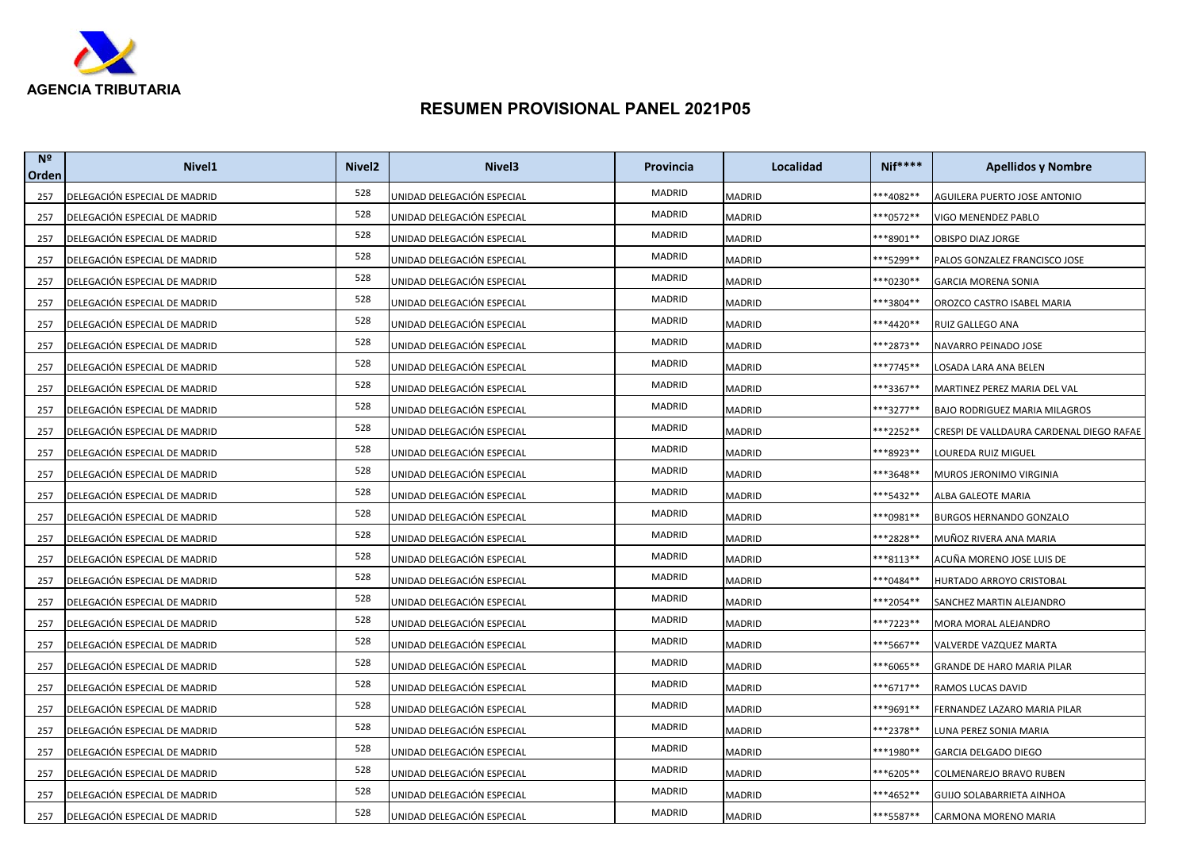

| N <sup>2</sup><br>Orden | Nivel <sub>1</sub>            | Nivel <sub>2</sub> | Nivel <sub>3</sub>         | Provincia | Localidad     | <b>Nif****</b> | <b>Apellidos y Nombre</b>                |
|-------------------------|-------------------------------|--------------------|----------------------------|-----------|---------------|----------------|------------------------------------------|
| 257                     | DELEGACIÓN ESPECIAL DE MADRID | 528                | UNIDAD DELEGACIÓN ESPECIAL | MADRID    | <b>MADRID</b> | $***4082**$    | AGUILERA PUERTO JOSE ANTONIO             |
| 257                     | DELEGACIÓN ESPECIAL DE MADRID | 528                | UNIDAD DELEGACIÓN ESPECIAL | MADRID    | MADRID        | **0572**       | VIGO MENENDEZ PABLO                      |
| 257                     | DELEGACIÓN ESPECIAL DE MADRID | 528                | UNIDAD DELEGACIÓN ESPECIAL | MADRID    | MADRID        | **8901**       | OBISPO DIAZ JORGE                        |
| 257                     | DELEGACIÓN ESPECIAL DE MADRID | 528                | UNIDAD DELEGACIÓN ESPECIAL | MADRID    | MADRID        | **5299**       | PALOS GONZALEZ FRANCISCO JOSE            |
| 257                     | DELEGACIÓN ESPECIAL DE MADRID | 528                | UNIDAD DELEGACIÓN ESPECIAL | MADRID    | MADRID        | **0230**       | <b>GARCIA MORENA SONIA</b>               |
| 257                     | DELEGACIÓN ESPECIAL DE MADRID | 528                | UNIDAD DELEGACIÓN ESPECIAL | MADRID    | MADRID        | ***3804**      | OROZCO CASTRO ISABEL MARIA               |
| 257                     | DELEGACIÓN ESPECIAL DE MADRID | 528                | UNIDAD DELEGACIÓN ESPECIAL | MADRID    | MADRID        | ***4420**      | RUIZ GALLEGO ANA                         |
| 257                     | DELEGACIÓN ESPECIAL DE MADRID | 528                | UNIDAD DELEGACIÓN ESPECIAL | MADRID    | MADRID        | ***2873**      | NAVARRO PEINADO JOSE                     |
| 257                     | DELEGACIÓN ESPECIAL DE MADRID | 528                | UNIDAD DELEGACIÓN ESPECIAL | MADRID    | MADRID        | ***7745**      | LOSADA LARA ANA BELEN                    |
| 257                     | DELEGACIÓN ESPECIAL DE MADRID | 528                | UNIDAD DELEGACIÓN ESPECIAL | MADRID    | MADRID        | **3367**       | MARTINEZ PEREZ MARIA DEL VAL             |
| 257                     | DELEGACIÓN ESPECIAL DE MADRID | 528                | UNIDAD DELEGACIÓN ESPECIAL | MADRID    | MADRID        | ***3277**      | <b>BAJO RODRIGUEZ MARIA MILAGROS</b>     |
| 257                     | DELEGACIÓN ESPECIAL DE MADRID | 528                | UNIDAD DELEGACIÓN ESPECIAL | MADRID    | MADRID        | **2252**       | CRESPI DE VALLDAURA CARDENAL DIEGO RAFAE |
| 257                     | DELEGACIÓN ESPECIAL DE MADRID | 528                | UNIDAD DELEGACIÓN ESPECIAL | MADRID    | MADRID        | **8923**       | LOUREDA RUIZ MIGUEL                      |
| 257                     | DELEGACIÓN ESPECIAL DE MADRID | 528                | UNIDAD DELEGACIÓN ESPECIAL | MADRID    | MADRID        | ***3648**      | MUROS JERONIMO VIRGINIA                  |
| 257                     | DELEGACIÓN ESPECIAL DE MADRID | 528                | UNIDAD DELEGACIÓN ESPECIAL | MADRID    | MADRID        | **5432**       | ALBA GALEOTE MARIA                       |
| 257                     | DELEGACIÓN ESPECIAL DE MADRID | 528                | UNIDAD DELEGACIÓN ESPECIAL | MADRID    | MADRID        | **0981**       | BURGOS HERNANDO GONZALO                  |
| 257                     | DELEGACIÓN ESPECIAL DE MADRID | 528                | UNIDAD DELEGACIÓN ESPECIAL | MADRID    | MADRID        | **2828**       | MUÑOZ RIVERA ANA MARIA                   |
| 257                     | DELEGACIÓN ESPECIAL DE MADRID | 528                | UNIDAD DELEGACIÓN ESPECIAL | MADRID    | MADRID        | **8113**       | ACUÑA MORENO JOSE LUIS DE                |
| 257                     | DELEGACIÓN ESPECIAL DE MADRID | 528                | UNIDAD DELEGACIÓN ESPECIAL | MADRID    | MADRID        | **0484**       | HURTADO ARROYO CRISTOBAL                 |
| 257                     | DELEGACIÓN ESPECIAL DE MADRID | 528                | UNIDAD DELEGACIÓN ESPECIAL | MADRID    | MADRID        | ***2054**      | SANCHEZ MARTIN ALEJANDRO                 |
| 257                     | DELEGACIÓN ESPECIAL DE MADRID | 528                | UNIDAD DELEGACIÓN ESPECIAL | MADRID    | MADRID        | **7223**       | MORA MORAL ALEJANDRO                     |
| 257                     | DELEGACIÓN ESPECIAL DE MADRID | 528                | UNIDAD DELEGACIÓN ESPECIAL | MADRID    | MADRID        | **5667**       | VALVERDE VAZQUEZ MARTA                   |
| 257                     | DELEGACIÓN ESPECIAL DE MADRID | 528                | UNIDAD DELEGACIÓN ESPECIAL | MADRID    | MADRID        | **6065**       | GRANDE DE HARO MARIA PILAR               |
| 257                     | DELEGACIÓN ESPECIAL DE MADRID | 528                | UNIDAD DELEGACIÓN ESPECIAL | MADRID    | MADRID        | $***6717**$    | RAMOS LUCAS DAVID                        |
| 257                     | DELEGACIÓN ESPECIAL DE MADRID | 528                | UNIDAD DELEGACIÓN ESPECIAL | MADRID    | MADRID        | ***9691**      | FERNANDEZ LAZARO MARIA PILAR             |
| 257                     | DELEGACIÓN ESPECIAL DE MADRID | 528                | UNIDAD DELEGACIÓN ESPECIAL | MADRID    | MADRID        | **2378**       | LUNA PEREZ SONIA MARIA                   |
| 257                     | DELEGACIÓN ESPECIAL DE MADRID | 528                | UNIDAD DELEGACIÓN ESPECIAL | MADRID    | MADRID        | **1980**       | GARCIA DELGADO DIEGO                     |
| 257                     | DELEGACIÓN ESPECIAL DE MADRID | 528                | UNIDAD DELEGACIÓN ESPECIAL | MADRID    | MADRID        | **6205**       | COLMENAREJO BRAVO RUBEN                  |
| 257                     | DELEGACIÓN ESPECIAL DE MADRID | 528                | UNIDAD DELEGACIÓN ESPECIAL | MADRID    | MADRID        | ***4652**      | GUIJO SOLABARRIETA AINHOA                |
| 257                     | DELEGACIÓN ESPECIAL DE MADRID | 528                | UNIDAD DELEGACIÓN ESPECIAL | MADRID    | MADRID        | ***5587**      | CARMONA MORENO MARIA                     |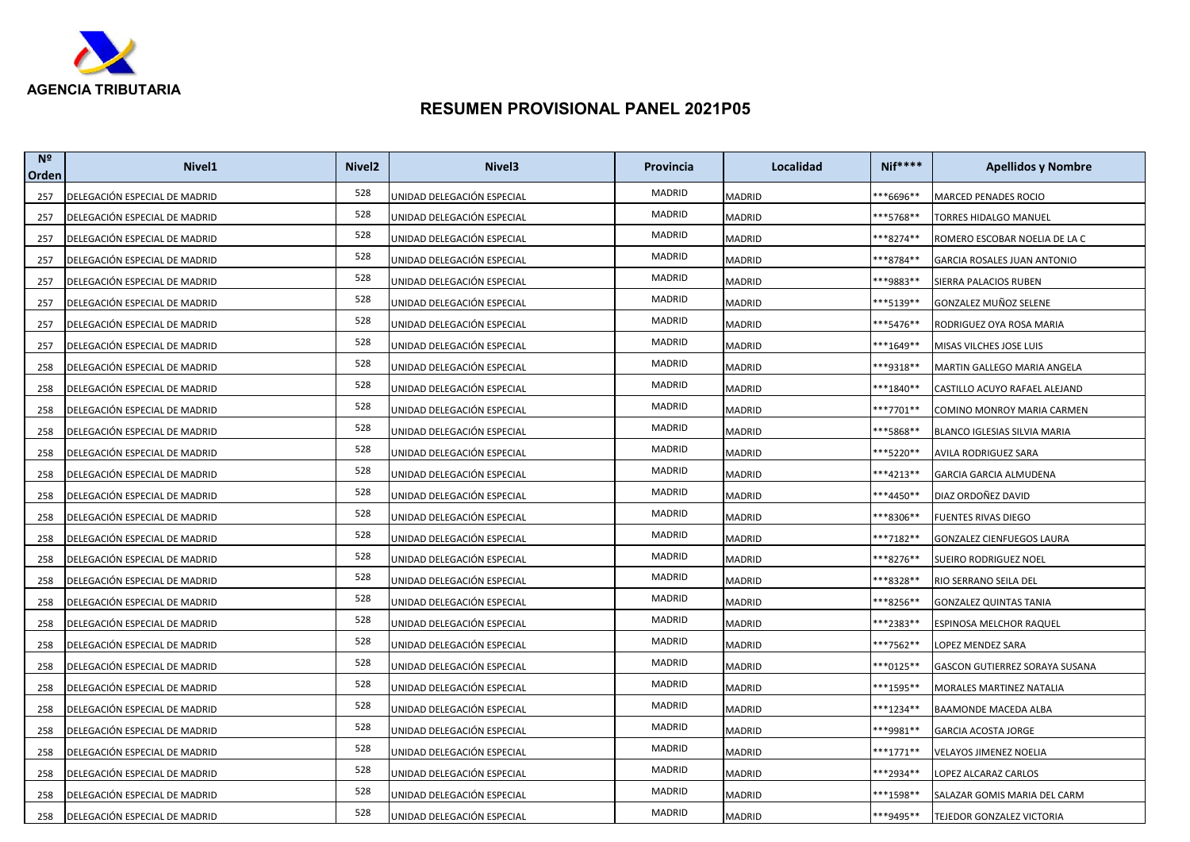

| N <sup>2</sup><br>Orden | Nivel <sub>1</sub>            | Nivel <sub>2</sub> | Nivel <sub>3</sub>         | Provincia | Localidad     | <b>Nif****</b>       | <b>Apellidos y Nombre</b>      |
|-------------------------|-------------------------------|--------------------|----------------------------|-----------|---------------|----------------------|--------------------------------|
| 257                     | DELEGACIÓN ESPECIAL DE MADRID | 528                | UNIDAD DELEGACIÓN ESPECIAL | MADRID    | <b>MADRID</b> | **6696**             | <b>MARCED PENADES ROCIO</b>    |
| 257                     | DELEGACIÓN ESPECIAL DE MADRID | 528                | UNIDAD DELEGACIÓN ESPECIAL | MADRID    | MADRID        | <sup>**</sup> 5768** | TORRES HIDALGO MANUEL          |
| 257                     | DELEGACIÓN ESPECIAL DE MADRID | 528                | UNIDAD DELEGACIÓN ESPECIAL | MADRID    | MADRID        | **8274**             | ROMERO ESCOBAR NOELIA DE LA C  |
| 257                     | DELEGACIÓN ESPECIAL DE MADRID | 528                | UNIDAD DELEGACIÓN ESPECIAL | MADRID    | MADRID        | **8784**             | GARCIA ROSALES JUAN ANTONIO    |
| 257                     | DELEGACIÓN ESPECIAL DE MADRID | 528                | UNIDAD DELEGACIÓN ESPECIAL | MADRID    | MADRID        | <sup>**9883**</sup>  | SIERRA PALACIOS RUBEN          |
| 257                     | DELEGACIÓN ESPECIAL DE MADRID | 528                | UNIDAD DELEGACIÓN ESPECIAL | MADRID    | MADRID        | **5139**             | GONZALEZ MUÑOZ SELENE          |
| 257                     | DELEGACIÓN ESPECIAL DE MADRID | 528                | UNIDAD DELEGACIÓN ESPECIAL | MADRID    | MADRID        | ***5476**            | RODRIGUEZ OYA ROSA MARIA       |
| 257                     | DELEGACIÓN ESPECIAL DE MADRID | 528                | UNIDAD DELEGACIÓN ESPECIAL | MADRID    | MADRID        | **1649**             | MISAS VILCHES JOSE LUIS        |
| 258                     | DELEGACIÓN ESPECIAL DE MADRID | 528                | UNIDAD DELEGACIÓN ESPECIAL | MADRID    | MADRID        | ***9318**            | MARTIN GALLEGO MARIA ANGELA    |
| 258                     | DELEGACIÓN ESPECIAL DE MADRID | 528                | UNIDAD DELEGACIÓN ESPECIAL | MADRID    | MADRID        | <sup>**</sup> 1840** | CASTILLO ACUYO RAFAEL ALEJAND  |
| 258                     | DELEGACIÓN ESPECIAL DE MADRID | 528                | UNIDAD DELEGACIÓN ESPECIAL | MADRID    | MADRID        | ***7701**            | COMINO MONROY MARIA CARMEN     |
| 258                     | DELEGACIÓN ESPECIAL DE MADRID | 528                | UNIDAD DELEGACIÓN ESPECIAL | MADRID    | MADRID        | **5868**             | BLANCO IGLESIAS SILVIA MARIA   |
| 258                     | DELEGACIÓN ESPECIAL DE MADRID | 528                | UNIDAD DELEGACIÓN ESPECIAL | MADRID    | MADRID        | **5220**             | AVILA RODRIGUEZ SARA           |
| 258                     | DELEGACIÓN ESPECIAL DE MADRID | 528                | UNIDAD DELEGACIÓN ESPECIAL | MADRID    | MADRID        | ***4213**            | GARCIA GARCIA ALMUDENA         |
| 258                     | DELEGACIÓN ESPECIAL DE MADRID | 528                | UNIDAD DELEGACIÓN ESPECIAL | MADRID    | MADRID        | **4450**             | DIAZ ORDOÑEZ DAVID             |
| 258                     | DELEGACIÓN ESPECIAL DE MADRID | 528                | UNIDAD DELEGACIÓN ESPECIAL | MADRID    | MADRID        | **8306**             | FUENTES RIVAS DIEGO            |
| 258                     | DELEGACIÓN ESPECIAL DE MADRID | 528                | UNIDAD DELEGACIÓN ESPECIAL | MADRID    | MADRID        | ***7182**            | GONZALEZ CIENFUEGOS LAURA      |
| 258                     | DELEGACIÓN ESPECIAL DE MADRID | 528                | UNIDAD DELEGACIÓN ESPECIAL | MADRID    | MADRID        | **8276**             | SUEIRO RODRIGUEZ NOEL          |
| 258                     | DELEGACIÓN ESPECIAL DE MADRID | 528                | UNIDAD DELEGACIÓN ESPECIAL | MADRID    | MADRID        | **8328**             | RIO SERRANO SEILA DEL          |
| 258                     | DELEGACIÓN ESPECIAL DE MADRID | 528                | UNIDAD DELEGACIÓN ESPECIAL | MADRID    | MADRID        | **8256**             | <b>GONZALEZ QUINTAS TANIA</b>  |
| 258                     | DELEGACIÓN ESPECIAL DE MADRID | 528                | UNIDAD DELEGACIÓN ESPECIAL | MADRID    | MADRID        | **2383**             | ESPINOSA MELCHOR RAQUEL        |
| 258                     | DELEGACIÓN ESPECIAL DE MADRID | 528                | UNIDAD DELEGACIÓN ESPECIAL | MADRID    | MADRID        | **7562**             | LOPEZ MENDEZ SARA              |
| 258                     | DELEGACIÓN ESPECIAL DE MADRID | 528                | UNIDAD DELEGACIÓN ESPECIAL | MADRID    | MADRID        | $***0125**$          | GASCON GUTIERREZ SORAYA SUSANA |
| 258                     | DELEGACIÓN ESPECIAL DE MADRID | 528                | UNIDAD DELEGACIÓN ESPECIAL | MADRID    | MADRID        | ***1595**            | MORALES MARTINEZ NATALIA       |
| 258                     | DELEGACIÓN ESPECIAL DE MADRID | 528                | UNIDAD DELEGACIÓN ESPECIAL | MADRID    | MADRID        | ***1234**            | <b>BAAMONDE MACEDA ALBA</b>    |
| 258                     | DELEGACIÓN ESPECIAL DE MADRID | 528                | UNIDAD DELEGACIÓN ESPECIAL | MADRID    | MADRID        | ***9981**            | GARCIA ACOSTA JORGE            |
| 258                     | DELEGACIÓN ESPECIAL DE MADRID | 528                | UNIDAD DELEGACIÓN ESPECIAL | MADRID    | MADRID        | ***1771**            | VELAYOS JIMENEZ NOELIA         |
| 258                     | DELEGACIÓN ESPECIAL DE MADRID | 528                | UNIDAD DELEGACIÓN ESPECIAL | MADRID    | MADRID        | ***2934**            | LOPEZ ALCARAZ CARLOS           |
| 258                     | DELEGACIÓN ESPECIAL DE MADRID | 528                | UNIDAD DELEGACIÓN ESPECIAL | MADRID    | MADRID        | ***1598**            | SALAZAR GOMIS MARIA DEL CARM   |
| 258                     | DELEGACIÓN ESPECIAL DE MADRID | 528                | UNIDAD DELEGACIÓN ESPECIAL | MADRID    | MADRID        | ***9495**            | TEJEDOR GONZALEZ VICTORIA      |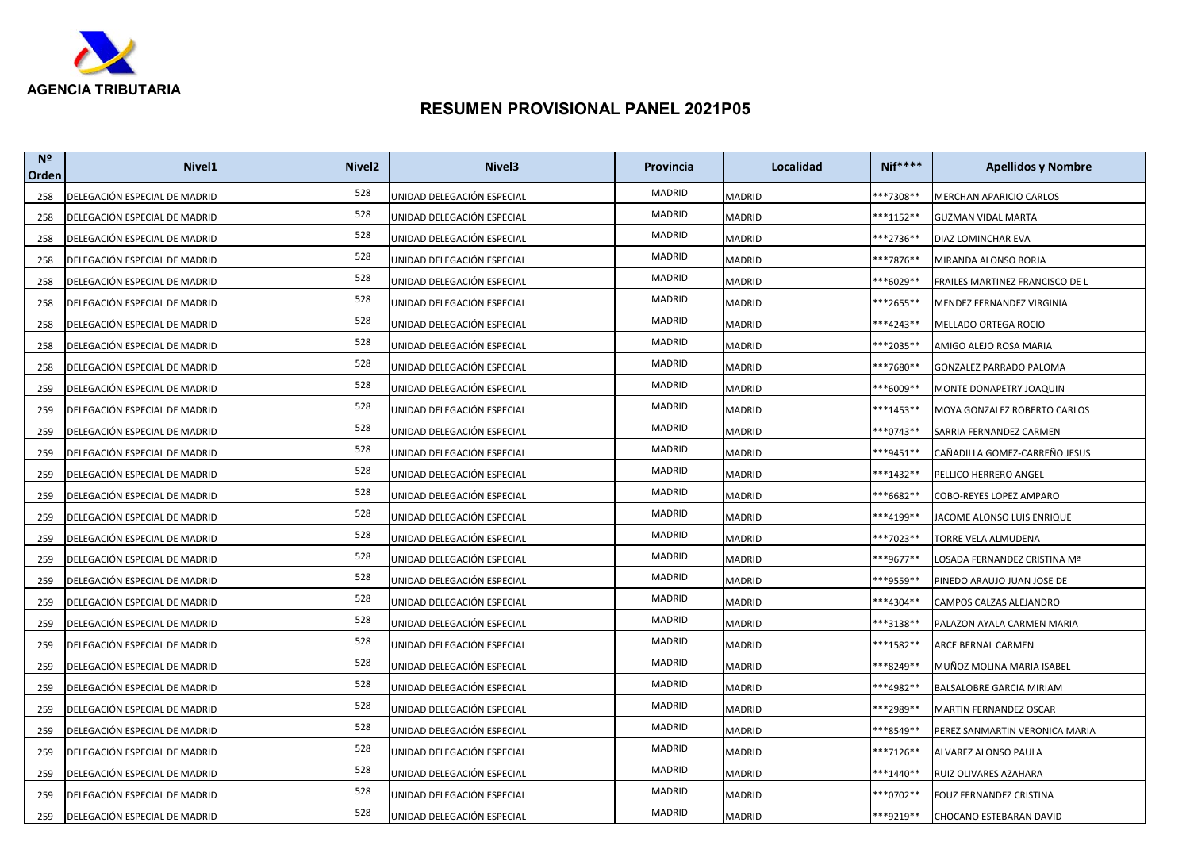

| N <sup>2</sup><br>Orden | Nivel <sub>1</sub>            | Nivel <sub>2</sub> | Nivel <sub>3</sub>         | Provincia | Localidad     | <b>Nif****</b>       | <b>Apellidos y Nombre</b>       |
|-------------------------|-------------------------------|--------------------|----------------------------|-----------|---------------|----------------------|---------------------------------|
| 258                     | DELEGACIÓN ESPECIAL DE MADRID | 528                | UNIDAD DELEGACIÓN ESPECIAL | MADRID    | <b>MADRID</b> | **7308**             | MERCHAN APARICIO CARLOS         |
| 258                     | DELEGACIÓN ESPECIAL DE MADRID | 528                | UNIDAD DELEGACIÓN ESPECIAL | MADRID    | MADRID        | ***1152**            | <b>GUZMAN VIDAL MARTA</b>       |
| 258                     | DELEGACIÓN ESPECIAL DE MADRID | 528                | UNIDAD DELEGACIÓN ESPECIAL | MADRID    | MADRID        | ***2736**            | DIAZ LOMINCHAR EVA              |
| 258                     | DELEGACIÓN ESPECIAL DE MADRID | 528                | UNIDAD DELEGACIÓN ESPECIAL | MADRID    | MADRID        | **7876**             | MIRANDA ALONSO BORJA            |
| 258                     | DELEGACIÓN ESPECIAL DE MADRID | 528                | UNIDAD DELEGACIÓN ESPECIAL | MADRID    | MADRID        | **6029**             | FRAILES MARTINEZ FRANCISCO DE L |
| 258                     | DELEGACIÓN ESPECIAL DE MADRID | 528                | UNIDAD DELEGACIÓN ESPECIAL | MADRID    | MADRID        | **2655**             | MENDEZ FERNANDEZ VIRGINIA       |
| 258                     | DELEGACIÓN ESPECIAL DE MADRID | 528                | UNIDAD DELEGACIÓN ESPECIAL | MADRID    | MADRID        | ***4243**            | MELLADO ORTEGA ROCIO            |
| 258                     | DELEGACIÓN ESPECIAL DE MADRID | 528                | UNIDAD DELEGACIÓN ESPECIAL | MADRID    | MADRID        | ***2035**            | AMIGO ALEJO ROSA MARIA          |
| 258                     | DELEGACIÓN ESPECIAL DE MADRID | 528                | UNIDAD DELEGACIÓN ESPECIAL | MADRID    | MADRID        | ***7680**            | GONZALEZ PARRADO PALOMA         |
| 259                     | DELEGACIÓN ESPECIAL DE MADRID | 528                | UNIDAD DELEGACIÓN ESPECIAL | MADRID    | MADRID        | **6009**             | MONTE DONAPETRY JOAQUIN         |
| 259                     | DELEGACIÓN ESPECIAL DE MADRID | 528                | UNIDAD DELEGACIÓN ESPECIAL | MADRID    | MADRID        | ***1453**            | MOYA GONZALEZ ROBERTO CARLOS    |
| 259                     | DELEGACIÓN ESPECIAL DE MADRID | 528                | UNIDAD DELEGACIÓN ESPECIAL | MADRID    | MADRID        | **0743**             | SARRIA FERNANDEZ CARMEN         |
| 259                     | DELEGACIÓN ESPECIAL DE MADRID | 528                | UNIDAD DELEGACIÓN ESPECIAL | MADRID    | MADRID        | **9451**             | CAÑADILLA GOMEZ-CARREÑO JESUS   |
| 259                     | DELEGACIÓN ESPECIAL DE MADRID | 528                | UNIDAD DELEGACIÓN ESPECIAL | MADRID    | MADRID        | ***1432**            | PELLICO HERRERO ANGEL           |
| 259                     | DELEGACIÓN ESPECIAL DE MADRID | 528                | UNIDAD DELEGACIÓN ESPECIAL | MADRID    | MADRID        | **6682**             | COBO-REYES LOPEZ AMPARO         |
| 259                     | DELEGACIÓN ESPECIAL DE MADRID | 528                | UNIDAD DELEGACIÓN ESPECIAL | MADRID    | <b>MADRID</b> | <sup>**</sup> 4199** | JACOME ALONSO LUIS ENRIQUE      |
| 259                     | DELEGACIÓN ESPECIAL DE MADRID | 528                | UNIDAD DELEGACIÓN ESPECIAL | MADRID    | MADRID        | ***7023**            | TORRE VELA ALMUDENA             |
| 259                     | DELEGACIÓN ESPECIAL DE MADRID | 528                | UNIDAD DELEGACIÓN ESPECIAL | MADRID    | MADRID        | ***9677**            | LOSADA FERNANDEZ CRISTINA Mª    |
| 259                     | DELEGACIÓN ESPECIAL DE MADRID | 528                | UNIDAD DELEGACIÓN ESPECIAL | MADRID    | MADRID        | <sup>**9559**</sup>  | PINEDO ARAUJO JUAN JOSE DE      |
| 259                     | DELEGACIÓN ESPECIAL DE MADRID | 528                | UNIDAD DELEGACIÓN ESPECIAL | MADRID    | <b>MADRID</b> | ***4304**            | CAMPOS CALZAS ALEJANDRO         |
| 259                     | DELEGACIÓN ESPECIAL DE MADRID | 528                | UNIDAD DELEGACIÓN ESPECIAL | MADRID    | MADRID        | **3138**             | PALAZON AYALA CARMEN MARIA      |
| 259                     | DELEGACIÓN ESPECIAL DE MADRID | 528                | UNIDAD DELEGACIÓN ESPECIAL | MADRID    | MADRID        | ***1582**            | ARCE BERNAL CARMEN              |
| 259                     | DELEGACIÓN ESPECIAL DE MADRID | 528                | UNIDAD DELEGACIÓN ESPECIAL | MADRID    | MADRID        | ***8249**            | MUÑOZ MOLINA MARIA ISABEL       |
| 259                     | DELEGACIÓN ESPECIAL DE MADRID | 528                | UNIDAD DELEGACIÓN ESPECIAL | MADRID    | MADRID        | ***4982**            | BALSALOBRE GARCIA MIRIAM        |
| 259                     | DELEGACIÓN ESPECIAL DE MADRID | 528                | UNIDAD DELEGACIÓN ESPECIAL | MADRID    | MADRID        | **2989**             | MARTIN FERNANDEZ OSCAR          |
| 259                     | DELEGACIÓN ESPECIAL DE MADRID | 528                | UNIDAD DELEGACIÓN ESPECIAL | MADRID    | MADRID        | <sup>**</sup> 8549** | PEREZ SANMARTIN VERONICA MARIA  |
| 259                     | DELEGACIÓN ESPECIAL DE MADRID | 528                | UNIDAD DELEGACIÓN ESPECIAL | MADRID    | MADRID        | ***7126**            | ALVAREZ ALONSO PAULA            |
| 259                     | DELEGACIÓN ESPECIAL DE MADRID | 528                | UNIDAD DELEGACIÓN ESPECIAL | MADRID    | MADRID        | ***1440**            | RUIZ OLIVARES AZAHARA           |
| 259                     | DELEGACIÓN ESPECIAL DE MADRID | 528                | UNIDAD DELEGACIÓN ESPECIAL | MADRID    | MADRID        | ***0702**            | FOUZ FERNANDEZ CRISTINA         |
| 259                     | DELEGACIÓN ESPECIAL DE MADRID | 528                | UNIDAD DELEGACIÓN ESPECIAL | MADRID    | MADRID        | ***9219**            | CHOCANO ESTEBARAN DAVID         |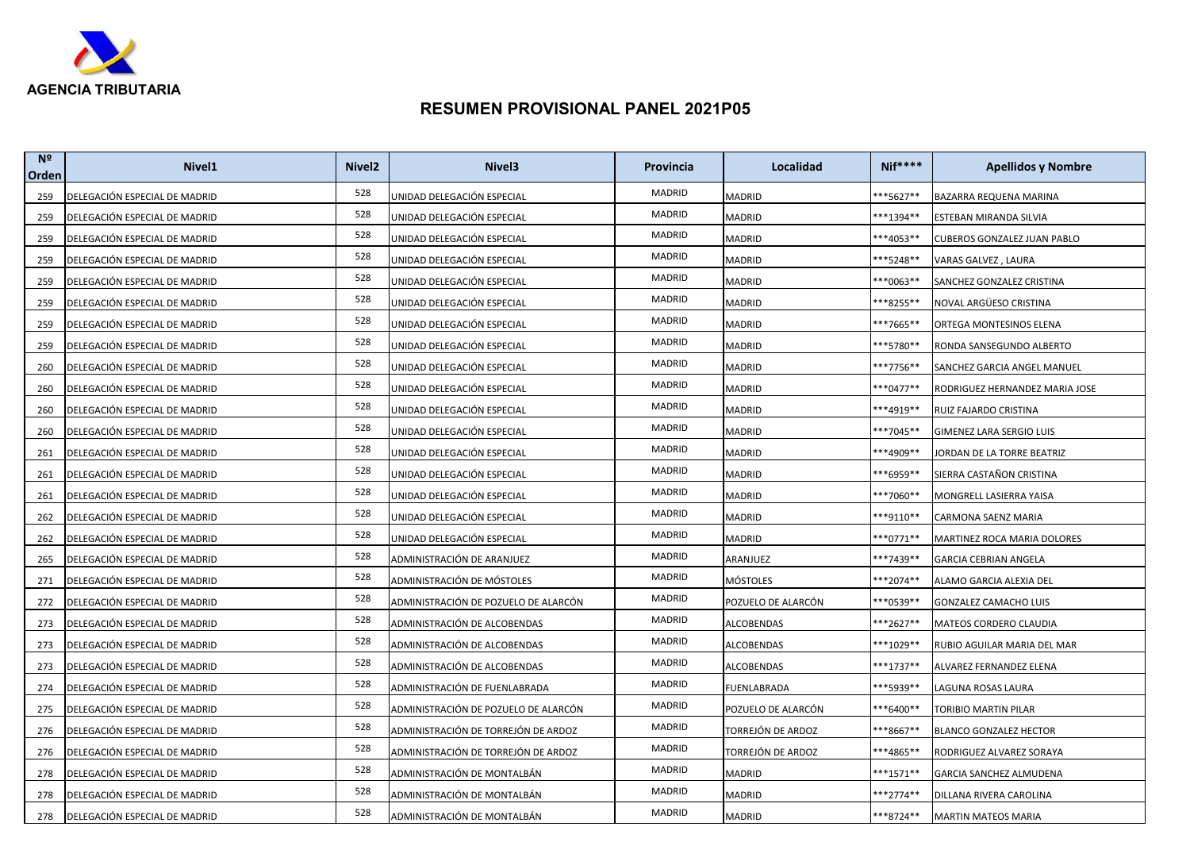

| N <sup>o</sup><br>Orden | Nivel <sub>1</sub>            | Nivel <sub>2</sub> | Nivel <sub>3</sub>                   | Provincia | Localidad          | <b>Nif****</b>       | <b>Apellidos y Nombre</b>      |
|-------------------------|-------------------------------|--------------------|--------------------------------------|-----------|--------------------|----------------------|--------------------------------|
| 259                     | DELEGACIÓN ESPECIAL DE MADRID | 528                | UNIDAD DELEGACIÓN ESPECIAL           | MADRID    | <b>MADRID</b>      | ***5627**            | BAZARRA REQUENA MARINA         |
| 259                     | DELEGACIÓN ESPECIAL DE MADRID | 528                | UNIDAD DELEGACIÓN ESPECIAL           | MADRID    | MADRID             | **1394**             | ESTEBAN MIRANDA SILVIA         |
| 259                     | DELEGACIÓN ESPECIAL DE MADRID | 528                | UNIDAD DELEGACIÓN ESPECIAL           | MADRID    | MADRID             | **4053**             | CUBEROS GONZALEZ JUAN PABLO    |
| 259                     | DELEGACIÓN ESPECIAL DE MADRID | 528                | UNIDAD DELEGACIÓN ESPECIAL           | MADRID    | <b>MADRID</b>      | **5248**             | VARAS GALVEZ, LAURA            |
| 259                     | DELEGACIÓN ESPECIAL DE MADRID | 528                | UNIDAD DELEGACIÓN ESPECIAL           | MADRID    | MADRID             | **0063**             | SANCHEZ GONZALEZ CRISTINA      |
| 259                     | DELEGACIÓN ESPECIAL DE MADRID | 528                | UNIDAD DELEGACIÓN ESPECIAL           | MADRID    | MADRID             | **8255**             | NOVAL ARGÜESO CRISTINA         |
| 259                     | DELEGACIÓN ESPECIAL DE MADRID | 528                | UNIDAD DELEGACIÓN ESPECIAL           | MADRID    | MADRID             | **7665**             | ORTEGA MONTESINOS ELENA        |
| 259                     | DELEGACIÓN ESPECIAL DE MADRID | 528                | UNIDAD DELEGACIÓN ESPECIAL           | MADRID    | MADRID             | **5780**             | RONDA SANSEGUNDO ALBERTO       |
| 260                     | DELEGACIÓN ESPECIAL DE MADRID | 528                | UNIDAD DELEGACIÓN ESPECIAL           | MADRID    | MADRID             | ***7756**            | SANCHEZ GARCIA ANGEL MANUEL    |
| 260                     | DELEGACIÓN ESPECIAL DE MADRID | 528                | UNIDAD DELEGACIÓN ESPECIAL           | MADRID    | MADRID             | ***0477**            | RODRIGUEZ HERNANDEZ MARIA JOSE |
| 260                     | DELEGACIÓN ESPECIAL DE MADRID | 528                | UNIDAD DELEGACIÓN ESPECIAL           | MADRID    | MADRID             | <sup>**</sup> 4919** | RUIZ FAJARDO CRISTINA          |
| 260                     | DELEGACIÓN ESPECIAL DE MADRID | 528                | UNIDAD DELEGACIÓN ESPECIAL           | MADRID    | <b>MADRID</b>      | **7045**             | GIMENEZ LARA SERGIO LUIS       |
| 261                     | DELEGACIÓN ESPECIAL DE MADRID | 528                | UNIDAD DELEGACIÓN ESPECIAL           | MADRID    | MADRID             | ***4909**            | JORDAN DE LA TORRE BEATRIZ     |
| 261                     | DELEGACIÓN ESPECIAL DE MADRID | 528                | UNIDAD DELEGACIÓN ESPECIAL           | MADRID    | MADRID             | **6959**             | SIERRA CASTAÑON CRISTINA       |
| 261                     | DELEGACIÓN ESPECIAL DE MADRID | 528                | UNIDAD DELEGACIÓN ESPECIAL           | MADRID    | MADRID             | **7060**             | MONGRELL LASIERRA YAISA        |
| 262                     | DELEGACIÓN ESPECIAL DE MADRID | 528                | UNIDAD DELEGACIÓN ESPECIAL           | MADRID    | MADRID             | <sup>**9110**</sup>  | CARMONA SAENZ MARIA            |
| 262                     | DELEGACIÓN ESPECIAL DE MADRID | 528                | UNIDAD DELEGACIÓN ESPECIAL           | MADRID    | MADRID             | $***0771**$          | MARTINEZ ROCA MARIA DOLORES    |
| 265                     | DELEGACIÓN ESPECIAL DE MADRID | 528                | ADMINISTRACIÓN DE ARANJUEZ           | MADRID    | ARANJUEZ           | ***7439**            | <b>GARCIA CEBRIAN ANGELA</b>   |
| 271                     | DELEGACIÓN ESPECIAL DE MADRID | 528                | ADMINISTRACIÓN DE MÓSTOLES           | MADRID    | MÓSTOLES           | $***2074**$          | ALAMO GARCIA ALEXIA DEL        |
| 272                     | DELEGACIÓN ESPECIAL DE MADRID | 528                | ADMINISTRACIÓN DE POZUELO DE ALARCÓN | MADRID    | POZUELO DE ALARCÓN | ***0539**            | GONZALEZ CAMACHO LUIS          |
| 273                     | DELEGACIÓN ESPECIAL DE MADRID | 528                | ADMINISTRACIÓN DE ALCOBENDAS         | MADRID    | ALCOBENDAS         | ***2627**            | MATEOS CORDERO CLAUDIA         |
| 273                     | DELEGACIÓN ESPECIAL DE MADRID | 528                | ADMINISTRACIÓN DE ALCOBENDAS         | MADRID    | ALCOBENDAS         | ***1029**            | RUBIO AGUILAR MARIA DEL MAR    |
| 273                     | DELEGACIÓN ESPECIAL DE MADRID | 528                | ADMINISTRACIÓN DE ALCOBENDAS         | MADRID    | ALCOBENDAS         | ***1737**            | ALVAREZ FERNANDEZ ELENA        |
| 274                     | DELEGACIÓN ESPECIAL DE MADRID | 528                | ADMINISTRACIÓN DE FUENLABRADA        | MADRID    | FUENLABRADA        | ***5939**            | LAGUNA ROSAS LAURA             |
| 275                     | DELEGACIÓN ESPECIAL DE MADRID | 528                | ADMINISTRACIÓN DE POZUELO DE ALARCÓN | MADRID    | POZUELO DE ALARCÓN | ***6400**            | TORIBIO MARTIN PILAR           |
| 276                     | DELEGACIÓN ESPECIAL DE MADRID | 528                | ADMINISTRACIÓN DE TORREJÓN DE ARDOZ  | MADRID    | TORREJÓN DE ARDOZ  | ***8667**            | BLANCO GONZALEZ HECTOR         |
| 276                     | DELEGACIÓN ESPECIAL DE MADRID | 528                | ADMINISTRACIÓN DE TORREJÓN DE ARDOZ  | MADRID    | TORREJÓN DE ARDOZ  | <sup>**4865**</sup>  | RODRIGUEZ ALVAREZ SORAYA       |
| 278                     | DELEGACIÓN ESPECIAL DE MADRID | 528                | ADMINISTRACIÓN DE MONTALBÁN          | MADRID    | MADRID             | ***1571**            | GARCIA SANCHEZ ALMUDENA        |
| 278                     | DELEGACIÓN ESPECIAL DE MADRID | 528                | ADMINISTRACIÓN DE MONTALBÁN          | MADRID    | MADRID             | ***2774**            | DILLANA RIVERA CAROLINA        |
| 278                     | DELEGACIÓN ESPECIAL DE MADRID | 528                | ADMINISTRACIÓN DE MONTALBÁN          | MADRID    | MADRID             | ***8724**            | <b>MARTIN MATEOS MARIA</b>     |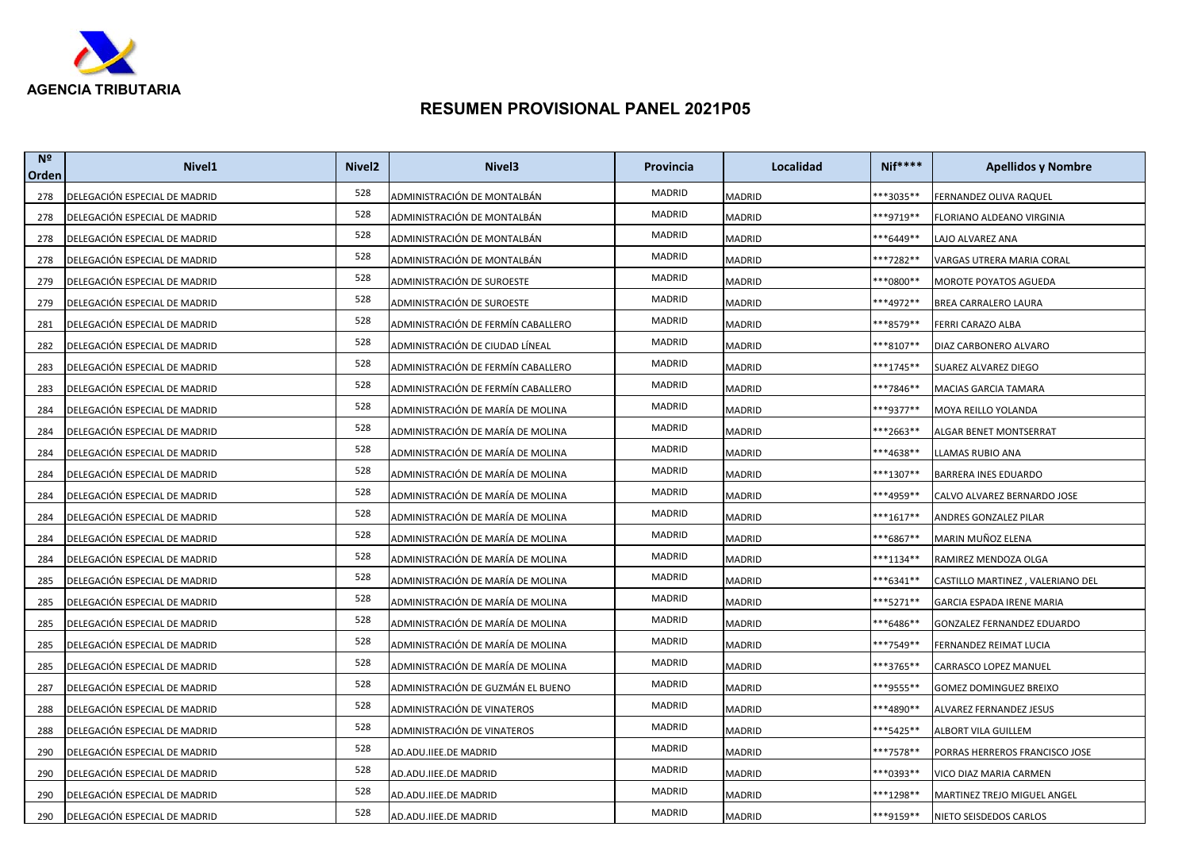

| N <sup>2</sup><br>Orden | Nivel <sub>1</sub>            | Nivel <sub>2</sub> | Nivel <sub>3</sub>                 | Provincia | Localidad     | <b>Nif****</b>       | <b>Apellidos y Nombre</b>         |
|-------------------------|-------------------------------|--------------------|------------------------------------|-----------|---------------|----------------------|-----------------------------------|
| 278                     | DELEGACIÓN ESPECIAL DE MADRID | 528                | ADMINISTRACIÓN DE MONTALBÁN        | MADRID    | <b>MADRID</b> | **3035**             | FERNANDEZ OLIVA RAQUEL            |
| 278                     | DELEGACIÓN ESPECIAL DE MADRID | 528                | ADMINISTRACIÓN DE MONTALBÁN        | MADRID    | MADRID        | <sup>**9719**</sup>  | FLORIANO ALDEANO VIRGINIA         |
| 278                     | DELEGACIÓN ESPECIAL DE MADRID | 528                | ADMINISTRACIÓN DE MONTALBÁN        | MADRID    | MADRID        | <sup>**6449**</sup>  | LAJO ALVAREZ ANA                  |
| 278                     | DELEGACIÓN ESPECIAL DE MADRID | 528                | ADMINISTRACIÓN DE MONTALBÁN        | MADRID    | MADRID        | **7282**             | VARGAS UTRERA MARIA CORAL         |
| 279                     | DELEGACIÓN ESPECIAL DE MADRID | 528                | ADMINISTRACIÓN DE SUROESTE         | MADRID    | MADRID        | **0800**             | MOROTE POYATOS AGUEDA             |
| 279                     | DELEGACIÓN ESPECIAL DE MADRID | 528                | ADMINISTRACIÓN DE SUROESTE         | MADRID    | MADRID        | **4972**             | BREA CARRALERO LAURA              |
| 281                     | DELEGACIÓN ESPECIAL DE MADRID | 528                | ADMINISTRACIÓN DE FERMÍN CABALLERO | MADRID    | MADRID        | **8579**             | FERRI CARAZO ALBA                 |
| 282                     | DELEGACIÓN ESPECIAL DE MADRID | 528                | ADMINISTRACIÓN DE CIUDAD LÍNEAL    | MADRID    | MADRID        | **8107**             | DIAZ CARBONERO ALVARO             |
| 283                     | DELEGACIÓN ESPECIAL DE MADRID | 528                | ADMINISTRACIÓN DE FERMÍN CABALLERO | MADRID    | MADRID        | ***1745**            | SUAREZ ALVAREZ DIEGO              |
| 283                     | DELEGACIÓN ESPECIAL DE MADRID | 528                | ADMINISTRACIÓN DE FERMÍN CABALLERO | MADRID    | MADRID        | ***7846**            | MACIAS GARCIA TAMARA              |
| 284                     | DELEGACIÓN ESPECIAL DE MADRID | 528                | ADMINISTRACIÓN DE MARÍA DE MOLINA  | MADRID    | MADRID        | ***9377**            | MOYA REILLO YOLANDA               |
| 284                     | DELEGACIÓN ESPECIAL DE MADRID | 528                | ADMINISTRACIÓN DE MARÍA DE MOLINA  | MADRID    | MADRID        | **2663**             | ALGAR BENET MONTSERRAT            |
| 284                     | DELEGACIÓN ESPECIAL DE MADRID | 528                | ADMINISTRACIÓN DE MARÍA DE MOLINA  | MADRID    | MADRID        | **4638**             | LLAMAS RUBIO ANA                  |
| 284                     | DELEGACIÓN ESPECIAL DE MADRID | 528                | ADMINISTRACIÓN DE MARÍA DE MOLINA  | MADRID    | MADRID        | ***1307**            | BARRERA INES EDUARDO              |
| 284                     | DELEGACIÓN ESPECIAL DE MADRID | 528                | ADMINISTRACIÓN DE MARÍA DE MOLINA  | MADRID    | MADRID        | **4959**             | CALVO ALVAREZ BERNARDO JOSE       |
| 284                     | DELEGACIÓN ESPECIAL DE MADRID | 528                | ADMINISTRACIÓN DE MARÍA DE MOLINA  | MADRID    | MADRID        | **1617**             | ANDRES GONZALEZ PILAR             |
| 284                     | DELEGACIÓN ESPECIAL DE MADRID | 528                | ADMINISTRACIÓN DE MARÍA DE MOLINA  | MADRID    | MADRID        | **6867**             | MARIN MUÑOZ ELENA                 |
| 284                     | DELEGACIÓN ESPECIAL DE MADRID | 528                | ADMINISTRACIÓN DE MARÍA DE MOLINA  | MADRID    | MADRID        | ***1134**            | RAMIREZ MENDOZA OLGA              |
| 285                     | DELEGACIÓN ESPECIAL DE MADRID | 528                | ADMINISTRACIÓN DE MARÍA DE MOLINA  | MADRID    | MADRID        | **6341**             | CASTILLO MARTINEZ , VALERIANO DEL |
| 285                     | DELEGACIÓN ESPECIAL DE MADRID | 528                | ADMINISTRACIÓN DE MARÍA DE MOLINA  | MADRID    | MADRID        | ***5271**            | GARCIA ESPADA IRENE MARIA         |
| 285                     | DELEGACIÓN ESPECIAL DE MADRID | 528                | ADMINISTRACIÓN DE MARÍA DE MOLINA  | MADRID    | MADRID        | <sup>**6486**</sup>  | GONZALEZ FERNANDEZ EDUARDO        |
| 285                     | DELEGACIÓN ESPECIAL DE MADRID | 528                | ADMINISTRACIÓN DE MARÍA DE MOLINA  | MADRID    | MADRID        | <sup>**</sup> 7549** | FERNANDEZ REIMAT LUCIA            |
| 285                     | DELEGACIÓN ESPECIAL DE MADRID | 528                | ADMINISTRACIÓN DE MARÍA DE MOLINA  | MADRID    | MADRID        | **3765**             | CARRASCO LOPEZ MANUEL             |
| 287                     | DELEGACIÓN ESPECIAL DE MADRID | 528                | ADMINISTRACIÓN DE GUZMÁN EL BUENO  | MADRID    | MADRID        | ***9555**            | GOMEZ DOMINGUEZ BREIXO            |
| 288                     | DELEGACIÓN ESPECIAL DE MADRID | 528                | ADMINISTRACIÓN DE VINATEROS        | MADRID    | MADRID        | ***4890**            | ALVAREZ FERNANDEZ JESUS           |
| 288                     | DELEGACIÓN ESPECIAL DE MADRID | 528                | ADMINISTRACIÓN DE VINATEROS        | MADRID    | MADRID        | ***5425**            | ALBORT VILA GUILLEM               |
| 290                     | DELEGACIÓN ESPECIAL DE MADRID | 528                | AD.ADU.IIEE.DE MADRID              | MADRID    | MADRID        | ***7578**            | PORRAS HERREROS FRANCISCO JOSE    |
| 290                     | DELEGACIÓN ESPECIAL DE MADRID | 528                | AD.ADU.IIEE.DE MADRID              | MADRID    | MADRID        | **0393**             | VICO DIAZ MARIA CARMEN            |
| 290                     | DELEGACIÓN ESPECIAL DE MADRID | 528                | AD.ADU.IIEE.DE MADRID              | MADRID    | MADRID        | ***1298**            | MARTINEZ TREJO MIGUEL ANGEL       |
| 290                     | DELEGACIÓN ESPECIAL DE MADRID | 528                | AD.ADU.IIEE.DE MADRID              | MADRID    | MADRID        | ***9159**            | NIETO SEISDEDOS CARLOS            |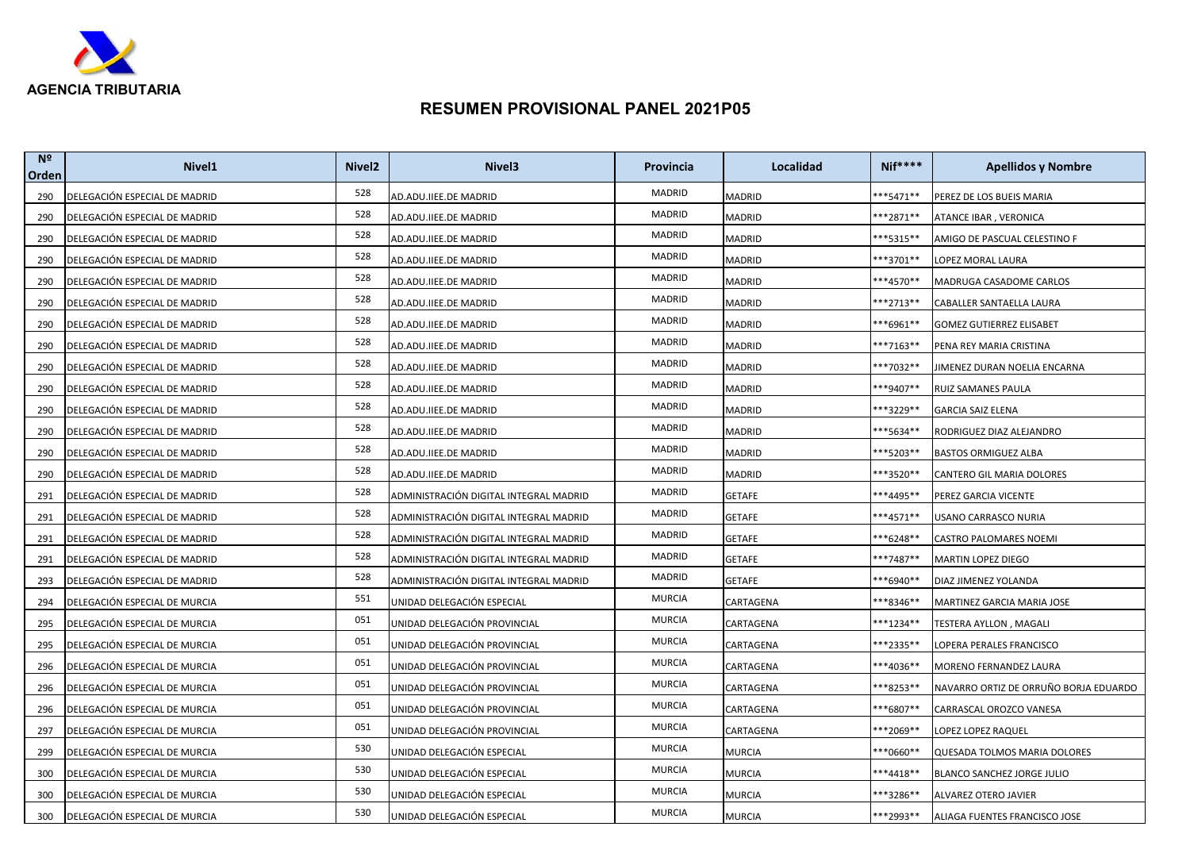

| N <sup>o</sup><br>Orden | Nivel <sub>1</sub>            | Nivel <sub>2</sub> | Nivel <sub>3</sub>                     | Provincia     | Localidad     | <b>Nif****</b>       | <b>Apellidos y Nombre</b>             |
|-------------------------|-------------------------------|--------------------|----------------------------------------|---------------|---------------|----------------------|---------------------------------------|
| 290                     | DELEGACIÓN ESPECIAL DE MADRID | 528                | AD.ADU.IIEE.DE MADRID                  | MADRID        | <b>MADRID</b> | ***5471**            | PEREZ DE LOS BUEIS MARIA              |
| 290                     | DELEGACIÓN ESPECIAL DE MADRID | 528                | AD.ADU.IIEE.DE MADRID                  | MADRID        | MADRID        | $**2871**$           | ATANCE IBAR, VERONICA                 |
| 290                     | DELEGACIÓN ESPECIAL DE MADRID | 528                | AD.ADU.IIEE.DE MADRID                  | MADRID        | MADRID        | ***5315**            | AMIGO DE PASCUAL CELESTINO F          |
| 290                     | DELEGACIÓN ESPECIAL DE MADRID | 528                | AD.ADU.IIEE.DE MADRID                  | MADRID        | <b>MADRID</b> | $***3701**$          | LOPEZ MORAL LAURA                     |
| 290                     | DELEGACIÓN ESPECIAL DE MADRID | 528                | AD.ADU.IIEE.DE MADRID                  | MADRID        | MADRID        | <sup>**4570**</sup>  | MADRUGA CASADOME CARLOS               |
| 290                     | DELEGACIÓN ESPECIAL DE MADRID | 528                | AD.ADU.IIEE.DE MADRID                  | MADRID        | MADRID        | **2713**             | CABALLER SANTAELLA LAURA              |
| 290                     | DELEGACIÓN ESPECIAL DE MADRID | 528                | AD.ADU.IIEE.DE MADRID                  | MADRID        | MADRID        | <sup>**6961**</sup>  | GOMEZ GUTIERREZ ELISABET              |
| 290                     | DELEGACIÓN ESPECIAL DE MADRID | 528                | AD.ADU.IIEE.DE MADRID                  | MADRID        | MADRID        | **7163**             | PENA REY MARIA CRISTINA               |
| 290                     | DELEGACIÓN ESPECIAL DE MADRID | 528                | AD.ADU.IIEE.DE MADRID                  | MADRID        | MADRID        | ***7032**            | JIMENEZ DURAN NOELIA ENCARNA          |
| 290                     | DELEGACIÓN ESPECIAL DE MADRID | 528                | AD.ADU.IIEE.DE MADRID                  | MADRID        | MADRID        | ***9407**            | RUIZ SAMANES PAULA                    |
| 290                     | DELEGACIÓN ESPECIAL DE MADRID | 528                | AD.ADU.IIEE.DE MADRID                  | MADRID        | MADRID        | **3229**             | <b>GARCIA SAIZ ELENA</b>              |
| 290                     | DELEGACIÓN ESPECIAL DE MADRID | 528                | AD.ADU.IIEE.DE MADRID                  | MADRID        | <b>MADRID</b> | **5634**             | RODRIGUEZ DIAZ ALEJANDRO              |
| 290                     | DELEGACIÓN ESPECIAL DE MADRID | 528                | AD.ADU.IIEE.DE MADRID                  | MADRID        | MADRID        | **5203**             | <b>BASTOS ORMIGUEZ ALBA</b>           |
| 290                     | DELEGACIÓN ESPECIAL DE MADRID | 528                | AD.ADU.IIEE.DE MADRID                  | MADRID        | MADRID        | ***3520**            | CANTERO GIL MARIA DOLORES             |
| 291                     | DELEGACIÓN ESPECIAL DE MADRID | 528                | ADMINISTRACIÓN DIGITAL INTEGRAL MADRID | MADRID        | GETAFE        | **4495**             | PEREZ GARCIA VICENTE                  |
| 291                     | DELEGACIÓN ESPECIAL DE MADRID | 528                | ADMINISTRACIÓN DIGITAL INTEGRAL MADRID | MADRID        | <b>GETAFE</b> | <sup>**</sup> 4571** | USANO CARRASCO NURIA                  |
| 291                     | DELEGACIÓN ESPECIAL DE MADRID | 528                | ADMINISTRACIÓN DIGITAL INTEGRAL MADRID | MADRID        | GETAFE        | **6248**             | CASTRO PALOMARES NOEMI                |
| 291                     | DELEGACIÓN ESPECIAL DE MADRID | 528                | ADMINISTRACIÓN DIGITAL INTEGRAL MADRID | MADRID        | GETAFE        | ***7487**            | MARTIN LOPEZ DIEGO                    |
| 293                     | DELEGACIÓN ESPECIAL DE MADRID | 528                | ADMINISTRACIÓN DIGITAL INTEGRAL MADRID | MADRID        | GETAFE        | **6940**             | DIAZ JIMENEZ YOLANDA                  |
| 294                     | DELEGACIÓN ESPECIAL DE MURCIA | 551                | UNIDAD DELEGACIÓN ESPECIAL             | <b>MURCIA</b> | CARTAGENA     | ***8346**            | MARTINEZ GARCIA MARIA JOSE            |
| 295                     | DELEGACIÓN ESPECIAL DE MURCIA | 051                | UNIDAD DELEGACIÓN PROVINCIAL           | <b>MURCIA</b> | CARTAGENA     | $***1234**$          | TESTERA AYLLON , MAGALI               |
| 295                     | DELEGACIÓN ESPECIAL DE MURCIA | 051                | UNIDAD DELEGACIÓN PROVINCIAL           | <b>MURCIA</b> | CARTAGENA     | ***2335**            | LOPERA PERALES FRANCISCO              |
| 296                     | DELEGACIÓN ESPECIAL DE MURCIA | 051                | UNIDAD DELEGACIÓN PROVINCIAL           | <b>MURCIA</b> | CARTAGENA     | ***4036**            | MORENO FERNANDEZ LAURA                |
| 296                     | DELEGACIÓN ESPECIAL DE MURCIA | 051                | UNIDAD DELEGACIÓN PROVINCIAL           | <b>MURCIA</b> | CARTAGENA     | **8253**             | NAVARRO ORTIZ DE ORRUÑO BORJA EDUARDO |
| 296                     | DELEGACIÓN ESPECIAL DE MURCIA | 051                | UNIDAD DELEGACIÓN PROVINCIAL           | <b>MURCIA</b> | CARTAGENA     | ***6807**            | CARRASCAL OROZCO VANESA               |
| 297                     | DELEGACIÓN ESPECIAL DE MURCIA | 051                | UNIDAD DELEGACIÓN PROVINCIAL           | <b>MURCIA</b> | CARTAGENA     | <sup>**</sup> 2069** | LOPEZ LOPEZ RAQUEL                    |
| 299                     | DELEGACIÓN ESPECIAL DE MURCIA | 530                | UNIDAD DELEGACIÓN ESPECIAL             | <b>MURCIA</b> | MURCIA        | **0660**             | QUESADA TOLMOS MARIA DOLORES          |
| 300                     | DELEGACIÓN ESPECIAL DE MURCIA | 530                | UNIDAD DELEGACIÓN ESPECIAL             | <b>MURCIA</b> | MURCIA        | ***4418**            | BLANCO SANCHEZ JORGE JULIO            |
| 300                     | DELEGACIÓN ESPECIAL DE MURCIA | 530                | UNIDAD DELEGACIÓN ESPECIAL             | <b>MURCIA</b> | MURCIA        | ***3286**            | ALVAREZ OTERO JAVIER                  |
| 300                     | DELEGACIÓN ESPECIAL DE MURCIA | 530                | UNIDAD DELEGACIÓN ESPECIAL             | <b>MURCIA</b> | MURCIA        | ***2993**            | ALIAGA FUENTES FRANCISCO JOSE         |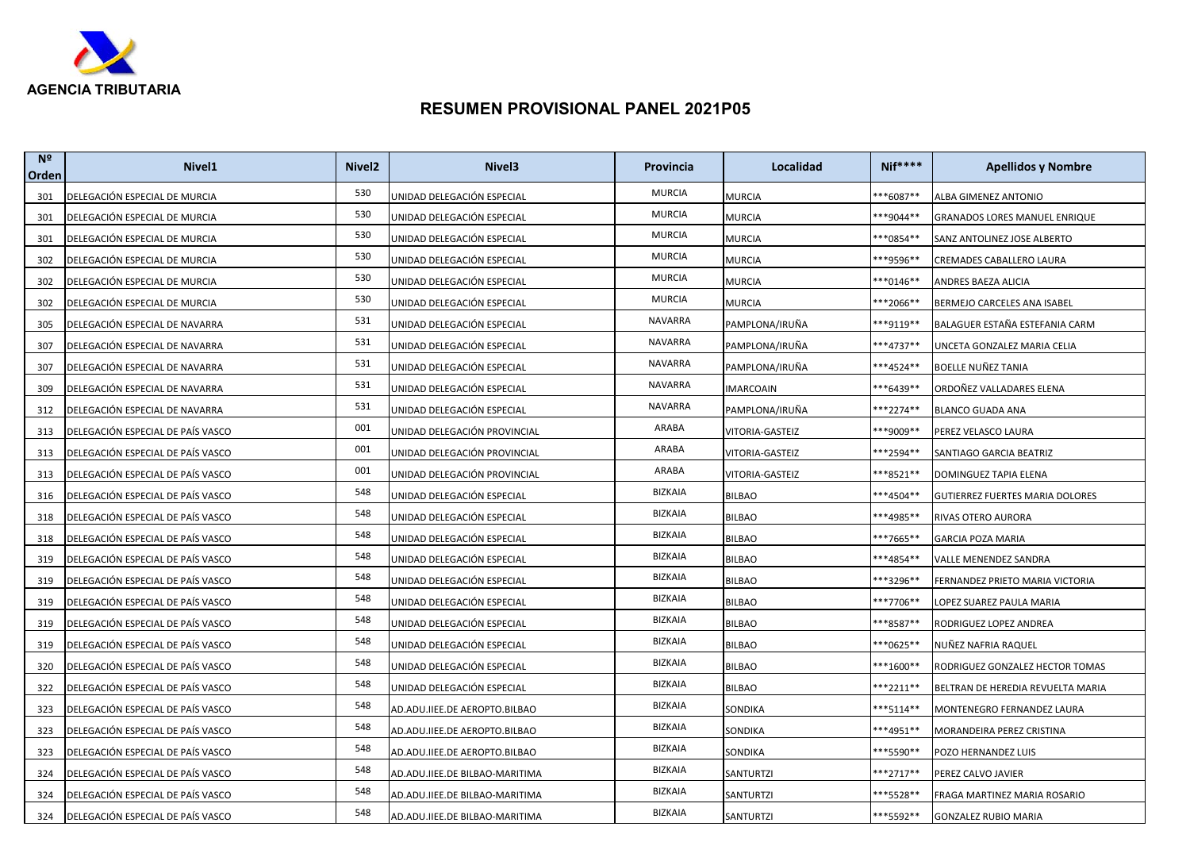

| N <sup>2</sup><br>Orden | Nivel <sub>1</sub>                | Nivel <sub>2</sub> | Nivel <sub>3</sub>             | Provincia      | Localidad       | <b>Nif****</b>       | <b>Apellidos y Nombre</b>         |
|-------------------------|-----------------------------------|--------------------|--------------------------------|----------------|-----------------|----------------------|-----------------------------------|
| 301                     | DELEGACIÓN ESPECIAL DE MURCIA     | 530                | UNIDAD DELEGACIÓN ESPECIAL     | <b>MURCIA</b>  | <b>MURCIA</b>   | **6087**             | ALBA GIMENEZ ANTONIO              |
| 301                     | DELEGACIÓN ESPECIAL DE MURCIA     | 530                | UNIDAD DELEGACIÓN ESPECIAL     | <b>MURCIA</b>  | MURCIA          | **9044**             | GRANADOS LORES MANUEL ENRIQUE     |
| 301                     | DELEGACIÓN ESPECIAL DE MURCIA     | 530                | UNIDAD DELEGACIÓN ESPECIAL     | <b>MURCIA</b>  | MURCIA          | **0854**             | SANZ ANTOLINEZ JOSE ALBERTO       |
| 302                     | DELEGACIÓN ESPECIAL DE MURCIA     | 530                | UNIDAD DELEGACIÓN ESPECIAL     | <b>MURCIA</b>  | <b>MURCIA</b>   | **9596**             | CREMADES CABALLERO LAURA          |
| 302                     | DELEGACIÓN ESPECIAL DE MURCIA     | 530                | UNIDAD DELEGACIÓN ESPECIAL     | <b>MURCIA</b>  | MURCIA          | $**0146**$           | ANDRES BAEZA ALICIA               |
| 302                     | DELEGACIÓN ESPECIAL DE MURCIA     | 530                | UNIDAD DELEGACIÓN ESPECIAL     | <b>MURCIA</b>  | MURCIA          | ***2066**            | BERMEJO CARCELES ANA ISABEL       |
| 305                     | DELEGACIÓN ESPECIAL DE NAVARRA    | 531                | UNIDAD DELEGACIÓN ESPECIAL     | <b>NAVARRA</b> | PAMPLONA/IRUÑA  | ***9119**            | BALAGUER ESTAÑA ESTEFANIA CARM    |
| 307                     | DELEGACIÓN ESPECIAL DE NAVARRA    | 531                | UNIDAD DELEGACIÓN ESPECIAL     | <b>NAVARRA</b> | PAMPLONA/IRUÑA  | ***4737**            | UNCETA GONZALEZ MARIA CELIA       |
| 307                     | DELEGACIÓN ESPECIAL DE NAVARRA    | 531                | UNIDAD DELEGACIÓN ESPECIAL     | NAVARRA        | PAMPLONA/IRUÑA  | ***4524**            | BOELLE NUÑEZ TANIA                |
| 309                     | DELEGACIÓN ESPECIAL DE NAVARRA    | 531                | UNIDAD DELEGACIÓN ESPECIAL     | <b>NAVARRA</b> | IMARCOAIN       | <sup>**</sup> 6439** | ORDOÑEZ VALLADARES ELENA          |
| 312                     | DELEGACIÓN ESPECIAL DE NAVARRA    | 531                | UNIDAD DELEGACIÓN ESPECIAL     | NAVARRA        | PAMPLONA/IRUÑA  | ***2274**            | <b>BLANCO GUADA ANA</b>           |
| 313                     | DELEGACIÓN ESPECIAL DE PAÍS VASCO | 001                | UNIDAD DELEGACIÓN PROVINCIAL   | ARABA          | VITORIA-GASTEIZ | ***9009**            | PEREZ VELASCO LAURA               |
| 313                     | DELEGACIÓN ESPECIAL DE PAÍS VASCO | 001                | UNIDAD DELEGACIÓN PROVINCIAL   | ARABA          | VITORIA-GASTEIZ | **2594**             | SANTIAGO GARCIA BEATRIZ           |
| 313                     | DELEGACIÓN ESPECIAL DE PAÍS VASCO | 001                | UNIDAD DELEGACIÓN PROVINCIAL   | ARABA          | VITORIA-GASTEIZ | ***8521**            | DOMINGUEZ TAPIA ELENA             |
| 316                     | DELEGACIÓN ESPECIAL DE PAÍS VASCO | 548                | UNIDAD DELEGACIÓN ESPECIAL     | <b>BIZKAIA</b> | BILBAO          | $***4504**$          | GUTIERREZ FUERTES MARIA DOLORES   |
| 318                     | DELEGACIÓN ESPECIAL DE PAÍS VASCO | 548                | UNIDAD DELEGACIÓN ESPECIAL     | <b>BIZKAIA</b> | <b>BILBAO</b>   | <sup>**</sup> 4985** | RIVAS OTERO AURORA                |
| 318                     | DELEGACIÓN ESPECIAL DE PAÍS VASCO | 548                | UNIDAD DELEGACIÓN ESPECIAL     | BIZKAIA        | BILBAO          | ***7665**            | <b>GARCIA POZA MARIA</b>          |
| 319                     | DELEGACIÓN ESPECIAL DE PAÍS VASCO | 548                | UNIDAD DELEGACIÓN ESPECIAL     | <b>BIZKAIA</b> | <b>BILBAO</b>   | **4854**             | VALLE MENENDEZ SANDRA             |
| 319                     | DELEGACIÓN ESPECIAL DE PAÍS VASCO | 548                | UNIDAD DELEGACIÓN ESPECIAL     | <b>BIZKAIA</b> | BILBAO          | **3296**             | FERNANDEZ PRIETO MARIA VICTORIA   |
| 319                     | DELEGACIÓN ESPECIAL DE PAÍS VASCO | 548                | UNIDAD DELEGACIÓN ESPECIAL     | <b>BIZKAIA</b> | <b>BILBAO</b>   | ***7706**            | LOPEZ SUAREZ PAULA MARIA          |
| 319                     | DELEGACIÓN ESPECIAL DE PAÍS VASCO | 548                | UNIDAD DELEGACIÓN ESPECIAL     | <b>BIZKAIA</b> | <b>BILBAO</b>   | **8587**             | RODRIGUEZ LOPEZ ANDREA            |
| 319                     | DELEGACIÓN ESPECIAL DE PAÍS VASCO | 548                | UNIDAD DELEGACIÓN ESPECIAL     | <b>BIZKAIA</b> | <b>BILBAO</b>   | **0625**             | NUÑEZ NAFRIA RAQUEL               |
| 320                     | DELEGACIÓN ESPECIAL DE PAÍS VASCO | 548                | UNIDAD DELEGACIÓN ESPECIAL     | <b>BIZKAIA</b> | <b>BILBAO</b>   | ***1600**            | RODRIGUEZ GONZALEZ HECTOR TOMAS   |
| 322                     | DELEGACIÓN ESPECIAL DE PAÍS VASCO | 548                | UNIDAD DELEGACIÓN ESPECIAL     | <b>BIZKAIA</b> | BILBAO          | **2211**             | BELTRAN DE HEREDIA REVUELTA MARIA |
| 323                     | DELEGACIÓN ESPECIAL DE PAÍS VASCO | 548                | AD.ADU.IIEE.DE AEROPTO.BILBAO  | BIZKAIA        | SONDIKA         | ***5114**            | MONTENEGRO FERNANDEZ LAURA        |
| 323                     | DELEGACIÓN ESPECIAL DE PAÍS VASCO | 548                | AD.ADU.IIEE.DE AEROPTO.BILBAO  | <b>BIZKAIA</b> | SONDIKA         | ***4951**            | MORANDEIRA PEREZ CRISTINA         |
| 323                     | DELEGACIÓN ESPECIAL DE PAÍS VASCO | 548                | AD.ADU.IIEE.DE AEROPTO.BILBAO  | <b>BIZKAIA</b> | SONDIKA         | <sup>**</sup> 5590** | POZO HERNANDEZ LUIS               |
| 324                     | DELEGACIÓN ESPECIAL DE PAÍS VASCO | 548                | AD.ADU.IIEE.DE BILBAO-MARITIMA | BIZKAIA        | SANTURTZI       | ***2717**            | PEREZ CALVO JAVIER                |
| 324                     | DELEGACIÓN ESPECIAL DE PAÍS VASCO | 548                | AD.ADU.IIEE.DE BILBAO-MARITIMA | BIZKAIA        | SANTURTZI       | ***5528**            | FRAGA MARTINEZ MARIA ROSARIO      |
| 324                     | DELEGACIÓN ESPECIAL DE PAÍS VASCO | 548                | AD.ADU.IIEE.DE BILBAO-MARITIMA | <b>BIZKAIA</b> | SANTURTZI       | ***5592**            | <b>GONZALEZ RUBIO MARIA</b>       |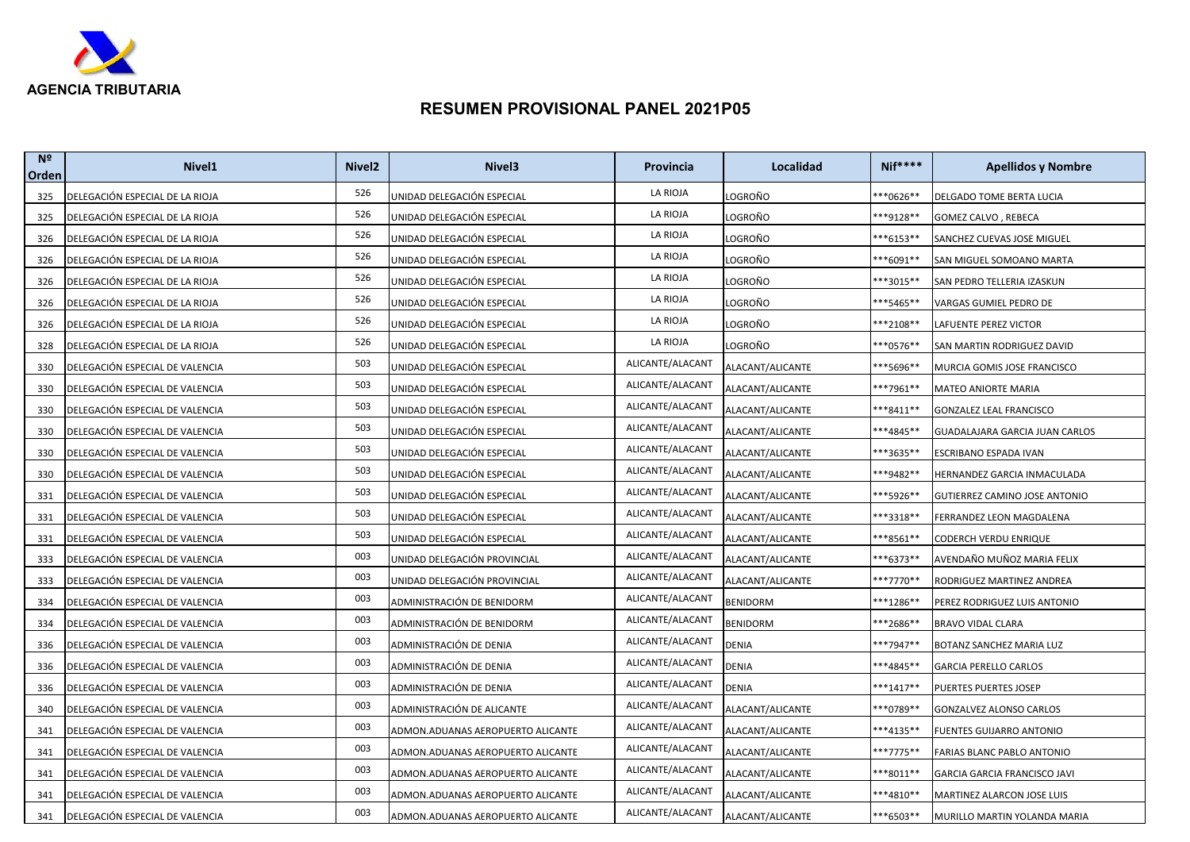

| N <sup>2</sup><br>Orden | Nivel <sub>1</sub>              | Nivel <sub>2</sub> | Nivel <sub>3</sub>                | Provincia        | Localidad        | <b>Nif****</b>       | <b>Apellidos y Nombre</b>      |
|-------------------------|---------------------------------|--------------------|-----------------------------------|------------------|------------------|----------------------|--------------------------------|
| 325                     | DELEGACIÓN ESPECIAL DE LA RIOJA | 526                | UNIDAD DELEGACIÓN ESPECIAL        | LA RIOJA         | LOGROÑO          | **0626**             | DELGADO TOME BERTA LUCIA       |
| 325                     | DELEGACIÓN ESPECIAL DE LA RIOJA | 526                | UNIDAD DELEGACIÓN ESPECIAL        | LA RIOJA         | LOGROÑO          | **9128**             | GOMEZ CALVO, REBECA            |
| 326                     | DELEGACIÓN ESPECIAL DE LA RIOJA | 526                | UNIDAD DELEGACIÓN ESPECIAL        | LA RIOJA         | LOGROÑO          | **6153**             | SANCHEZ CUEVAS JOSE MIGUEL     |
| 326                     | DELEGACIÓN ESPECIAL DE LA RIOJA | 526                | UNIDAD DELEGACIÓN ESPECIAL        | LA RIOJA         | LOGROÑO          | **6091**             | SAN MIGUEL SOMOANO MARTA       |
| 326                     | DELEGACIÓN ESPECIAL DE LA RIOJA | 526                | UNIDAD DELEGACIÓN ESPECIAL        | LA RIOJA         | LOGROÑO          | **3015**             | SAN PEDRO TELLERIA IZASKUN     |
| 326                     | DELEGACIÓN ESPECIAL DE LA RIOJA | 526                | UNIDAD DELEGACIÓN ESPECIAL        | LA RIOJA         | LOGROÑO          | **5465**             | VARGAS GUMIEL PEDRO DE         |
| 326                     | DELEGACIÓN ESPECIAL DE LA RIOJA | 526                | UNIDAD DELEGACIÓN ESPECIAL        | LA RIOJA         | LOGROÑO          | **2108**             | LAFUENTE PEREZ VICTOR          |
| 328                     | DELEGACIÓN ESPECIAL DE LA RIOJA | 526                | UNIDAD DELEGACIÓN ESPECIAL        | LA RIOJA         | LOGROÑO          | **0576**             | SAN MARTIN RODRIGUEZ DAVID     |
| 330                     | DELEGACIÓN ESPECIAL DE VALENCIA | 503                | UNIDAD DELEGACIÓN ESPECIAL        | ALICANTE/ALACANT | ALACANT/ALICANTE | ***5696**            | MURCIA GOMIS JOSE FRANCISCO    |
| 330                     | DELEGACIÓN ESPECIAL DE VALENCIA | 503                | UNIDAD DELEGACIÓN ESPECIAL        | ALICANTE/ALACANT | ALACANT/ALICANTE | **7961**             | MATEO ANIORTE MARIA            |
| 330                     | DELEGACIÓN ESPECIAL DE VALENCIA | 503                | UNIDAD DELEGACIÓN ESPECIAL        | ALICANTE/ALACANT | ALACANT/ALICANTE | **8411**             | GONZALEZ LEAL FRANCISCO        |
| 330                     | DELEGACIÓN ESPECIAL DE VALENCIA | 503                | UNIDAD DELEGACIÓN ESPECIAL        | ALICANTE/ALACANT | ALACANT/ALICANTE | ***4845**            | GUADALAJARA GARCIA JUAN CARLOS |
| 330                     | DELEGACIÓN ESPECIAL DE VALENCIA | 503                | UNIDAD DELEGACIÓN ESPECIAL        | ALICANTE/ALACANT | ALACANT/ALICANTE | **3635**             | ESCRIBANO ESPADA IVAN          |
| 330                     | DELEGACIÓN ESPECIAL DE VALENCIA | 503                | UNIDAD DELEGACIÓN ESPECIAL        | ALICANTE/ALACANT | ALACANT/ALICANTE | ***9482**            | HERNANDEZ GARCIA INMACULADA    |
| 331                     | DELEGACIÓN ESPECIAL DE VALENCIA | 503                | UNIDAD DELEGACIÓN ESPECIAL        | ALICANTE/ALACANT | ALACANT/ALICANTE | <sup>**</sup> 5926** | GUTIERREZ CAMINO JOSE ANTONIO  |
| 331                     | DELEGACIÓN ESPECIAL DE VALENCIA | 503                | UNIDAD DELEGACIÓN ESPECIAL        | ALICANTE/ALACANT | ALACANT/ALICANTE | **3318**             | FERRANDEZ LEON MAGDALENA       |
| 331                     | DELEGACIÓN ESPECIAL DE VALENCIA | 503                | UNIDAD DELEGACIÓN ESPECIAL        | ALICANTE/ALACANT | ALACANT/ALICANTE | **8561**             | CODERCH VERDU ENRIQUE          |
| 333                     | DELEGACIÓN ESPECIAL DE VALENCIA | 003                | UNIDAD DELEGACIÓN PROVINCIAL      | ALICANTE/ALACANT | ALACANT/ALICANTE | ***6373**            | AVENDAÑO MUÑOZ MARIA FELIX     |
| 333                     | DELEGACIÓN ESPECIAL DE VALENCIA | 003                | UNIDAD DELEGACIÓN PROVINCIAL      | ALICANTE/ALACANT | ALACANT/ALICANTE | **7770**             | RODRIGUEZ MARTINEZ ANDREA      |
| 334                     | DELEGACIÓN ESPECIAL DE VALENCIA | 003                | ADMINISTRACIÓN DE BENIDORM        | ALICANTE/ALACANT | <b>BENIDORM</b>  | ***1286**            | PEREZ RODRIGUEZ LUIS ANTONIO   |
| 334                     | DELEGACIÓN ESPECIAL DE VALENCIA | 003                | ADMINISTRACIÓN DE BENIDORM        | ALICANTE/ALACANT | <b>BENIDORM</b>  | **2686**             | <b>BRAVO VIDAL CLARA</b>       |
| 336                     | DELEGACIÓN ESPECIAL DE VALENCIA | 003                | ADMINISTRACIÓN DE DENIA           | ALICANTE/ALACANT | <b>DENIA</b>     | **7947**             | BOTANZ SANCHEZ MARIA LUZ       |
| 336                     | DELEGACIÓN ESPECIAL DE VALENCIA | 003                | ADMINISTRACIÓN DE DENIA           | ALICANTE/ALACANT | <b>DENIA</b>     | ***4845**            | <b>GARCIA PERELLO CARLOS</b>   |
| 336                     | DELEGACIÓN ESPECIAL DE VALENCIA | 003                | ADMINISTRACIÓN DE DENIA           | ALICANTE/ALACANT | <b>DENIA</b>     | ***1417**            | PUERTES PUERTES JOSEP          |
| 340                     | DELEGACIÓN ESPECIAL DE VALENCIA | 003                | ADMINISTRACIÓN DE ALICANTE        | ALICANTE/ALACANT | ALACANT/ALICANTE | ***0789**            | GONZALVEZ ALONSO CARLOS        |
| 341                     | DELEGACIÓN ESPECIAL DE VALENCIA | 003                | ADMON.ADUANAS AEROPUERTO ALICANTE | ALICANTE/ALACANT | ALACANT/ALICANTE | ***4135**            | FUENTES GUIJARRO ANTONIO       |
| 341                     | DELEGACIÓN ESPECIAL DE VALENCIA | 003                | ADMON.ADUANAS AEROPUERTO ALICANTE | ALICANTE/ALACANT | ALACANT/ALICANTE | ***7775**            | FARIAS BLANC PABLO ANTONIO     |
| 341                     | DELEGACIÓN ESPECIAL DE VALENCIA | 003                | ADMON.ADUANAS AEROPUERTO ALICANTE | ALICANTE/ALACANT | ALACANT/ALICANTE | <sup>**8011**</sup>  | GARCIA GARCIA FRANCISCO JAVI   |
| 341                     | DELEGACIÓN ESPECIAL DE VALENCIA | 003                | ADMON.ADUANAS AEROPUERTO ALICANTE | ALICANTE/ALACANT | ALACANT/ALICANTE | ***4810**            | MARTINEZ ALARCON JOSE LUIS     |
| 341                     | DELEGACIÓN ESPECIAL DE VALENCIA | 003                | ADMON.ADUANAS AEROPUERTO ALICANTE | ALICANTE/ALACANT | ALACANT/ALICANTE | ***6503**            | MURILLO MARTIN YOLANDA MARIA   |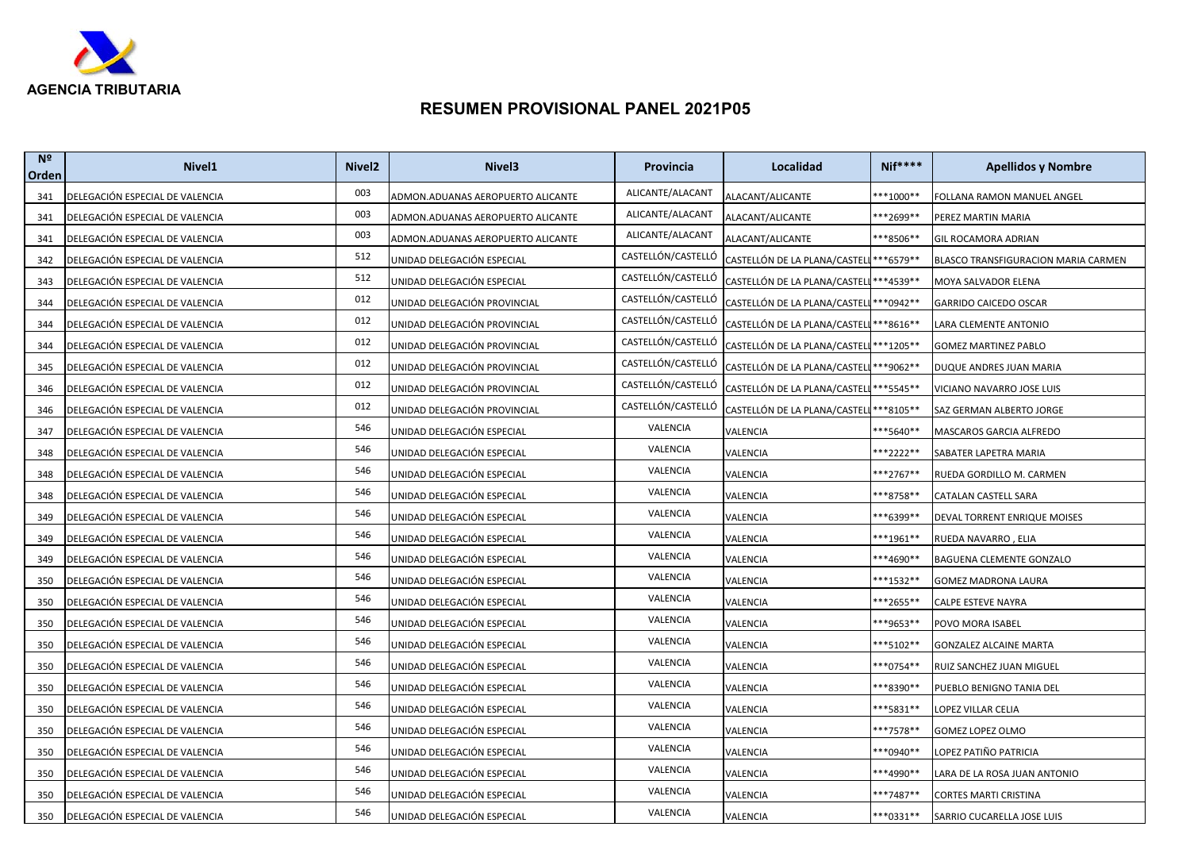

| N <sup>2</sup><br>Orden | Nivel <sub>1</sub>              | Nivel <sub>2</sub> | Nivel <sub>3</sub>                | <b>Provincia</b>   | Localidad                                           | <b>Nif****</b> | <b>Apellidos y Nombre</b>           |
|-------------------------|---------------------------------|--------------------|-----------------------------------|--------------------|-----------------------------------------------------|----------------|-------------------------------------|
| 341                     | DELEGACIÓN ESPECIAL DE VALENCIA | 003                | ADMON.ADUANAS AEROPUERTO ALICANTE | ALICANTE/ALACANT   | ALACANT/ALICANTE                                    | ***1000**      | FOLLANA RAMON MANUEL ANGEL          |
| 341                     | DELEGACIÓN ESPECIAL DE VALENCIA | 003                | ADMON.ADUANAS AEROPUERTO ALICANTE | ALICANTE/ALACANT   | ALACANT/ALICANTE                                    | ***2699**      | PEREZ MARTIN MARIA                  |
| 341                     | DELEGACIÓN ESPECIAL DE VALENCIA | 003                | ADMON.ADUANAS AEROPUERTO ALICANTE | ALICANTE/ALACANT   | ALACANT/ALICANTE                                    | ***8506**      | GIL ROCAMORA ADRIAN                 |
| 342                     | DELEGACIÓN ESPECIAL DE VALENCIA | 512                | UNIDAD DELEGACIÓN ESPECIAL        | CASTELLÓN/CASTELLÓ | CASTELLÓN DE LA PLANA/CASTELI *** 6579 **           |                | BLASCO TRANSFIGURACION MARIA CARMEN |
| 343                     | DELEGACIÓN ESPECIAL DE VALENCIA | 512                | UNIDAD DELEGACIÓN ESPECIAL        | CASTELLÓN/CASTELLÓ | CASTELLÓN DE LA PLANA/CASTELL *** 4539 **           |                | MOYA SALVADOR ELENA                 |
| 344                     | DELEGACIÓN ESPECIAL DE VALENCIA | 012                | UNIDAD DELEGACIÓN PROVINCIAL      | CASTELLÓN/CASTELLÓ | CASTELLÓN DE LA PLANA/CASTELL *** 0942 **           |                | <b>GARRIDO CAICEDO OSCAR</b>        |
| 344                     | DELEGACIÓN ESPECIAL DE VALENCIA | 012                | UNIDAD DELEGACIÓN PROVINCIAL      | CASTELLÓN/CASTELLÓ | CASTELLÓN DE LA PLANA/CASTELL *** 8616 **           |                | LARA CLEMENTE ANTONIO               |
| 344                     | DELEGACIÓN ESPECIAL DE VALENCIA | 012                | UNIDAD DELEGACIÓN PROVINCIAL      | CASTELLÓN/CASTELLÓ | CASTELLÓN DE LA PLANA/CASTELL <sup>***</sup> 1205** |                | GOMEZ MARTINEZ PABLO                |
| 345                     | DELEGACIÓN ESPECIAL DE VALENCIA | 012                | UNIDAD DELEGACIÓN PROVINCIAL      | CASTELLÓN/CASTELLÓ | CASTELLÓN DE LA PLANA/CASTELL *** 9062 **           |                | DUQUE ANDRES JUAN MARIA             |
| 346                     | DELEGACIÓN ESPECIAL DE VALENCIA | 012                | UNIDAD DELEGACIÓN PROVINCIAL      | CASTELLÓN/CASTELLÓ | CASTELLÓN DE LA PLANA/CASTELL *** 5545 **           |                | VICIANO NAVARRO JOSE LUIS           |
| 346                     | DELEGACIÓN ESPECIAL DE VALENCIA | 012                | UNIDAD DELEGACIÓN PROVINCIAL      | CASTELLÓN/CASTELLÓ | CASTELLÓN DE LA PLANA/CASTELL <sup>***</sup> 8105** |                | SAZ GERMAN ALBERTO JORGE            |
| 347                     | DELEGACIÓN ESPECIAL DE VALENCIA | 546                | UNIDAD DELEGACIÓN ESPECIAL        | VALENCIA           | VALENCIA                                            | ***5640**      | MASCAROS GARCIA ALFREDO             |
| 348                     | DELEGACIÓN ESPECIAL DE VALENCIA | 546                | UNIDAD DELEGACIÓN ESPECIAL        | VALENCIA           | VALENCIA                                            | ***2222**      | SABATER LAPETRA MARIA               |
| 348                     | DELEGACIÓN ESPECIAL DE VALENCIA | 546                | UNIDAD DELEGACIÓN ESPECIAL        | VALENCIA           | VALENCIA                                            | ***2767**      | RUEDA GORDILLO M. CARMEN            |
| 348                     | DELEGACIÓN ESPECIAL DE VALENCIA | 546                | UNIDAD DELEGACIÓN ESPECIAL        | VALENCIA           | VALENCIA                                            | **8758**       | CATALAN CASTELL SARA                |
| 349                     | DELEGACIÓN ESPECIAL DE VALENCIA | 546                | UNIDAD DELEGACIÓN ESPECIAL        | VALENCIA           | VALENCIA                                            | ***6399**      | DEVAL TORRENT ENRIQUE MOISES        |
| 349                     | DELEGACIÓN ESPECIAL DE VALENCIA | 546                | UNIDAD DELEGACIÓN ESPECIAL        | VALENCIA           | VALENCIA                                            | ***1961**      | RUEDA NAVARRO , ELIA                |
| 349                     | DELEGACIÓN ESPECIAL DE VALENCIA | 546                | UNIDAD DELEGACIÓN ESPECIAL        | VALENCIA           | VALENCIA                                            | ***4690**      | BAGUENA CLEMENTE GONZALO            |
| 350                     | DELEGACIÓN ESPECIAL DE VALENCIA | 546                | UNIDAD DELEGACIÓN ESPECIAL        | VALENCIA           | VALENCIA                                            | ***1532**      | GOMEZ MADRONA LAURA                 |
| 350                     | DELEGACIÓN ESPECIAL DE VALENCIA | 546                | UNIDAD DELEGACIÓN ESPECIAL        | VALENCIA           | VALENCIA                                            | ***2655**      | CALPE ESTEVE NAYRA                  |
| 350                     | DELEGACIÓN ESPECIAL DE VALENCIA | 546                | UNIDAD DELEGACIÓN ESPECIAL        | VALENCIA           | VALENCIA                                            | ***9653**      | POVO MORA ISABEL                    |
| 350                     | DELEGACIÓN ESPECIAL DE VALENCIA | 546                | UNIDAD DELEGACIÓN ESPECIAL        | VALENCIA           | VALENCIA                                            | ***5102**      | GONZALEZ ALCAINE MARTA              |
| 350                     | DELEGACIÓN ESPECIAL DE VALENCIA | 546                | UNIDAD DELEGACIÓN ESPECIAL        | VALENCIA           | VALENCIA                                            | ***0754**      | RUIZ SANCHEZ JUAN MIGUEL            |
| 350                     | DELEGACIÓN ESPECIAL DE VALENCIA | 546                | UNIDAD DELEGACIÓN ESPECIAL        | VALENCIA           | VALENCIA                                            | ***8390**      | PUEBLO BENIGNO TANIA DEL            |
| 350                     | DELEGACIÓN ESPECIAL DE VALENCIA | 546                | UNIDAD DELEGACIÓN ESPECIAL        | VALENCIA           | VALENCIA                                            | ***5831**      | LOPEZ VILLAR CELIA                  |
| 350                     | DELEGACIÓN ESPECIAL DE VALENCIA | 546                | UNIDAD DELEGACIÓN ESPECIAL        | VALENCIA           | VALENCIA                                            | ***7578**      | GOMEZ LOPEZ OLMO                    |
| 350                     | DELEGACIÓN ESPECIAL DE VALENCIA | 546                | UNIDAD DELEGACIÓN ESPECIAL        | VALENCIA           | VALENCIA                                            | ***0940**      | LOPEZ PATIÑO PATRICIA               |
| 350                     | DELEGACIÓN ESPECIAL DE VALENCIA | 546                | UNIDAD DELEGACIÓN ESPECIAL        | VALENCIA           | VALENCIA                                            | ***4990**      | LARA DE LA ROSA JUAN ANTONIO        |
| 350                     | DELEGACIÓN ESPECIAL DE VALENCIA | 546                | UNIDAD DELEGACIÓN ESPECIAL        | VALENCIA           | VALENCIA                                            | ***7487**      | CORTES MARTI CRISTINA               |
| 350                     | DELEGACIÓN ESPECIAL DE VALENCIA | 546                | UNIDAD DELEGACIÓN ESPECIAL        | VALENCIA           | VALENCIA                                            | ***0331**      | SARRIO CUCARELLA JOSE LUIS          |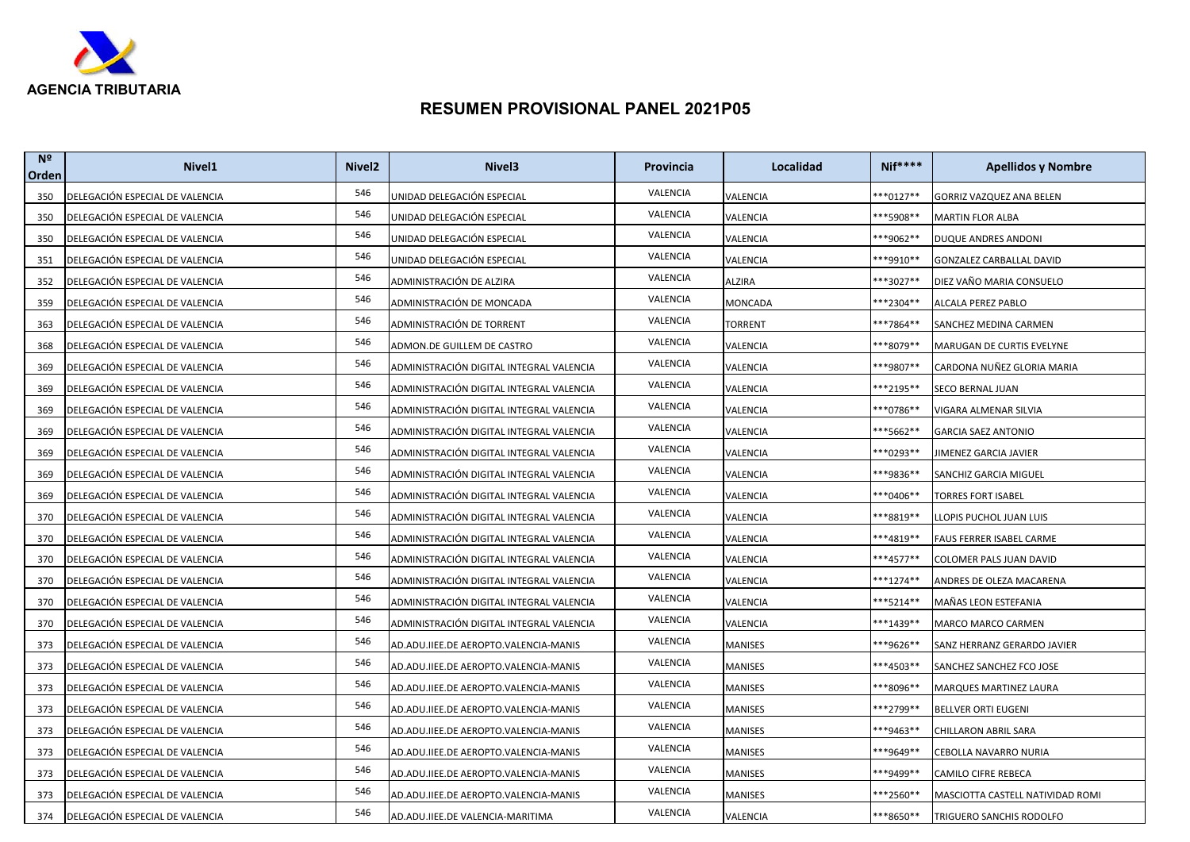

| N <sup>2</sup><br>Orden | Nivel <sub>1</sub>              | Nivel <sub>2</sub> | Nivel <sub>3</sub>                       | Provincia | Localidad | <b>Nif****</b>      | <b>Apellidos y Nombre</b>        |
|-------------------------|---------------------------------|--------------------|------------------------------------------|-----------|-----------|---------------------|----------------------------------|
| 350                     | DELEGACIÓN ESPECIAL DE VALENCIA | 546                | UNIDAD DELEGACIÓN ESPECIAL               | VALENCIA  | VALENCIA  | **0127**            | GORRIZ VAZQUEZ ANA BELEN         |
| 350                     | DELEGACIÓN ESPECIAL DE VALENCIA | 546                | UNIDAD DELEGACIÓN ESPECIAL               | VALENCIA  | VALENCIA  | **5908**            | <b>MARTIN FLOR ALBA</b>          |
| 350                     | DELEGACIÓN ESPECIAL DE VALENCIA | 546                | UNIDAD DELEGACIÓN ESPECIAL               | VALENCIA  | VALENCIA  | ***9062**           | DUQUE ANDRES ANDONI              |
| 351                     | DELEGACIÓN ESPECIAL DE VALENCIA | 546                | UNIDAD DELEGACIÓN ESPECIAL               | VALENCIA  | VALENCIA  | **9910**            | GONZALEZ CARBALLAL DAVID         |
| 352                     | DELEGACIÓN ESPECIAL DE VALENCIA | 546                | ADMINISTRACIÓN DE ALZIRA                 | VALENCIA  | ALZIRA    | **3027**            | DIEZ VAÑO MARIA CONSUELO         |
| 359                     | DELEGACIÓN ESPECIAL DE VALENCIA | 546                | ADMINISTRACIÓN DE MONCADA                | VALENCIA  | MONCADA   | **2304**            | ALCALA PEREZ PABLO               |
| 363                     | DELEGACIÓN ESPECIAL DE VALENCIA | 546                | ADMINISTRACIÓN DE TORRENT                | VALENCIA  | TORRENT   | ***7864**           | SANCHEZ MEDINA CARMEN            |
| 368                     | DELEGACIÓN ESPECIAL DE VALENCIA | 546                | ADMON.DE GUILLEM DE CASTRO               | VALENCIA  | VALENCIA  | **8079**            | MARUGAN DE CURTIS EVELYNE        |
| 369                     | DELEGACIÓN ESPECIAL DE VALENCIA | 546                | ADMINISTRACIÓN DIGITAL INTEGRAL VALENCIA | VALENCIA  | VALENCIA  | ***9807**           | CARDONA NUÑEZ GLORIA MARIA       |
| 369                     | DELEGACIÓN ESPECIAL DE VALENCIA | 546                | ADMINISTRACIÓN DIGITAL INTEGRAL VALENCIA | VALENCIA  | VALENCIA  | **2195**            | SECO BERNAL JUAN                 |
| 369                     | DELEGACIÓN ESPECIAL DE VALENCIA | 546                | ADMINISTRACIÓN DIGITAL INTEGRAL VALENCIA | VALENCIA  | VALENCIA  | ***0786**           | VIGARA ALMENAR SILVIA            |
| 369                     | DELEGACIÓN ESPECIAL DE VALENCIA | 546                | ADMINISTRACIÓN DIGITAL INTEGRAL VALENCIA | VALENCIA  | VALENCIA  | **5662**            | <b>GARCIA SAEZ ANTONIO</b>       |
| 369                     | DELEGACIÓN ESPECIAL DE VALENCIA | 546                | ADMINISTRACIÓN DIGITAL INTEGRAL VALENCIA | VALENCIA  | VALENCIA  | **0293**            | IIMENEZ GARCIA JAVIER            |
| 369                     | DELEGACIÓN ESPECIAL DE VALENCIA | 546                | ADMINISTRACIÓN DIGITAL INTEGRAL VALENCIA | VALENCIA  | VALENCIA  | ***9836**           | SANCHIZ GARCIA MIGUEL            |
| 369                     | DELEGACIÓN ESPECIAL DE VALENCIA | 546                | ADMINISTRACIÓN DIGITAL INTEGRAL VALENCIA | VALENCIA  | VALENCIA  | **0406**            | TORRES FORT ISABEL               |
| 370                     | DELEGACIÓN ESPECIAL DE VALENCIA | 546                | ADMINISTRACIÓN DIGITAL INTEGRAL VALENCIA | VALENCIA  | VALENCIA  | **8819**            | LLOPIS PUCHOL JUAN LUIS          |
| 370                     | DELEGACIÓN ESPECIAL DE VALENCIA | 546                | ADMINISTRACIÓN DIGITAL INTEGRAL VALENCIA | VALENCIA  | VALENCIA  | ***4819**           | FAUS FERRER ISABEL CARME         |
| 370                     | DELEGACIÓN ESPECIAL DE VALENCIA | 546                | ADMINISTRACIÓN DIGITAL INTEGRAL VALENCIA | VALENCIA  | VALENCIA  | ***4577**           | COLOMER PALS JUAN DAVID          |
| 370                     | DELEGACIÓN ESPECIAL DE VALENCIA | 546                | ADMINISTRACIÓN DIGITAL INTEGRAL VALENCIA | VALENCIA  | VALENCIA  | ***1274**           | ANDRES DE OLEZA MACARENA         |
| 370                     | DELEGACIÓN ESPECIAL DE VALENCIA | 546                | ADMINISTRACIÓN DIGITAL INTEGRAL VALENCIA | VALENCIA  | VALENCIA  | ***5214**           | MAÑAS LEON ESTEFANIA             |
| 370                     | DELEGACIÓN ESPECIAL DE VALENCIA | 546                | ADMINISTRACIÓN DIGITAL INTEGRAL VALENCIA | VALENCIA  | VALENCIA  | ***1439**           | MARCO MARCO CARMEN               |
| 373                     | DELEGACIÓN ESPECIAL DE VALENCIA | 546                | AD.ADU.IIEE.DE AEROPTO.VALENCIA-MANIS    | VALENCIA  | MANISES   | ***9626**           | SANZ HERRANZ GERARDO JAVIER      |
| 373                     | DELEGACIÓN ESPECIAL DE VALENCIA | 546                | AD.ADU.IIEE.DE AEROPTO.VALENCIA-MANIS    | VALENCIA  | MANISES   | ***4503**           | SANCHEZ SANCHEZ FCO JOSE         |
| 373                     | DELEGACIÓN ESPECIAL DE VALENCIA | 546                | AD.ADU.IIEE.DE AEROPTO.VALENCIA-MANIS    | VALENCIA  | MANISES   | **8096**            | MARQUES MARTINEZ LAURA           |
| 373                     | DELEGACIÓN ESPECIAL DE VALENCIA | 546                | AD.ADU.IIEE.DE AEROPTO.VALENCIA-MANIS    | VALENCIA  | MANISES   | ***2799**           | <b>BELLVER ORTI EUGENI</b>       |
| 373                     | DELEGACIÓN ESPECIAL DE VALENCIA | 546                | AD.ADU.IIEE.DE AEROPTO.VALENCIA-MANIS    | VALENCIA  | MANISES   | <sup>**9463**</sup> | CHILLARON ABRIL SARA             |
| 373                     | DELEGACIÓN ESPECIAL DE VALENCIA | 546                | AD.ADU.IIEE.DE AEROPTO.VALENCIA-MANIS    | VALENCIA  | MANISES   | <sup>**9649**</sup> | CEBOLLA NAVARRO NURIA            |
| 373                     | DELEGACIÓN ESPECIAL DE VALENCIA | 546                | AD.ADU.IIEE.DE AEROPTO.VALENCIA-MANIS    | VALENCIA  | MANISES   | ***9499**           | CAMILO CIFRE REBECA              |
| 373                     | DELEGACIÓN ESPECIAL DE VALENCIA | 546                | AD.ADU.IIEE.DE AEROPTO.VALENCIA-MANIS    | VALENCIA  | MANISES   | ***2560**           | MASCIOTTA CASTELL NATIVIDAD ROMI |
| 374                     | DELEGACIÓN ESPECIAL DE VALENCIA | 546                | AD.ADU.IIEE.DE VALENCIA-MARITIMA         | VALENCIA  | VALENCIA  | ***8650**           | TRIGUERO SANCHIS RODOLFO         |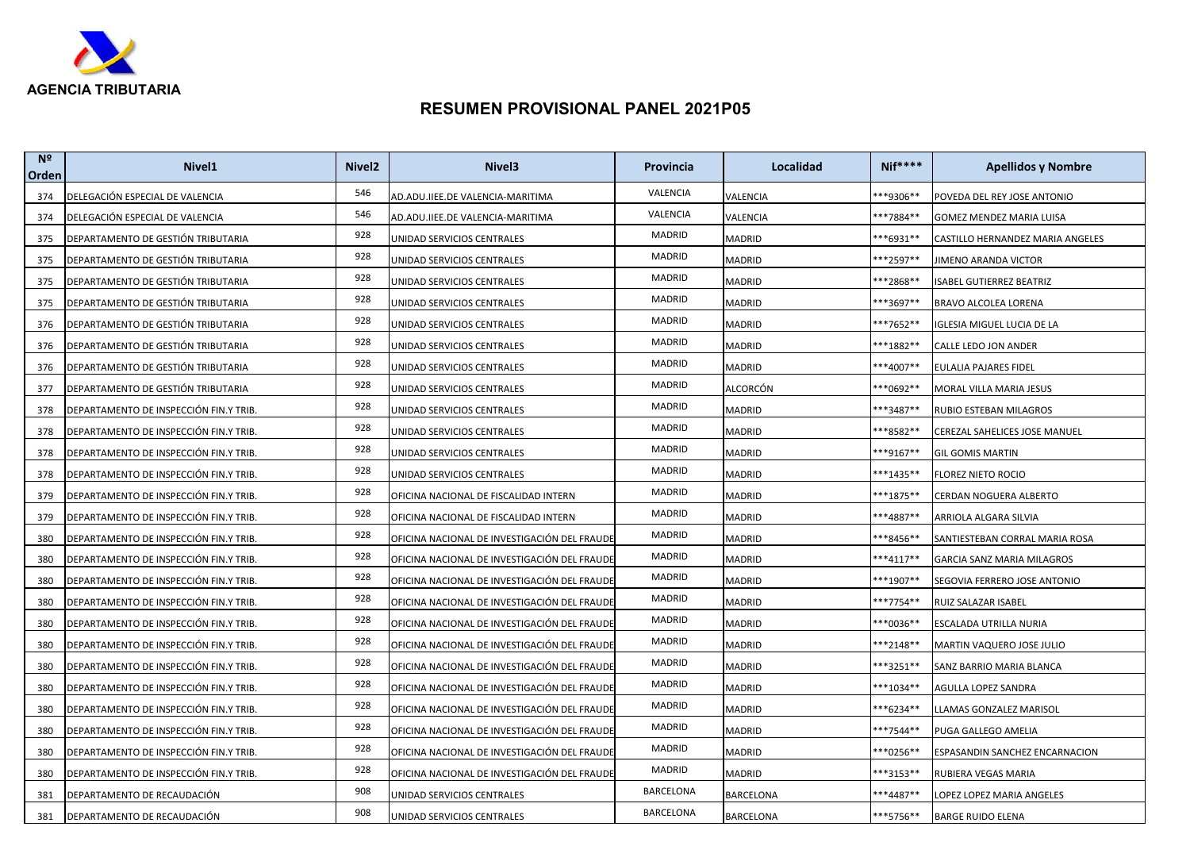

| N <sup>2</sup><br>Orden | Nivel <sub>1</sub>                     | Nivel <sub>2</sub> | Nivel <sub>3</sub>                           | Provincia | Localidad     | <b>Nif****</b>       | <b>Apellidos y Nombre</b>        |
|-------------------------|----------------------------------------|--------------------|----------------------------------------------|-----------|---------------|----------------------|----------------------------------|
| 374                     | DELEGACIÓN ESPECIAL DE VALENCIA        | 546                | AD.ADU.IIEE.DE VALENCIA-MARITIMA             | VALENCIA  | VALENCIA      | **9306**             | POVEDA DEL REY JOSE ANTONIO      |
| 374                     | DELEGACIÓN ESPECIAL DE VALENCIA        | 546                | AD.ADU.IIEE.DE VALENCIA-MARITIMA             | VALENCIA  | VALENCIA      | **7884**             | GOMEZ MENDEZ MARIA LUISA         |
| 375                     | DEPARTAMENTO DE GESTIÓN TRIBUTARIA     | 928                | UNIDAD SERVICIOS CENTRALES                   | MADRID    | MADRID        | **6931**             | CASTILLO HERNANDEZ MARIA ANGELES |
| 375                     | DEPARTAMENTO DE GESTIÓN TRIBUTARIA     | 928                | UNIDAD SERVICIOS CENTRALES                   | MADRID    | MADRID        | **2597**             | JIMENO ARANDA VICTOR             |
| 375                     | DEPARTAMENTO DE GESTIÓN TRIBUTARIA     | 928                | UNIDAD SERVICIOS CENTRALES                   | MADRID    | <b>MADRID</b> | **2868**             | <b>ISABEL GUTIERREZ BEATRIZ</b>  |
| 375                     | DEPARTAMENTO DE GESTIÓN TRIBUTARIA     | 928                | UNIDAD SERVICIOS CENTRALES                   | MADRID    | MADRID        | ***3697**            | BRAVO ALCOLEA LORENA             |
| 376                     | DEPARTAMENTO DE GESTIÓN TRIBUTARIA     | 928                | UNIDAD SERVICIOS CENTRALES                   | MADRID    | MADRID        | **7652**             | IGLESIA MIGUEL LUCIA DE LA       |
| 376                     | DEPARTAMENTO DE GESTIÓN TRIBUTARIA     | 928                | UNIDAD SERVICIOS CENTRALES                   | MADRID    | MADRID        | **1882**             | CALLE LEDO JON ANDER             |
| 376                     | DEPARTAMENTO DE GESTIÓN TRIBUTARIA     | 928                | UNIDAD SERVICIOS CENTRALES                   | MADRID    | MADRID        | ***4007**            | EULALIA PAJARES FIDEL            |
| 377                     | DEPARTAMENTO DE GESTIÓN TRIBUTARIA     | 928                | UNIDAD SERVICIOS CENTRALES                   | MADRID    | ALCORCÓN      | **0692**             | MORAL VILLA MARIA JESUS          |
| 378                     | DEPARTAMENTO DE INSPECCIÓN FIN.Y TRIB. | 928                | UNIDAD SERVICIOS CENTRALES                   | MADRID    | MADRID        | ***3487**            | RUBIO ESTEBAN MILAGROS           |
| 378                     | DEPARTAMENTO DE INSPECCIÓN FIN.Y TRIB. | 928                | UNIDAD SERVICIOS CENTRALES                   | MADRID    | MADRID        | **8582**             | CEREZAL SAHELICES JOSE MANUEL    |
| 378                     | DEPARTAMENTO DE INSPECCIÓN FIN.Y TRIB. | 928                | UNIDAD SERVICIOS CENTRALES                   | MADRID    | MADRID        | ***9167**            | <b>GIL GOMIS MARTIN</b>          |
| 378                     | DEPARTAMENTO DE INSPECCIÓN FIN.Y TRIB. | 928                | UNIDAD SERVICIOS CENTRALES                   | MADRID    | MADRID        | ***1435**            | FLOREZ NIETO ROCIO               |
| 379                     | DEPARTAMENTO DE INSPECCIÓN FIN.Y TRIB. | 928                | OFICINA NACIONAL DE FISCALIDAD INTERN        | MADRID    | MADRID        | **1875**             | CERDAN NOGUERA ALBERTO           |
| 379                     | DEPARTAMENTO DE INSPECCIÓN FIN.Y TRIB. | 928                | OFICINA NACIONAL DE FISCALIDAD INTERN        | MADRID    | MADRID        | <sup>**</sup> 4887** | ARRIOLA ALGARA SILVIA            |
| 380                     | DEPARTAMENTO DE INSPECCIÓN FIN.Y TRIB. | 928                | OFICINA NACIONAL DE INVESTIGACIÓN DEL FRAUDE | MADRID    | MADRID        | **8456**             | SANTIESTEBAN CORRAL MARIA ROSA   |
| 380                     | DEPARTAMENTO DE INSPECCIÓN FIN.Y TRIB. | 928                | OFICINA NACIONAL DE INVESTIGACIÓN DEL FRAUDE | MADRID    | MADRID        | ***4117**            | GARCIA SANZ MARIA MILAGROS       |
| 380                     | DEPARTAMENTO DE INSPECCIÓN FIN.Y TRIB. | 928                | OFICINA NACIONAL DE INVESTIGACIÓN DEL FRAUDE | MADRID    | MADRID        | **1907**             | SEGOVIA FERRERO JOSE ANTONIO     |
| 380                     | DEPARTAMENTO DE INSPECCIÓN FIN.Y TRIB. | 928                | OFICINA NACIONAL DE INVESTIGACIÓN DEL FRAUDE | MADRID    | <b>MADRID</b> | ***7754**            | RUIZ SALAZAR ISABEL              |
| 380                     | DEPARTAMENTO DE INSPECCIÓN FIN.Y TRIB. | 928                | OFICINA NACIONAL DE INVESTIGACIÓN DEL FRAUDE | MADRID    | MADRID        | <sup>**0036**</sup>  | ESCALADA UTRILLA NURIA           |
| 380                     | DEPARTAMENTO DE INSPECCIÓN FIN.Y TRIB. | 928                | OFICINA NACIONAL DE INVESTIGACIÓN DEL FRAUDE | MADRID    | MADRID        | ***2148**            | MARTIN VAQUERO JOSE JULIO        |
| 380                     | DEPARTAMENTO DE INSPECCIÓN FIN.Y TRIB. | 928                | OFICINA NACIONAL DE INVESTIGACIÓN DEL FRAUDE | MADRID    | MADRID        | **3251**             | SANZ BARRIO MARIA BLANCA         |
| 380                     | DEPARTAMENTO DE INSPECCIÓN FIN.Y TRIB. | 928                | OFICINA NACIONAL DE INVESTIGACIÓN DEL FRAUDE | MADRID    | MADRID        | ***1034**            | AGULLA LOPEZ SANDRA              |
| 380                     | DEPARTAMENTO DE INSPECCIÓN FIN.Y TRIB. | 928                | OFICINA NACIONAL DE INVESTIGACIÓN DEL FRAUDE | MADRID    | MADRID        | **6234**             | LLAMAS GONZALEZ MARISOL          |
| 380                     | DEPARTAMENTO DE INSPECCIÓN FIN.Y TRIB. | 928                | OFICINA NACIONAL DE INVESTIGACIÓN DEL FRAUDE | MADRID    | MADRID        | ***7544**            | PUGA GALLEGO AMELIA              |
| 380                     | DEPARTAMENTO DE INSPECCIÓN FIN.Y TRIB. | 928                | OFICINA NACIONAL DE INVESTIGACIÓN DEL FRAUDE | MADRID    | MADRID        | **0256**             | ESPASANDIN SANCHEZ ENCARNACION   |
| 380                     | DEPARTAMENTO DE INSPECCIÓN FIN.Y TRIB. | 928                | OFICINA NACIONAL DE INVESTIGACIÓN DEL FRAUDE | MADRID    | MADRID        | ***3153**            | RUBIERA VEGAS MARIA              |
| 381                     | DEPARTAMENTO DE RECAUDACIÓN            | 908                | UNIDAD SERVICIOS CENTRALES                   | BARCELONA | BARCELONA     | ***4487**            | LOPEZ LOPEZ MARIA ANGELES        |
| 381                     | DEPARTAMENTO DE RECAUDACIÓN            | 908                | UNIDAD SERVICIOS CENTRALES                   | BARCELONA | BARCELONA     | ***5756**            | <b>BARGE RUIDO ELENA</b>         |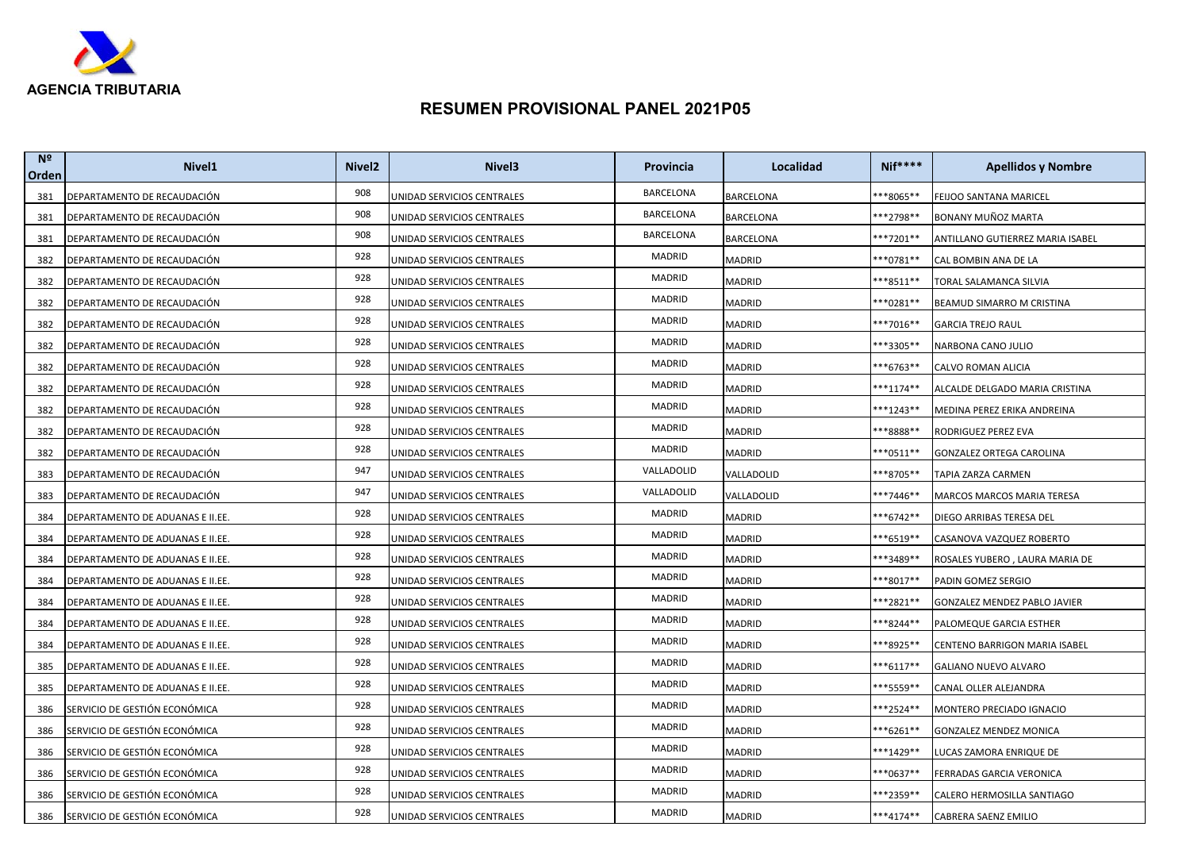

| N <sup>2</sup><br>Orden | Nivel <sub>1</sub>               | Nivel <sub>2</sub> | Nivel <sub>3</sub>         | Provincia        | Localidad     | $Nif***$             | <b>Apellidos y Nombre</b>        |
|-------------------------|----------------------------------|--------------------|----------------------------|------------------|---------------|----------------------|----------------------------------|
| 381                     | DEPARTAMENTO DE RECAUDACIÓN      | 908                | UNIDAD SERVICIOS CENTRALES | BARCELONA        | BARCELONA     | **8065**             | FEIJOO SANTANA MARICEL           |
| 381                     | DEPARTAMENTO DE RECAUDACIÓN      | 908                | UNIDAD SERVICIOS CENTRALES | <b>BARCELONA</b> | BARCELONA     | **2798**             | BONANY MUÑOZ MARTA               |
| 381                     | DEPARTAMENTO DE RECAUDACIÓN      | 908                | UNIDAD SERVICIOS CENTRALES | <b>BARCELONA</b> | BARCELONA     | ***7201**            | ANTILLANO GUTIERREZ MARIA ISABEL |
| 382                     | DEPARTAMENTO DE RECAUDACIÓN      | 928                | UNIDAD SERVICIOS CENTRALES | MADRID           | MADRID        | **0781**             | CAL BOMBIN ANA DE LA             |
| 382                     | DEPARTAMENTO DE RECAUDACIÓN      | 928                | UNIDAD SERVICIOS CENTRALES | MADRID           | MADRID        | **8511**             | TORAL SALAMANCA SILVIA           |
| 382                     | DEPARTAMENTO DE RECAUDACIÓN      | 928                | UNIDAD SERVICIOS CENTRALES | MADRID           | MADRID        | **0281**             | BEAMUD SIMARRO M CRISTINA        |
| 382                     | DEPARTAMENTO DE RECAUDACIÓN      | 928                | UNIDAD SERVICIOS CENTRALES | MADRID           | MADRID        | ***7016**            | <b>GARCIA TREJO RAUL</b>         |
| 382                     | DEPARTAMENTO DE RECAUDACIÓN      | 928                | UNIDAD SERVICIOS CENTRALES | MADRID           | MADRID        | **3305**             | NARBONA CANO JULIO               |
| 382                     | DEPARTAMENTO DE RECAUDACIÓN      | 928                | UNIDAD SERVICIOS CENTRALES | MADRID           | MADRID        | ***6763**            | CALVO ROMAN ALICIA               |
| 382                     | DEPARTAMENTO DE RECAUDACIÓN      | 928                | UNIDAD SERVICIOS CENTRALES | MADRID           | MADRID        | ***1174**            | ALCALDE DELGADO MARIA CRISTINA   |
| 382                     | DEPARTAMENTO DE RECAUDACIÓN      | 928                | UNIDAD SERVICIOS CENTRALES | MADRID           | MADRID        | ***1243**            | MEDINA PEREZ ERIKA ANDREINA      |
| 382                     | DEPARTAMENTO DE RECAUDACIÓN      | 928                | UNIDAD SERVICIOS CENTRALES | MADRID           | MADRID        | **8888**             | RODRIGUEZ PEREZ EVA              |
| 382                     | DEPARTAMENTO DE RECAUDACIÓN      | 928                | UNIDAD SERVICIOS CENTRALES | MADRID           | MADRID        | $**0511**$           | GONZALEZ ORTEGA CAROLINA         |
| 383                     | DEPARTAMENTO DE RECAUDACIÓN      | 947                | UNIDAD SERVICIOS CENTRALES | VALLADOLID       | VALLADOLID    | **8705**             | TAPIA ZARZA CARMEN               |
| 383                     | DEPARTAMENTO DE RECAUDACIÓN      | 947                | UNIDAD SERVICIOS CENTRALES | VALLADOLID       | VALLADOLID    | **7446**             | MARCOS MARCOS MARIA TERESA       |
| 384                     | DEPARTAMENTO DE ADUANAS E II.EE. | 928                | UNIDAD SERVICIOS CENTRALES | MADRID           | MADRID        | **6742**             | DIEGO ARRIBAS TERESA DEL         |
| 384                     | DEPARTAMENTO DE ADUANAS E II.EE. | 928                | UNIDAD SERVICIOS CENTRALES | MADRID           | MADRID        | **6519**             | CASANOVA VAZQUEZ ROBERTO         |
| 384                     | DEPARTAMENTO DE ADUANAS E II.EE. | 928                | UNIDAD SERVICIOS CENTRALES | MADRID           | MADRID        | ***3489**            | ROSALES YUBERO, LAURA MARIA DE   |
| 384                     | DEPARTAMENTO DE ADUANAS E II.EE. | 928                | UNIDAD SERVICIOS CENTRALES | MADRID           | MADRID        | **8017**             | PADIN GOMEZ SERGIO               |
| 384                     | DEPARTAMENTO DE ADUANAS E II.EE. | 928                | UNIDAD SERVICIOS CENTRALES | MADRID           | <b>MADRID</b> | ***2821**            | GONZALEZ MENDEZ PABLO JAVIER     |
| 384                     | DEPARTAMENTO DE ADUANAS E II.EE. | 928                | UNIDAD SERVICIOS CENTRALES | MADRID           | MADRID        | <sup>**8244**</sup>  | PALOMEQUE GARCIA ESTHER          |
| 384                     | DEPARTAMENTO DE ADUANAS E II.EE. | 928                | UNIDAD SERVICIOS CENTRALES | MADRID           | MADRID        | **8925**             | CENTENO BARRIGON MARIA ISABEL    |
| 385                     | DEPARTAMENTO DE ADUANAS E II.EE. | 928                | UNIDAD SERVICIOS CENTRALES | MADRID           | MADRID        | **6117**             | GALIANO NUEVO ALVARO             |
| 385                     | DEPARTAMENTO DE ADUANAS E II.EE. | 928                | UNIDAD SERVICIOS CENTRALES | MADRID           | MADRID        | ***5559**            | CANAL OLLER ALEJANDRA            |
| 386                     | SERVICIO DE GESTIÓN ECONÓMICA    | 928                | UNIDAD SERVICIOS CENTRALES | MADRID           | MADRID        | **2524**             | MONTERO PRECIADO IGNACIO         |
| 386                     | SERVICIO DE GESTIÓN ECONÓMICA    | 928                | UNIDAD SERVICIOS CENTRALES | MADRID           | MADRID        | <sup>**6261**</sup>  | GONZALEZ MENDEZ MONICA           |
| 386                     | SERVICIO DE GESTIÓN ECONÓMICA    | 928                | UNIDAD SERVICIOS CENTRALES | MADRID           | MADRID        | <sup>**</sup> 1429** | LUCAS ZAMORA ENRIQUE DE          |
| 386                     | SERVICIO DE GESTIÓN ECONÓMICA    | 928                | UNIDAD SERVICIOS CENTRALES | MADRID           | MADRID        | ***0637**            | FERRADAS GARCIA VERONICA         |
| 386                     | SERVICIO DE GESTIÓN ECONÓMICA    | 928                | UNIDAD SERVICIOS CENTRALES | MADRID           | MADRID        | ***2359**            | CALERO HERMOSILLA SANTIAGO       |
| 386                     | SERVICIO DE GESTIÓN ECONÓMICA    | 928                | UNIDAD SERVICIOS CENTRALES | MADRID           | MADRID        | ***4174**            | CABRERA SAENZ EMILIO             |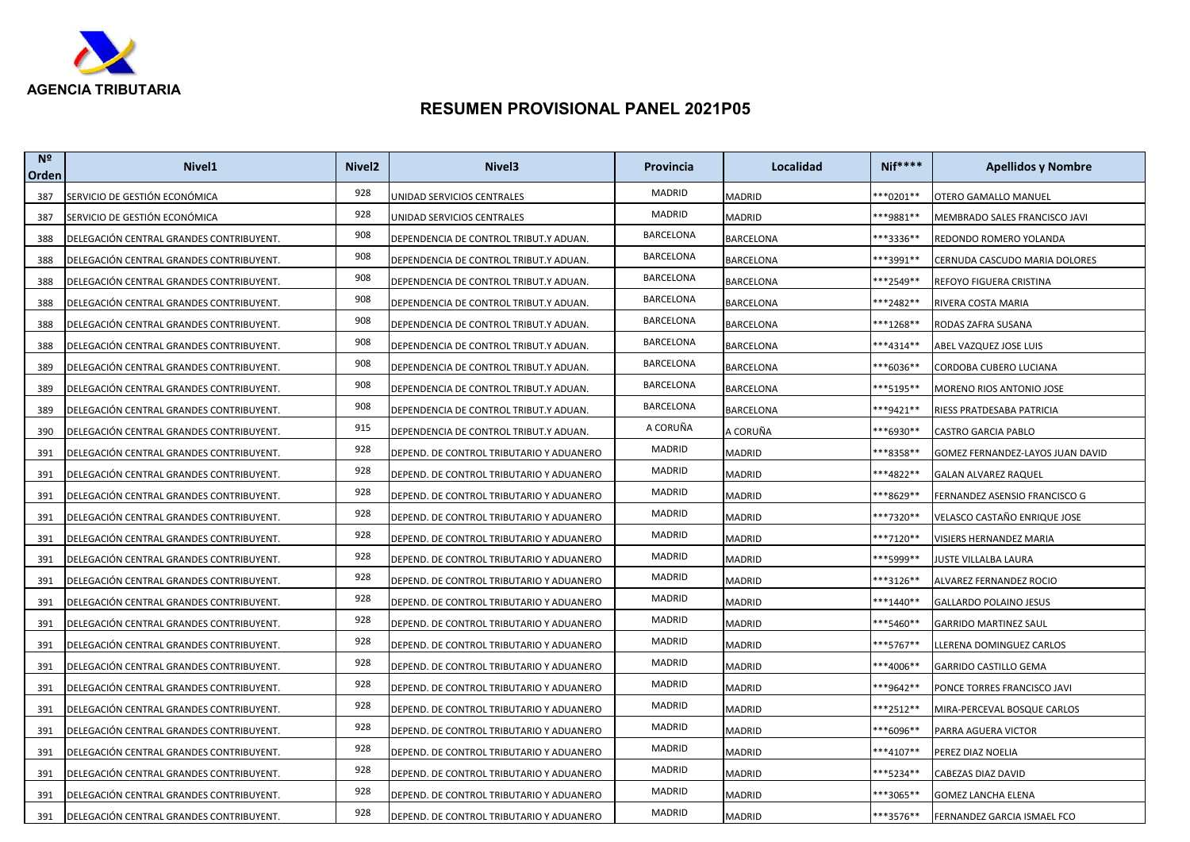

| N <sup>2</sup><br>Orden | Nivel <sub>1</sub>                       | Nivel <sub>2</sub> | Nivel <sub>3</sub>                       | <b>Provincia</b> | Localidad        | $Nif***$  | <b>Apellidos y Nombre</b>        |
|-------------------------|------------------------------------------|--------------------|------------------------------------------|------------------|------------------|-----------|----------------------------------|
| 387                     | SERVICIO DE GESTIÓN ECONÓMICA            | 928                | UNIDAD SERVICIOS CENTRALES               | MADRID           | <b>MADRID</b>    | ***0201** | OTERO GAMALLO MANUEL             |
| 387                     | SERVICIO DE GESTIÓN ECONÓMICA            | 928                | JNIDAD SERVICIOS CENTRALES               | MADRID           | MADRID           | ***9881** | MEMBRADO SALES FRANCISCO JAVI    |
| 388                     | DELEGACIÓN CENTRAL GRANDES CONTRIBUYENT. | 908                | DEPENDENCIA DE CONTROL TRIBUT.Y ADUAN.   | <b>BARCELONA</b> | BARCELONA        | ***3336** | REDONDO ROMERO YOLANDA           |
| 388                     | DELEGACIÓN CENTRAL GRANDES CONTRIBUYENT. | 908                | DEPENDENCIA DE CONTROL TRIBUT.Y ADUAN.   | BARCELONA        | BARCELONA        | ***3991** | CERNUDA CASCUDO MARIA DOLORES    |
| 388                     | DELEGACIÓN CENTRAL GRANDES CONTRIBUYENT. | 908                | DEPENDENCIA DE CONTROL TRIBUT.Y ADUAN.   | BARCELONA        | BARCELONA        | ***2549** | REFOYO FIGUERA CRISTINA          |
| 388                     | DELEGACIÓN CENTRAL GRANDES CONTRIBUYENT. | 908                | DEPENDENCIA DE CONTROL TRIBUT.Y ADUAN.   | BARCELONA        | BARCELONA        | ***2482** | RIVERA COSTA MARIA               |
| 388                     | DELEGACIÓN CENTRAL GRANDES CONTRIBUYENT. | 908                | DEPENDENCIA DE CONTROL TRIBUT.Y ADUAN.   | <b>BARCELONA</b> | <b>BARCELONA</b> | ***1268** | RODAS ZAFRA SUSANA               |
| 388                     | DELEGACIÓN CENTRAL GRANDES CONTRIBUYENT. | 908                | DEPENDENCIA DE CONTROL TRIBUT.Y ADUAN.   | <b>BARCELONA</b> | BARCELONA        | ***4314** | ABEL VAZQUEZ JOSE LUIS           |
| 389                     | DELEGACIÓN CENTRAL GRANDES CONTRIBUYENT. | 908                | DEPENDENCIA DE CONTROL TRIBUT.Y ADUAN.   | <b>BARCELONA</b> | BARCELONA        | ***6036** | CORDOBA CUBERO LUCIANA           |
| 389                     | DELEGACIÓN CENTRAL GRANDES CONTRIBUYENT. | 908                | DEPENDENCIA DE CONTROL TRIBUT.Y ADUAN.   | BARCELONA        | BARCELONA        | ***5195** | MORENO RIOS ANTONIO JOSE         |
| 389                     | DELEGACIÓN CENTRAL GRANDES CONTRIBUYENT. | 908                | DEPENDENCIA DE CONTROL TRIBUT.Y ADUAN.   | BARCELONA        | BARCELONA        | ***9421** | RIESS PRATDESABA PATRICIA        |
| 390                     | DELEGACIÓN CENTRAL GRANDES CONTRIBUYENT. | 915                | DEPENDENCIA DE CONTROL TRIBUT.Y ADUAN.   | A CORUÑA         | A CORUÑA         | ***6930** | CASTRO GARCIA PABLO              |
| 391                     | DELEGACIÓN CENTRAL GRANDES CONTRIBUYENT. | 928                | DEPEND. DE CONTROL TRIBUTARIO Y ADUANERO | MADRID           | MADRID           | **8358**  | GOMEZ FERNANDEZ-LAYOS JUAN DAVID |
| 391                     | DELEGACIÓN CENTRAL GRANDES CONTRIBUYENT. | 928                | DEPEND. DE CONTROL TRIBUTARIO Y ADUANERO | MADRID           | MADRID           | ***4822** | <b>GALAN ALVAREZ RAQUEL</b>      |
| 391                     | DELEGACIÓN CENTRAL GRANDES CONTRIBUYENT. | 928                | DEPEND. DE CONTROL TRIBUTARIO Y ADUANERO | MADRID           | MADRID           | **8629**  | FERNANDEZ ASENSIO FRANCISCO G    |
| 391                     | DELEGACIÓN CENTRAL GRANDES CONTRIBUYENT. | 928                | DEPEND. DE CONTROL TRIBUTARIO Y ADUANERO | MADRID           | MADRID           | ***7320** | VELASCO CASTAÑO ENRIQUE JOSE     |
| 391                     | DELEGACIÓN CENTRAL GRANDES CONTRIBUYENT. | 928                | DEPEND. DE CONTROL TRIBUTARIO Y ADUANERO | MADRID           | MADRID           | ***7120** | VISIERS HERNANDEZ MARIA          |
| 391                     | DELEGACIÓN CENTRAL GRANDES CONTRIBUYENT. | 928                | DEPEND. DE CONTROL TRIBUTARIO Y ADUANERO | MADRID           | MADRID           | ***5999** | IUSTE VILLALBA LAURA             |
| 391                     | DELEGACIÓN CENTRAL GRANDES CONTRIBUYENT. | 928                | DEPEND. DE CONTROL TRIBUTARIO Y ADUANERO | <b>MADRID</b>    | MADRID           | ***3126** | ALVAREZ FERNANDEZ ROCIO          |
| 391                     | DELEGACIÓN CENTRAL GRANDES CONTRIBUYENT. | 928                | DEPEND. DE CONTROL TRIBUTARIO Y ADUANERO | <b>MADRID</b>    | MADRID           | ***1440** | GALLARDO POLAINO JESUS           |
| 391                     | DELEGACIÓN CENTRAL GRANDES CONTRIBUYENT. | 928                | DEPEND. DE CONTROL TRIBUTARIO Y ADUANERO | MADRID           | MADRID           | ***5460** | GARRIDO MARTINEZ SAUL            |
| 391                     | DELEGACIÓN CENTRAL GRANDES CONTRIBUYENT. | 928                | DEPEND. DE CONTROL TRIBUTARIO Y ADUANERO | MADRID           | MADRID           | ***5767** | LLERENA DOMINGUEZ CARLOS         |
| 391                     | DELEGACIÓN CENTRAL GRANDES CONTRIBUYENT. | 928                | DEPEND. DE CONTROL TRIBUTARIO Y ADUANERO | MADRID           | MADRID           | ***4006** | <b>GARRIDO CASTILLO GEMA</b>     |
| 391                     | DELEGACIÓN CENTRAL GRANDES CONTRIBUYENT. | 928                | DEPEND. DE CONTROL TRIBUTARIO Y ADUANERO | MADRID           | MADRID           | ***9642** | PONCE TORRES FRANCISCO JAVI      |
| 391                     | DELEGACIÓN CENTRAL GRANDES CONTRIBUYENT. | 928                | DEPEND. DE CONTROL TRIBUTARIO Y ADUANERO | MADRID           | MADRID           | **2512**  | MIRA-PERCEVAL BOSQUE CARLOS      |
| 391                     | DELEGACIÓN CENTRAL GRANDES CONTRIBUYENT. | 928                | DEPEND. DE CONTROL TRIBUTARIO Y ADUANERO | MADRID           | MADRID           | **6096**  | PARRA AGUERA VICTOR              |
| 391                     | DELEGACIÓN CENTRAL GRANDES CONTRIBUYENT. | 928                | DEPEND. DE CONTROL TRIBUTARIO Y ADUANERO | <b>MADRID</b>    | MADRID           | ***4107** | PEREZ DIAZ NOELIA                |
| 391                     | DELEGACIÓN CENTRAL GRANDES CONTRIBUYENT. | 928                | DEPEND. DE CONTROL TRIBUTARIO Y ADUANERO | MADRID           | MADRID           | ***5234** | CABEZAS DIAZ DAVID               |
| 391                     | DELEGACIÓN CENTRAL GRANDES CONTRIBUYENT. | 928                | DEPEND. DE CONTROL TRIBUTARIO Y ADUANERO | MADRID           | MADRID           | ***3065** | <b>GOMEZ LANCHA ELENA</b>        |
| 391                     | DELEGACIÓN CENTRAL GRANDES CONTRIBUYENT. | 928                | DEPEND. DE CONTROL TRIBUTARIO Y ADUANERO | MADRID           | <b>MADRID</b>    | ***3576** | FERNANDEZ GARCIA ISMAEL FCO      |